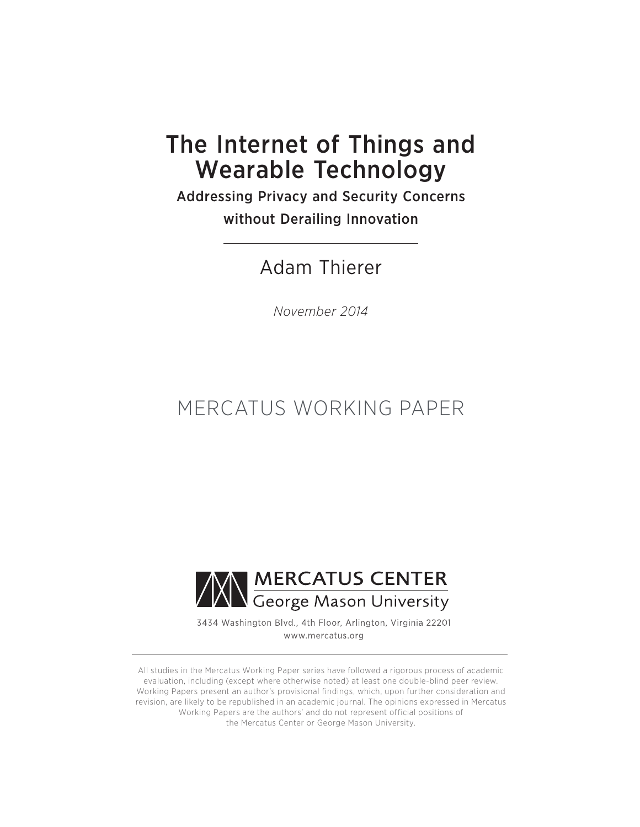# The Internet of Things and Wearable Technology

Addressing Privacy and Security Concerns without Derailing Innovation

Adam Thierer

*November 2014*

# MERCATUS WORKING PAPER



3434 Washington Blvd., 4th Floor, Arlington, Virginia 22201 www.mercatus.org

All studies in the Mercatus Working Paper series have followed a rigorous process of academic evaluation, including (except where otherwise noted) at least one double-blind peer review. Working Papers present an author's provisional findings, which, upon further consideration and revision, are likely to be republished in an academic journal. The opinions expressed in Mercatus Working Papers are the authors' and do not represent official positions of the Mercatus Center or George Mason University.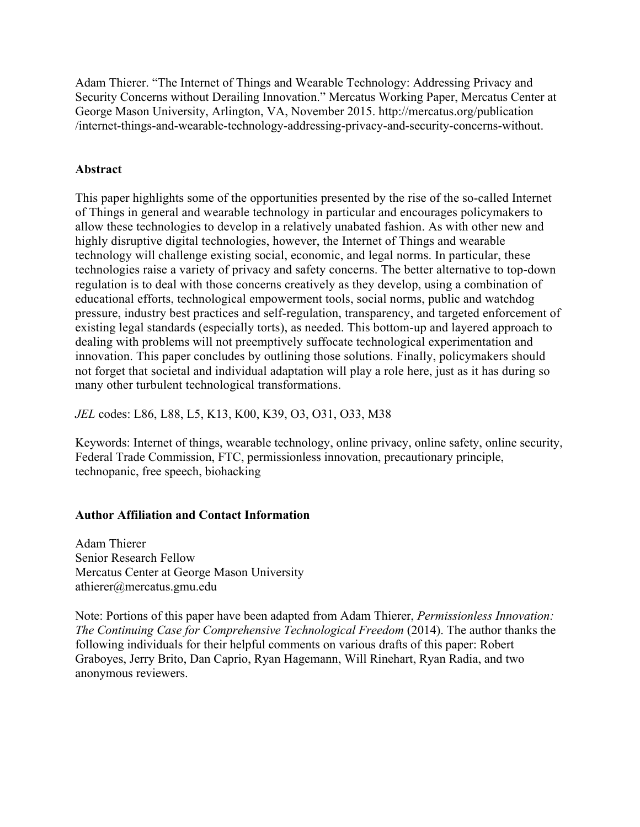Adam Thierer. "The Internet of Things and Wearable Technology: Addressing Privacy and Security Concerns without Derailing Innovation." Mercatus Working Paper, Mercatus Center at George Mason University, Arlington, VA, November 2015. [http://mercatus.org/publication](http://mercatus.org/publication/internet-things-and-wearable-technology-addressing-privacy-and-security-concerns-without) [/internet-things-and-wearable-technology-addressing-privacy-and-security-concerns-without](http://mercatus.org/publication/internet-things-and-wearable-technology-addressing-privacy-and-security-concerns-without).

## **Abstract**

This paper highlights some of the opportunities presented by the rise of the so-called Internet of Things in general and wearable technology in particular and encourages policymakers to allow these technologies to develop in a relatively unabated fashion. As with other new and highly disruptive digital technologies, however, the Internet of Things and wearable technology will challenge existing social, economic, and legal norms. In particular, these technologies raise a variety of privacy and safety concerns. The better alternative to top-down regulation is to deal with those concerns creatively as they develop, using a combination of educational efforts, technological empowerment tools, social norms, public and watchdog pressure, industry best practices and self-regulation, transparency, and targeted enforcement of existing legal standards (especially torts), as needed. This bottom-up and layered approach to dealing with problems will not preemptively suffocate technological experimentation and innovation. This paper concludes by outlining those solutions. Finally, policymakers should not forget that societal and individual adaptation will play a role here, just as it has during so many other turbulent technological transformations.

*JEL* codes: L86, L88, L5, K13, K00, K39, O3, O31, O33, M38

Keywords: Internet of things, wearable technology, online privacy, online safety, online security, Federal Trade Commission, FTC, permissionless innovation, precautionary principle, technopanic, free speech, biohacking

### **Author Affiliation and Contact Information**

Adam Thierer Senior Research Fellow Mercatus Center at George Mason University [athierer@mercatus.gmu.edu](mailto:athierer@mercatus.gmu.edu)

Note: Portions of this paper have been adapted from Adam Thierer, *Permissionless Innovation: The Continuing Case for Comprehensive Technological Freedom* (2014). The author thanks the following individuals for their helpful comments on various drafts of this paper: Robert Graboyes, Jerry Brito, Dan Caprio, Ryan Hagemann, Will Rinehart, Ryan Radia, and two anonymous reviewers.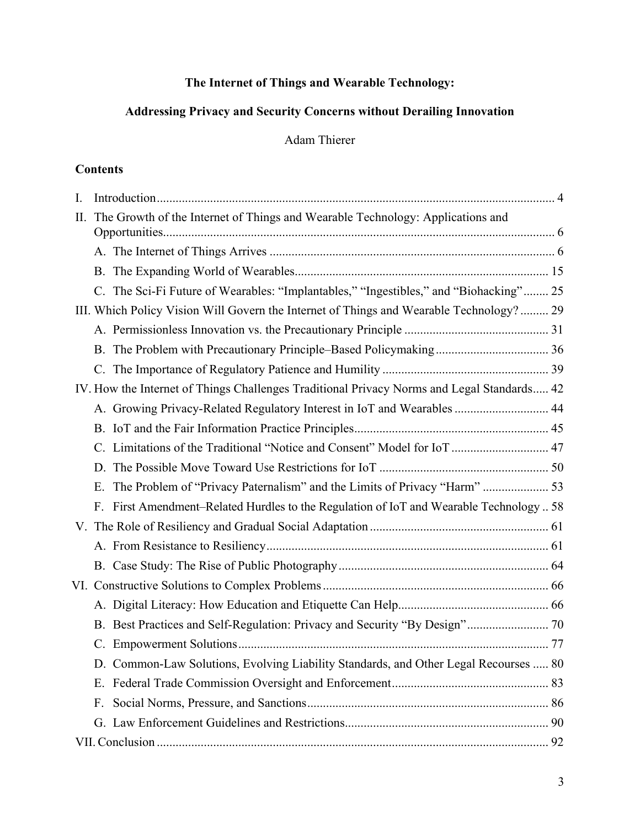# **The Internet of Things and Wearable Technology:**

# **Addressing Privacy and Security Concerns without Derailing Innovation**

Adam Thierer

## **Contents**

| I.  |                                                                                            |  |
|-----|--------------------------------------------------------------------------------------------|--|
| II. | The Growth of the Internet of Things and Wearable Technology: Applications and             |  |
|     |                                                                                            |  |
|     |                                                                                            |  |
|     | C. The Sci-Fi Future of Wearables: "Implantables," "Ingestibles," and "Biohacking" 25      |  |
|     | III. Which Policy Vision Will Govern the Internet of Things and Wearable Technology? 29    |  |
|     |                                                                                            |  |
|     |                                                                                            |  |
|     | $C_{\cdot}$                                                                                |  |
|     | IV. How the Internet of Things Challenges Traditional Privacy Norms and Legal Standards 42 |  |
|     | A. Growing Privacy-Related Regulatory Interest in IoT and Wearables  44                    |  |
|     |                                                                                            |  |
|     |                                                                                            |  |
|     |                                                                                            |  |
|     | The Problem of "Privacy Paternalism" and the Limits of Privacy "Harm"  53<br>Е.            |  |
|     | First Amendment-Related Hurdles to the Regulation of IoT and Wearable Technology  58<br>F. |  |
|     |                                                                                            |  |
|     |                                                                                            |  |
|     |                                                                                            |  |
|     |                                                                                            |  |
|     |                                                                                            |  |
|     | B. Best Practices and Self-Regulation: Privacy and Security "By Design" 70                 |  |
|     | $\mathbf{C}$ .                                                                             |  |
|     | D. Common-Law Solutions, Evolving Liability Standards, and Other Legal Recourses  80       |  |
|     | Е.                                                                                         |  |
|     | $F_{\cdot}$                                                                                |  |
|     |                                                                                            |  |
|     |                                                                                            |  |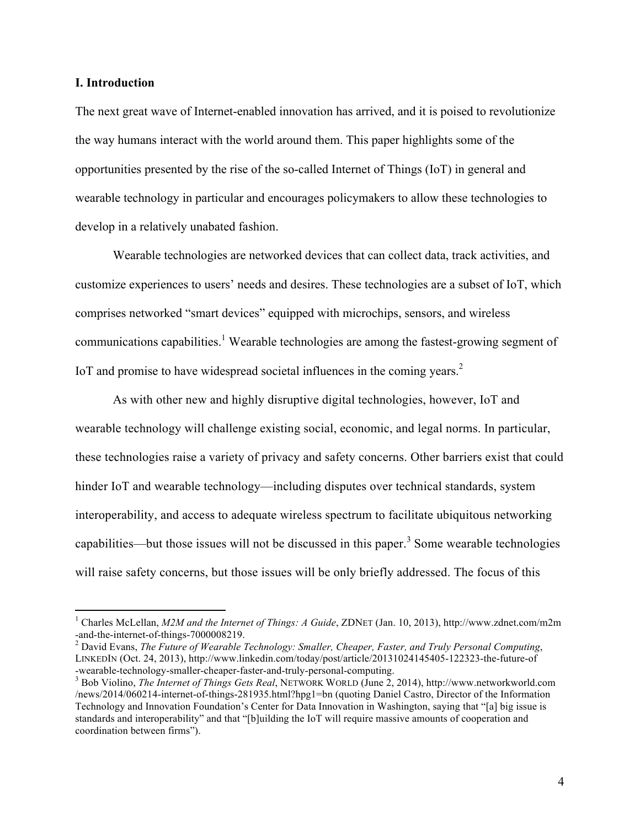#### **I. Introduction**

The next great wave of Internet-enabled innovation has arrived, and it is poised to revolutionize the way humans interact with the world around them. This paper highlights some of the opportunities presented by the rise of the so-called Internet of Things (IoT) in general and wearable technology in particular and encourages policymakers to allow these technologies to develop in a relatively unabated fashion.

Wearable technologies are networked devices that can collect data, track activities, and customize experiences to users' needs and desires. These technologies are a subset of IoT, which comprises networked "smart devices" equipped with microchips, sensors, and wireless communications capabilities.<sup>1</sup> Wearable technologies are among the fastest-growing segment of IoT and promise to have widespread societal influences in the coming years.<sup>2</sup>

As with other new and highly disruptive digital technologies, however, IoT and wearable technology will challenge existing social, economic, and legal norms. In particular, these technologies raise a variety of privacy and safety concerns. Other barriers exist that could hinder IoT and wearable technology—including disputes over technical standards, system interoperability, and access to adequate wireless spectrum to facilitate ubiquitous networking capabilities—but those issues will not be discussed in this paper.<sup>3</sup> Some wearable technologies will raise safety concerns, but those issues will be only briefly addressed. The focus of this

 <sup>1</sup> Charles McLellan, *M2M and the Internet of Things: A Guide*, ZDNET (Jan. 10, 2013), http://www.zdnet.com/m2m -and-the-internet-of-things-7000008219. <sup>2</sup> David Evans, *The Future of Wearable Technology: Smaller, Cheaper, Faster, and Truly Personal Computing*,

LINKEDIN (Oct. 24, 2013), http://www.linkedin.com/today/post/article/20131024145405-122323-the-future-of -wearable-technology-smaller-cheaper-faster-and-truly-personal-computing. <sup>3</sup> Bob Violino, *The Internet of Things Gets Real*, NETWORK WORLD (June 2, 2014), http://www.networkworld.com

<sup>/</sup>news/2014/060214-internet-of-things-281935.html?hpg1=bn (quoting Daniel Castro, Director of the Information Technology and Innovation Foundation's Center for Data Innovation in Washington, saying that "[a] big issue is standards and interoperability" and that "[b]uilding the IoT will require massive amounts of cooperation and coordination between firms").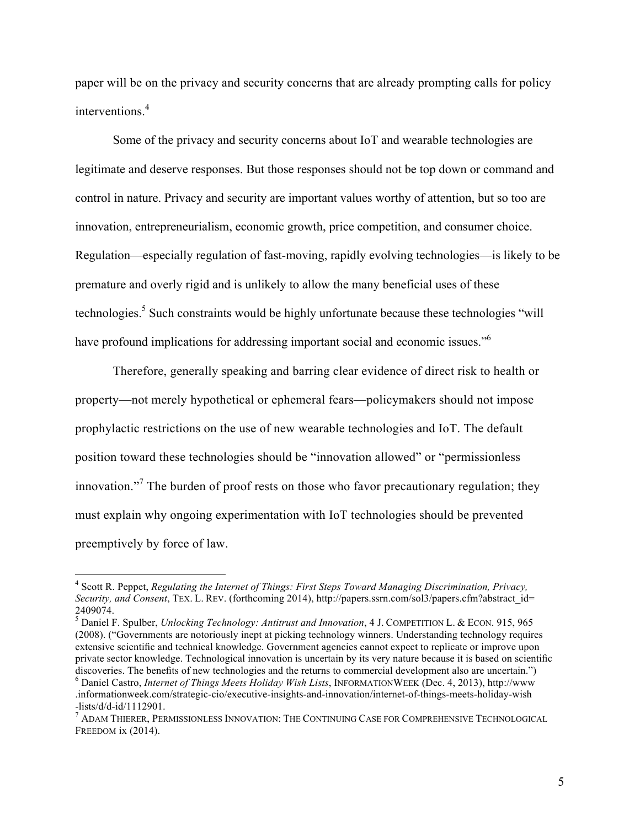paper will be on the privacy and security concerns that are already prompting calls for policy interventions.<sup>4</sup>

Some of the privacy and security concerns about IoT and wearable technologies are legitimate and deserve responses. But those responses should not be top down or command and control in nature. Privacy and security are important values worthy of attention, but so too are innovation, entrepreneurialism, economic growth, price competition, and consumer choice. Regulation—especially regulation of fast-moving, rapidly evolving technologies—is likely to be premature and overly rigid and is unlikely to allow the many beneficial uses of these technologies.<sup>5</sup> Such constraints would be highly unfortunate because these technologies "will have profound implications for addressing important social and economic issues.<sup>"6</sup>

Therefore, generally speaking and barring clear evidence of direct risk to health or property—not merely hypothetical or ephemeral fears—policymakers should not impose prophylactic restrictions on the use of new wearable technologies and IoT. The default position toward these technologies should be "innovation allowed" or "permissionless innovation."<sup>7</sup> The burden of proof rests on those who favor precautionary regulation; they must explain why ongoing experimentation with IoT technologies should be prevented preemptively by force of law.

 <sup>4</sup> Scott R. Peppet, *Regulating the Internet of Things: First Steps Toward Managing Discrimination, Privacy, Security, and Consent*, TEX. L. REV. (forthcoming 2014), http://papers.ssrn.com/sol3/papers.cfm?abstract\_id= 2409074.

<sup>5</sup> Daniel F. Spulber, *Unlocking Technology: Antitrust and Innovation*, 4 J. COMPETITION L. & ECON. 915, 965 (2008). ("Governments are notoriously inept at picking technology winners. Understanding technology requires extensive scientific and technical knowledge. Government agencies cannot expect to replicate or improve upon private sector knowledge. Technological innovation is uncertain by its very nature because it is based on scientific discoveries. The benefits of new technologies and the returns to commercial development also are uncertain.") <sup>6</sup> Daniel Castro, *Internet of Things Meets Holiday Wish Lists*, INFORMATIONWEEK (Dec. 4, 2013), http://www

<sup>.</sup>informationweek.com/strategic-cio/executive-insights-and-innovation/internet-of-things-meets-holiday-wish -lists/d/d-id/1112901.<br><sup>7</sup> ADAM THIERER, PERMISSIONLESS INNOVATION: THE CONTINUING CASE FOR COMPREHENSIVE TECHNOLOGICAL

FREEDOM ix (2014).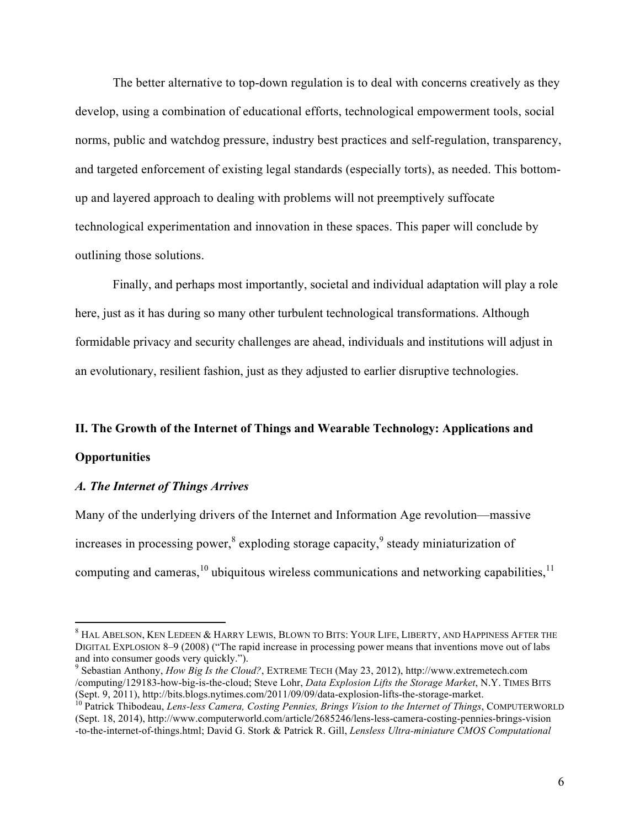The better alternative to top-down regulation is to deal with concerns creatively as they develop, using a combination of educational efforts, technological empowerment tools, social norms, public and watchdog pressure, industry best practices and self-regulation, transparency, and targeted enforcement of existing legal standards (especially torts), as needed. This bottomup and layered approach to dealing with problems will not preemptively suffocate technological experimentation and innovation in these spaces. This paper will conclude by outlining those solutions.

Finally, and perhaps most importantly, societal and individual adaptation will play a role here, just as it has during so many other turbulent technological transformations. Although formidable privacy and security challenges are ahead, individuals and institutions will adjust in an evolutionary, resilient fashion, just as they adjusted to earlier disruptive technologies.

#### **II. The Growth of the Internet of Things and Wearable Technology: Applications and**

#### **Opportunities**

#### *A. The Internet of Things Arrives*

Many of the underlying drivers of the Internet and Information Age revolution—massive increases in processing power, $\text{8}$  exploding storage capacity, $\text{9}$  steady miniaturization of computing and cameras,  $^{10}$  ubiquitous wireless communications and networking capabilities,  $^{11}$ 

 <sup>8</sup> HAL ABELSON, KEN LEDEEN & HARRY LEWIS, BLOWN TO BITS: YOUR LIFE, LIBERTY, AND HAPPINESS AFTER THE DIGITAL EXPLOSION 8–9 (2008) ("The rapid increase in processing power means that inventions move out of labs and into consumer goods very quickly.").<br><sup>9</sup> Sebastian Anthony, *How Big Is the Cloud?*, EXTREME TECH (May 23, 2012), http://www.extremetech.com

<sup>/</sup>computing/129183-how-big-is-the-cloud; Steve Lohr, *Data Explosion Lifts the Storage Market*, N.Y. TIMES BITS (Sept. 9, 2011), http://bits.blogs.nytimes.com/2011/09/09/data-explosion-lifts-the-storage-market. <sup>10</sup> Patrick Thibodeau, *Lens-less Camera, Costing Pennies, Brings Vision to the Internet of Things*, COMPUTERWORLD

<sup>(</sup>Sept. 18, 2014), http://www.computerworld.com/article/2685246/lens-less-camera-costing-pennies-brings-vision -to-the-internet-of-things.html; David G. Stork & Patrick R. Gill, *Lensless Ultra-miniature CMOS Computational*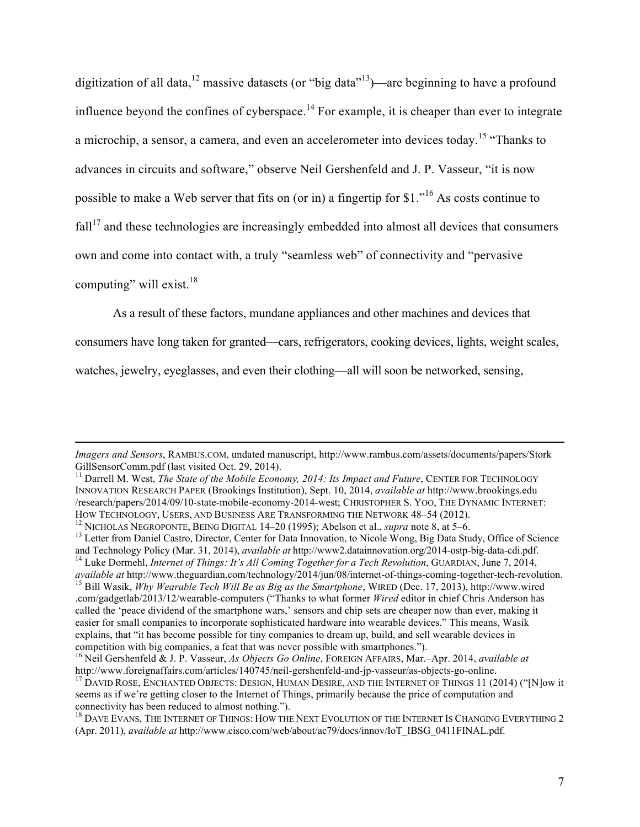digitization of all data,<sup>12</sup> massive datasets (or "big data"<sup>13</sup>)—are beginning to have a profound influence beyond the confines of cyberspace.<sup>14</sup> For example, it is cheaper than ever to integrate a microchip, a sensor, a camera, and even an accelerometer into devices today.<sup>15</sup> "Thanks to advances in circuits and software," observe Neil Gershenfeld and J. P. Vasseur, "it is now possible to make a Web server that fits on (or in) a fingertip for \$1."<sup>16</sup> As costs continue to  $fall<sup>17</sup>$  and these technologies are increasingly embedded into almost all devices that consumers own and come into contact with, a truly "seamless web" of connectivity and "pervasive computing" will exist.<sup>18</sup>

As a result of these factors, mundane appliances and other machines and devices that

consumers have long taken for granted—cars, refrigerators, cooking devices, lights, weight scales,

watches, jewelry, eyeglasses, and even their clothing—all will soon be networked, sensing,

<u> 1989 - Jan Salaman, masjid a shekarar 1989 - André Salaman a shekara ta 1989 - André Salaman a shekara ta 19</u>

*Imagers and Sensors*, RAMBUS.COM, undated manuscript, http://www.rambus.com/assets/documents/papers/Stork

GillSensorComm.pdf (last visited Oct. 29, 2014).<br><sup>11</sup> Darrell M. West, *The State of the Mobile Economy, 2014: Its Impact and Future*, CENTER FOR TECHNOLOGY INNOVATION RESEARCH PAPER (Brookings Institution), Sept. 10, 2014, *available at* http://www.brookings.edu /research/papers/2014/09/10-state-mobile-economy-2014-west; CHRISTOPHER S. YOO, THE DYNAMIC INTERNET:

<sup>&</sup>lt;sup>12</sup> NICHOLAS NEGROPONTE, BEING DIGITAL 14–20 (1995); Abelson et al., *supra* note 8, at 5–6.<br><sup>13</sup> Letter from Daniel Castro, Director, Center for Data Innovation, to Nicole Wong, Big Data Study, Office of Science

and Technology Policy (Mar. 31, 2014), available at http://www2.datainnovation.org/2014-ostp-big-data-cdi.pdf.<br><sup>14</sup> Luke Dormehl, *Internet of Things: It's All Coming Together for a Tech Revolution*, GUARDIAN, June 7, 2014

<sup>&</sup>lt;sup>15</sup> Bill Wasik,  $\hat{W}$ hy Wearable Tech Will Be as Big as the Smartphone, WIRED (Dec. 17, 2013), http://www.wired .com/gadgetlab/2013/12/wearable-computers ("Thanks to what former *Wired* editor in chief Chris Anderson has called the 'peace dividend of the smartphone wars,' sensors and chip sets are cheaper now than ever, making it easier for small companies to incorporate sophisticated hardware into wearable devices." This means, Wasik explains, that "it has become possible for tiny companies to dream up, build, and sell wearable devices in competition with big companies, a feat that was never possible with smartphones.").

<sup>&</sup>lt;sup>16</sup> Neil Gershenfeld & J. P. Vasseur, *As Objects Go Online*, FOREIGN AFFAIRS, Mar.–Apr. 2014, *available at* 

http://www.foreignaffairs.com/articles/140745/neil-gershenfeld-and-jp-vasseur/as-objects-go-online.<br><sup>17</sup> DAVID ROSE, ENCHANTED OBJECTS: DESIGN, HUMAN DESIRE, AND THE INTERNET OF THINGS 11 (2014) ("[N]ow it seems as if we're getting closer to the Internet of Things, primarily because the price of computation and connectivity has been reduced to almost nothing.").<br><sup>18</sup> DAVE EVANS, THE INTERNET OF THINGS: HOW THE NEXT EVOLUTION OF THE INTERNET IS CHANGING EVERYTHING 2

<sup>(</sup>Apr. 2011), *available at* http://www.cisco.com/web/about/ac79/docs/innov/IoT\_IBSG\_0411FINAL.pdf.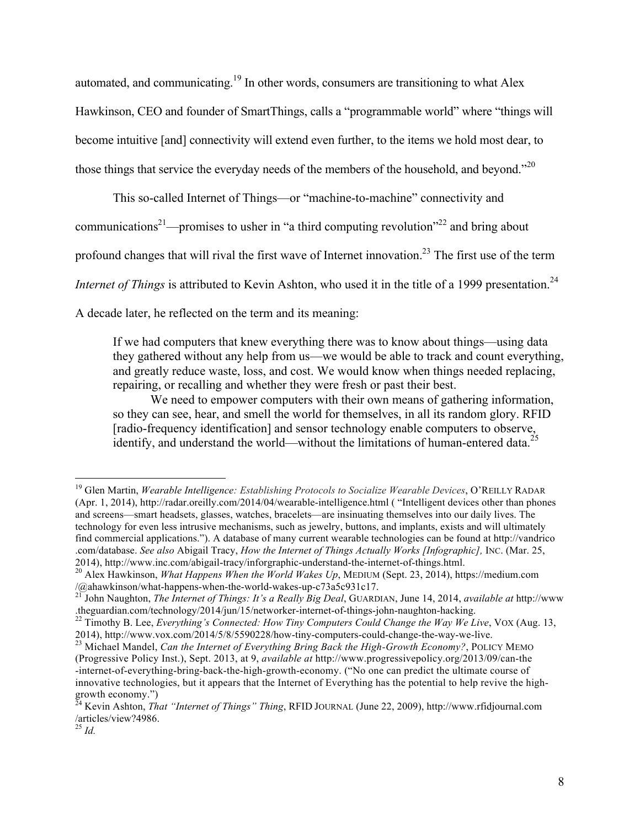automated, and communicating.19 In other words, consumers are transitioning to what Alex Hawkinson, CEO and founder of SmartThings, calls a "programmable world" where "things will become intuitive [and] connectivity will extend even further, to the items we hold most dear, to those things that service the everyday needs of the members of the household, and beyond."<sup>20</sup>

This so-called Internet of Things—or "machine-to-machine" connectivity and communications<sup>21</sup>—promises to usher in "a third computing revolution"<sup>22</sup> and bring about profound changes that will rival the first wave of Internet innovation.<sup>23</sup> The first use of the term *Internet of Things* is attributed to Kevin Ashton, who used it in the title of a 1999 presentation.<sup>24</sup>

A decade later, he reflected on the term and its meaning:

If we had computers that knew everything there was to know about things—using data they gathered without any help from us—we would be able to track and count everything, and greatly reduce waste, loss, and cost. We would know when things needed replacing, repairing, or recalling and whether they were fresh or past their best.

We need to empower computers with their own means of gathering information, so they can see, hear, and smell the world for themselves, in all its random glory. RFID [radio-frequency identification] and sensor technology enable computers to observe, identify, and understand the world—without the limitations of human-entered data.<sup>2</sup>

 <sup>19</sup> Glen Martin, *Wearable Intelligence: Establishing Protocols to Socialize Wearable Devices*, O'REILLY RADAR (Apr. 1, 2014), http://radar.oreilly.com/2014/04/wearable-intelligence.html ( "Intelligent devices other than phones and screens—smart headsets, glasses, watches, bracelets—are insinuating themselves into our daily lives. The technology for even less intrusive mechanisms, such as jewelry, buttons, and implants, exists and will ultimately find commercial applications."). A database of many current wearable technologies can be found at http://vandrico .com/database. *See also* Abigail Tracy, *How the Internet of Things Actually Works [Infographic],* INC. (Mar. 25,

<sup>&</sup>lt;sup>20</sup> Alex Hawkinson, *What Happens When the World Wakes Up*, MEDIUM (Sept. 23, 2014), https://medium.com /@ahawkinson/what-happens-when-the-world-wakes-up-c73a5c931c17.

<sup>&</sup>lt;sup>21</sup> John Naughton, *The Internet of Things: It's a Really Big Deal*, GUARDIAN, June 14, 2014, *available at* http://www .theguardian.com/technology/2014/jun/15/networker-internet-of-things-john-naughton-hacking. <sup>22</sup> Timothy B. Lee, *Everything's Connected: How Tiny Computers Could Change the Way We Live*, VOX (Aug. 13,

<sup>2014),</sup> http://www.vox.com/2014/5/8/5590228/how-tiny-computers-could-change-the-way-we-live. <sup>23</sup> Michael Mandel, *Can the Internet of Everything Bring Back the High-Growth Economy?*, POLICY MEMO

<sup>(</sup>Progressive Policy Inst.), Sept. 2013, at 9, *available at* http://www.progressivepolicy.org/2013/09/can-the -internet-of-everything-bring-back-the-high-growth-economy. ("No one can predict the ultimate course of innovative technologies, but it appears that the Internet of Everything has the potential to help revive the highgrowth economy.")

<sup>24</sup> Kevin Ashton, *That "Internet of Things" Thing*, RFID JOURNAL (June 22, 2009), http://www.rfidjournal.com /articles/view?4986.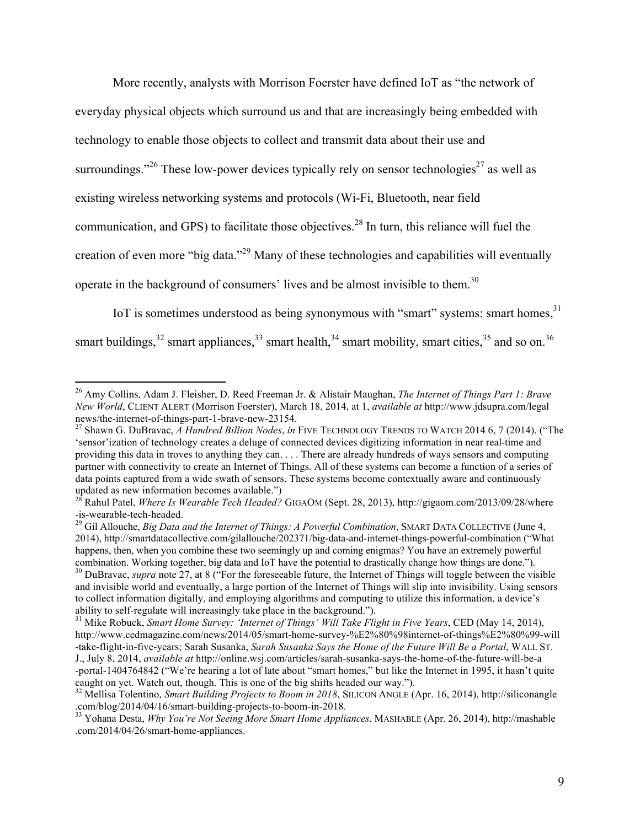More recently, analysts with Morrison Foerster have defined IoT as "the network of everyday physical objects which surround us and that are increasingly being embedded with technology to enable those objects to collect and transmit data about their use and surroundings."<sup>26</sup> These low-power devices typically rely on sensor technologies<sup>27</sup> as well as existing wireless networking systems and protocols (Wi-Fi, Bluetooth, near field communication, and GPS) to facilitate those objectives.<sup>28</sup> In turn, this reliance will fuel the creation of even more "big data."29 Many of these technologies and capabilities will eventually operate in the background of consumers' lives and be almost invisible to them.<sup>30</sup>

IoT is sometimes understood as being synonymous with "smart" systems: smart homes,  $31$ smart buildings,  $32$  smart appliances,  $33$  smart health,  $34$  smart mobility, smart cities,  $35$  and so on.  $36$ 

<sup>32</sup> Mellisa Tolentino, *Smart Building Projects to Boom in 2018*, SILICON ANGLE (Apr. 16, 2014), http://siliconangle

 <sup>26</sup> Amy Collins, Adam J. Fleisher, D. Reed Freeman Jr. & Alistair Maughan, *The Internet of Things Part 1: Brave New World*, CLIENT ALERT (Morrison Foerster), March 18, 2014, at 1, *available at* http://www.jdsupra.com/legal

news/the-internet-of-things-part-1-brave-new-23154. <sup>27</sup> Shawn G. DuBravac, *A Hundred Billion Nodes*, *in* FIVE TECHNOLOGY TRENDS TO WATCH 2014 6, 7 (2014). ("The 'sensor'ization of technology creates a deluge of connected devices digitizing information in near real-time and providing this data in troves to anything they can. . . . There are already hundreds of ways sensors and computing partner with connectivity to create an Internet of Things. All of these systems can become a function of a series of data points captured from a wide swath of sensors. These systems become contextually aware and continuously

updated as new information becomes available.")<br><sup>28</sup> Rahul Patel, *Where Is Wearable Tech Headed?* GIGAOM (Sept. 28, 2013), http://gigaom.com/2013/09/28/where<br>-is-wearable-tech-headed.

<sup>&</sup>lt;sup>29</sup> Gil Allouche, *Big Data and the Internet of Things: A Powerful Combination*, SMART DATA COLLECTIVE (June 4, 2014), http://smartdatacollective.com/gilallouche/202371/big-data-and-internet-things-powerful-combination ("What happens, then, when you combine these two seemingly up and coming enigmas? You have an extremely powerful combination. Working together, big data and IoT have the potential to drastically change how things are done.").<br><sup>30</sup> DuBravac, *supra* note 27, at 8 ("For the foreseeable future, the Internet of Things will toggle between

and invisible world and eventually, a large portion of the Internet of Things will slip into invisibility. Using sensors to collect information digitally, and employing algorithms and computing to utilize this information, a device's ability to self-regulate will increasingly take place in the background."). <sup>31</sup> Mike Robuck, *Smart Home Survey: 'Internet of Things' Will Take Flight in Five Years*, CED (May 14, 2014),

http://www.cedmagazine.com/news/2014/05/smart-home-survey-%E2%80%98internet-of-things%E2%80%99-will -take-flight-in-five-years; Sarah Susanka, *Sarah Susanka Says the Home of the Future Will Be a Portal*, WALL ST. J., July 8, 2014, *available at* http://online.wsj.com/articles/sarah-susanka-says-the-home-of-the-future-will-be-a -portal-1404764842 ("We're hearing a lot of late about "smart homes," but like the Internet in 1995, it hasn't quite

<sup>.</sup>com/blog/2014/04/16/smart-building-projects-to-boom-in-2018. <sup>33</sup> Yohana Desta, *Why You're Not Seeing More Smart Home Appliances*, MASHABLE (Apr. 26, 2014), http://mashable

<sup>.</sup>com/2014/04/26/smart-home-appliances.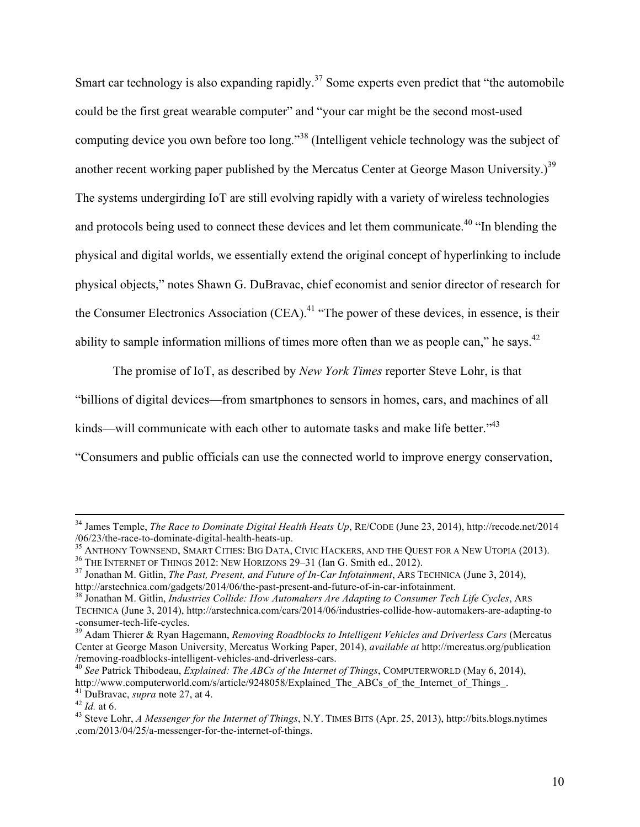Smart car technology is also expanding rapidly.<sup>37</sup> Some experts even predict that "the automobile" could be the first great wearable computer" and "your car might be the second most-used computing device you own before too long."<sup>38</sup> (Intelligent vehicle technology was the subject of another recent working paper published by the Mercatus Center at George Mason University.)<sup>39</sup> The systems undergirding IoT are still evolving rapidly with a variety of wireless technologies and protocols being used to connect these devices and let them communicate.<sup>40</sup> "In blending the physical and digital worlds, we essentially extend the original concept of hyperlinking to include physical objects," notes Shawn G. DuBravac, chief economist and senior director of research for the Consumer Electronics Association (CEA).<sup>41</sup> "The power of these devices, in essence, is their ability to sample information millions of times more often than we as people can," he says.<sup>42</sup>

The promise of IoT, as described by *New York Times* reporter Steve Lohr, is that

"billions of digital devices—from smartphones to sensors in homes, cars, and machines of all

kinds—will communicate with each other to automate tasks and make life better."<sup>43</sup>

"Consumers and public officials can use the connected world to improve energy conservation,

<sup>&</sup>lt;sup>34</sup> James Temple, *The Race to Dominate Digital Health Heats Up*, RE/CODE (June 23, 2014), http://recode.net/2014<br>/06/23/the-race-to-dominate-digital-health-heats-up.

<sup>&</sup>lt;sup>35</sup> ANTHONY TOWNSEND, SMART CITIES: BIG DATA, CIVIC HACKERS, AND THE QUEST FOR A NEW UTOPIA (2013).<br><sup>36</sup> THE INTERNET OF THINGS 2012: NEW HORIZONS 29–31 (Ian G. Smith ed., 2012).<br><sup>37</sup> Jonathan M. Gitlin, *The Past, Prese* 

<sup>&</sup>lt;sup>38</sup> Jonathan M. Gitlin, *Industries Collide: How Automakers Are Adapting to Consumer Tech Life Cycles*, ARS TECHNICA (June 3, 2014), http://arstechnica.com/cars/2014/06/industries-collide-how-automakers-are-adapting-to -consumer-tech-life-cycles. <sup>39</sup> Adam Thierer & Ryan Hagemann, *Removing Roadblocks to Intelligent Vehicles and Driverless Cars* (Mercatus

Center at George Mason University, Mercatus Working Paper, 2014), *available at* http://mercatus.org/publication /removing-roadblocks-intelligent-vehicles-and-driverless-cars. <sup>40</sup> *See* Patrick Thibodeau, *Explained: The ABCs of the Internet of Things*, COMPUTERWORLD (May 6, 2014),

http://www.computerworld.com/s/article/9248058/Explained\_The\_ABCs\_of\_the\_Internet\_of\_Things\_.<br><sup>41</sup> DuBravac, *supra* note 27, at 4.

<sup>42</sup> *Id.* at 6.<br><sup>42</sup> *Id.* at 6. 43 Steve Lohr, *A Messenger for the Internet of Things*, N.Y. TIMES BITS (Apr. 25, 2013), http://bits.blogs.nytimes .com/2013/04/25/a-messenger-for-the-internet-of-things.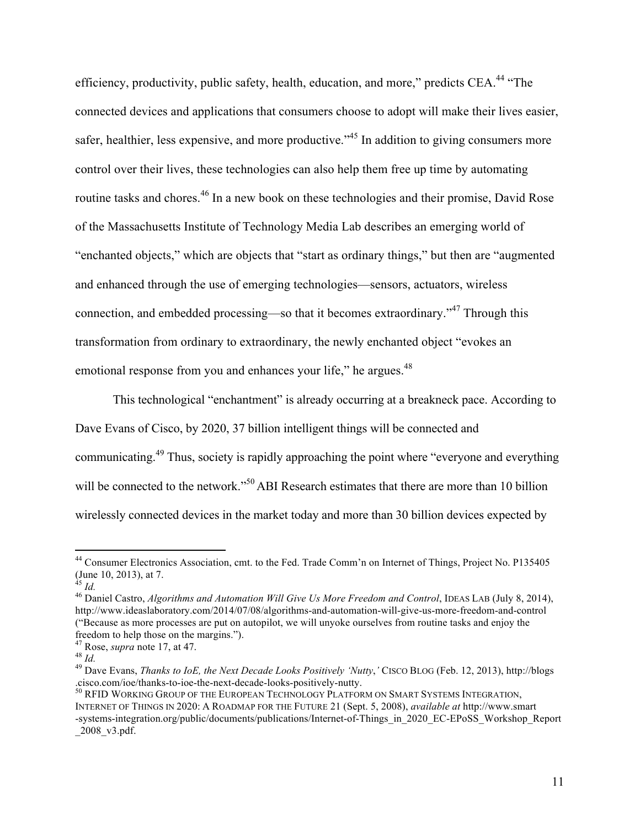efficiency, productivity, public safety, health, education, and more," predicts CEA.<sup>44</sup> "The connected devices and applications that consumers choose to adopt will make their lives easier, safer, healthier, less expensive, and more productive."<sup>45</sup> In addition to giving consumers more control over their lives, these technologies can also help them free up time by automating routine tasks and chores.<sup>46</sup> In a new book on these technologies and their promise, David Rose of the Massachusetts Institute of Technology Media Lab describes an emerging world of "enchanted objects," which are objects that "start as ordinary things," but then are "augmented and enhanced through the use of emerging technologies—sensors, actuators, wireless connection, and embedded processing—so that it becomes extraordinary.<sup>347</sup> Through this transformation from ordinary to extraordinary, the newly enchanted object "evokes an emotional response from you and enhances your life," he argues.<sup>48</sup>

This technological "enchantment" is already occurring at a breakneck pace. According to Dave Evans of Cisco, by 2020, 37 billion intelligent things will be connected and communicating.<sup>49</sup> Thus, society is rapidly approaching the point where "everyone and everything will be connected to the network."<sup>50</sup> ABI Research estimates that there are more than 10 billion wirelessly connected devices in the market today and more than 30 billion devices expected by

<sup>&</sup>lt;sup>44</sup> Consumer Electronics Association, cmt. to the Fed. Trade Comm'n on Internet of Things, Project No. P135405 (June 10, 2013), at 7.<br><sup>45</sup> *Id.* 

<sup>&</sup>lt;sup>46</sup> Daniel Castro, *Algorithms and Automation Will Give Us More Freedom and Control*, IDEAS LAB (July 8, 2014), http://www.ideaslaboratory.com/2014/07/08/algorithms-and-automation-will-give-us-more-freedom-and-control ("Because as more processes are put on autopilot, we will unyoke ourselves from routine tasks and enjoy the freedom to help those on the margins.").<br><sup>47</sup> Rose, *supra* note 17, at 47.<br><sup>48</sup> *Id.* 49 Dave Evans, *Thanks to IoE, the Next Decade Looks Positively 'Nutty*,' CISCO BLOG (Feb. 12, 2013), http://blogs

<sup>.</sup>cisco.com/ioe/thanks-to-ioe-the-next-decade-looks-positively-nutty. <sup>50</sup> RFID WORKING GROUP OF THE EUROPEAN TECHNOLOGY PLATFORM ON SMART SYSTEMS INTEGRATION,

INTERNET OF THINGS IN 2020: A ROADMAP FOR THE FUTURE 21 (Sept. 5, 2008), *available at* http://www.smart -systems-integration.org/public/documents/publications/Internet-of-Things\_in\_2020\_EC-EPoSS\_Workshop\_Report \_2008\_v3.pdf.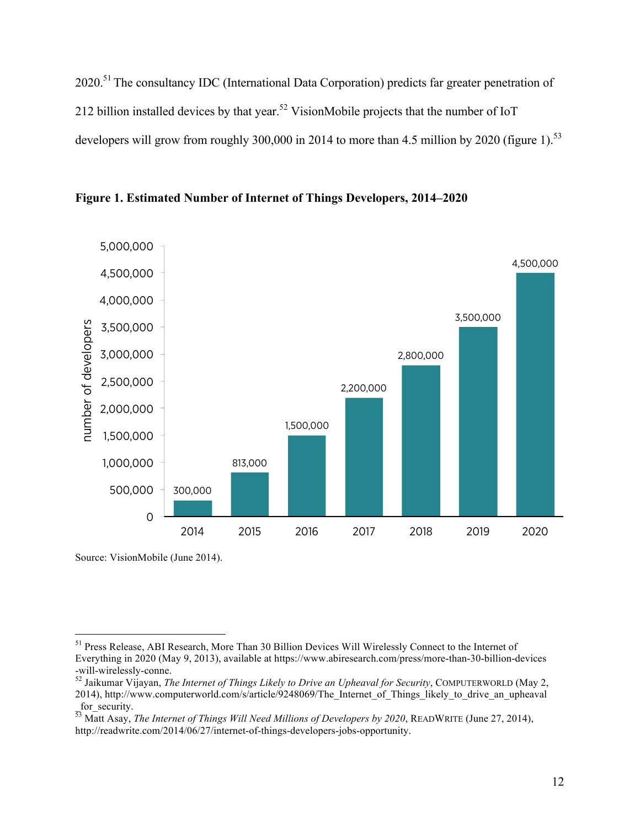2020.<sup>51</sup> The consultancy IDC (International Data Corporation) predicts far greater penetration of 212 billion installed devices by that year.<sup>52</sup> VisionMobile projects that the number of IoT developers will grow from roughly 300,000 in 2014 to more than 4.5 million by 2020 (figure 1).<sup>53</sup>



**Figure 1. Estimated Number of Internet of Things Developers, 2014–2020**

Source: VisionMobile (June 2014).

 <sup>51</sup> Press Release, ABI Research, More Than 30 Billion Devices Will Wirelessly Connect to the Internet of Everything in 2020 (May 9, 2013), available at https://www.abiresearch.com/press/more-than-30-billion-devices

<sup>&</sup>lt;sup>52</sup> Jaikumar Vijayan, *The Internet of Things Likely to Drive an Upheaval for Security*, COMPUTERWORLD (May 2, 2014), http://www.computerworld.com/s/article/9248069/The\_Internet\_of\_Things\_likely\_to\_drive\_an\_upheaval for security.

<sup>53</sup> Matt Asay, *The Internet of Things Will Need Millions of Developers by 2020*, READWRITE (June 27, 2014), http://readwrite.com/2014/06/27/internet-of-things-developers-jobs-opportunity.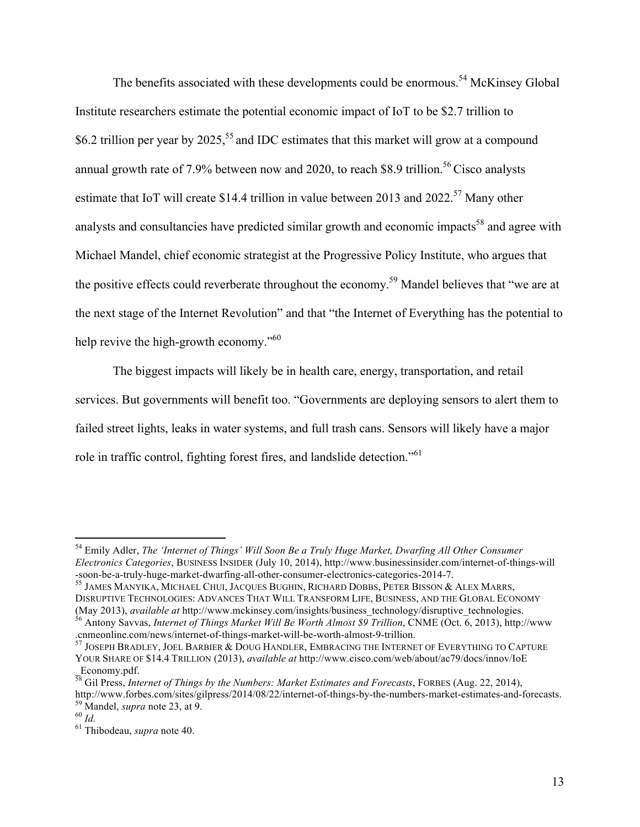The benefits associated with these developments could be enormous.<sup>54</sup> McKinsey Global Institute researchers estimate the potential economic impact of IoT to be \$2.7 trillion to \$6.2 trillion per year by 2025,<sup>55</sup> and IDC estimates that this market will grow at a compound annual growth rate of 7.9% between now and 2020, to reach \$8.9 trillion.<sup>56</sup> Cisco analysts estimate that IoT will create \$14.4 trillion in value between 2013 and 2022.<sup>57</sup> Many other analysts and consultancies have predicted similar growth and economic impacts<sup>58</sup> and agree with Michael Mandel, chief economic strategist at the Progressive Policy Institute, who argues that the positive effects could reverberate throughout the economy.<sup>59</sup> Mandel believes that "we are at the next stage of the Internet Revolution" and that "the Internet of Everything has the potential to help revive the high-growth economy."<sup>60</sup>

The biggest impacts will likely be in health care, energy, transportation, and retail services. But governments will benefit too. "Governments are deploying sensors to alert them to failed street lights, leaks in water systems, and full trash cans. Sensors will likely have a major role in traffic control, fighting forest fires, and landslide detection."<sup>61</sup>

 <sup>54</sup> Emily Adler, *The 'Internet of Things' Will Soon Be a Truly Huge Market, Dwarfing All Other Consumer Electronics Categories*, BUSINESS INSIDER (July 10, 2014), http://www.businessinsider.com/internet-of-things-will

<sup>&</sup>lt;sup>55</sup> JAMES MANYIKA, MICHAEL CHUI, JACQUES BUGHIN, RICHARD DOBBS, PETER BISSON & ALEX MARRS, DISRUPTIVE TECHNOLOGIES: ADVANCES THAT WILL TRANSFORM LIFE, BUSINESS, AND THE GLOBAL ECONOMY (May 2013), available at http://www.mckinsey.com/insights/business\_technology/disruptive\_technologies.<br><sup>56</sup> Antony Savvas, *Internet of Things Market Will Be Worth Almost \$9 Trillion*, CNME (Oct. 6, 2013), http://www

<sup>.</sup>cnmeonline.com/news/internet-of-things-market-will-be-worth-almost-9-trillion.<br><sup>57</sup> JOSEPH BRADLEY, JOEL BARBIER & DOUG HANDLER, EMBRACING THE INTERNET OF EVERYTHING TO CAPTURE

YOUR SHARE OF \$14.4 TRILLION (2013), *available at* http://www.cisco.com/web/about/ac79/docs/innov/IoE Economy.pdf.

<sup>58</sup> Gil Press, *Internet of Things by the Numbers: Market Estimates and Forecasts*, FORBES (Aug. 22, 2014), http://www.forbes.com/sites/gilpress/2014/08/22/internet-of-things-by-the-numbers-market-estimates-and-forecasts.<br><sup>59</sup> Mandel, *supra* note 23, at 9.<br><sup>60</sup> *Id.* 61 Thibodeau, *supra* note 40.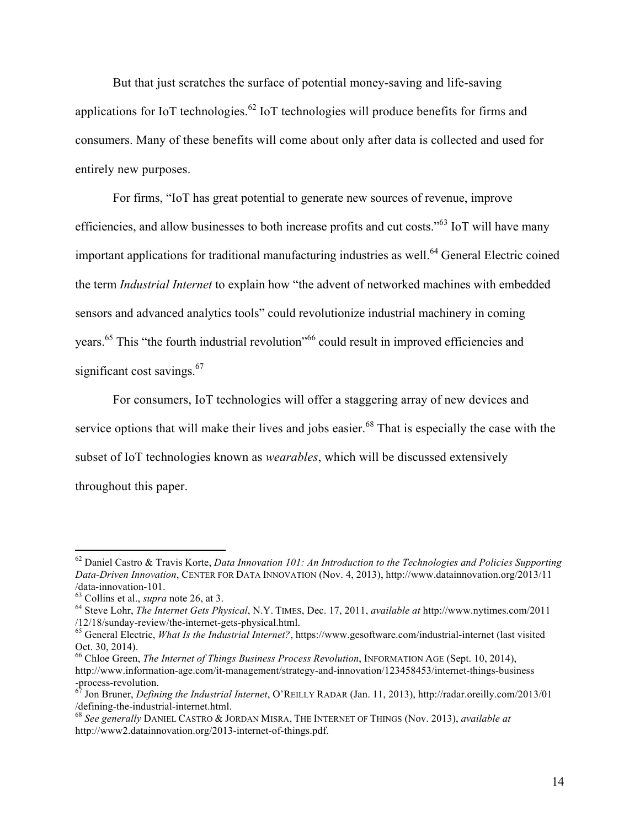But that just scratches the surface of potential money-saving and life-saving applications for IoT technologies.<sup>62</sup> IoT technologies will produce benefits for firms and consumers. Many of these benefits will come about only after data is collected and used for entirely new purposes.

For firms, "IoT has great potential to generate new sources of revenue, improve efficiencies, and allow businesses to both increase profits and cut costs."63 IoT will have many important applications for traditional manufacturing industries as well.<sup>64</sup> General Electric coined the term *Industrial Internet* to explain how "the advent of networked machines with embedded sensors and advanced analytics tools" could revolutionize industrial machinery in coming years.<sup>65</sup> This "the fourth industrial revolution"<sup>66</sup> could result in improved efficiencies and significant cost savings.<sup>67</sup>

For consumers, IoT technologies will offer a staggering array of new devices and service options that will make their lives and jobs easier.<sup>68</sup> That is especially the case with the subset of IoT technologies known as *wearables*, which will be discussed extensively throughout this paper.

 <sup>62</sup> Daniel Castro & Travis Korte, *Data Innovation 101: An Introduction to the Technologies and Policies Supporting Data-Driven Innovation*, CENTER FOR DATA INNOVATION (Nov. 4, 2013), http://www.datainnovation.org/2013/11

<sup>&</sup>lt;sup>63</sup> Collins et al., *supra* note 26, at 3.<br><sup>64</sup> Steve Lohr, *The Internet Gets Physical*, N.Y. TIMES, Dec. 17, 2011, *available at* http://www.nytimes.com/2011<br>/12/18/sunday-review/the-internet-gets-physical.html.

<sup>&</sup>lt;sup>65</sup> General Electric, *What Is the Industrial Internet?*, https://www.gesoftware.com/industrial-internet (last visited Oct. 30, 2014).

<sup>&</sup>lt;sup>66</sup> Chloe Green, *The Internet of Things Business Process Revolution*, INFORMATION AGE (Sept. 10, 2014), http://www.information-age.com/it-management/strategy-and-innovation/123458453/internet-things-business<br>-process-revolution.<br><sup>67</sup> Ion Brunse D. C.

<sup>-</sup>process-revolution. <sup>67</sup> Jon Bruner, *Defining the Industrial Internet*, O'REILLY RADAR (Jan. 11, 2013), http://radar.oreilly.com/2013/01 /defining-the-industrial-internet.html. <sup>68</sup> *See generally* DANIEL CASTRO & JORDAN MISRA, THE INTERNET OF THINGS (Nov. 2013), *available at*

http://www2.datainnovation.org/2013-internet-of-things.pdf.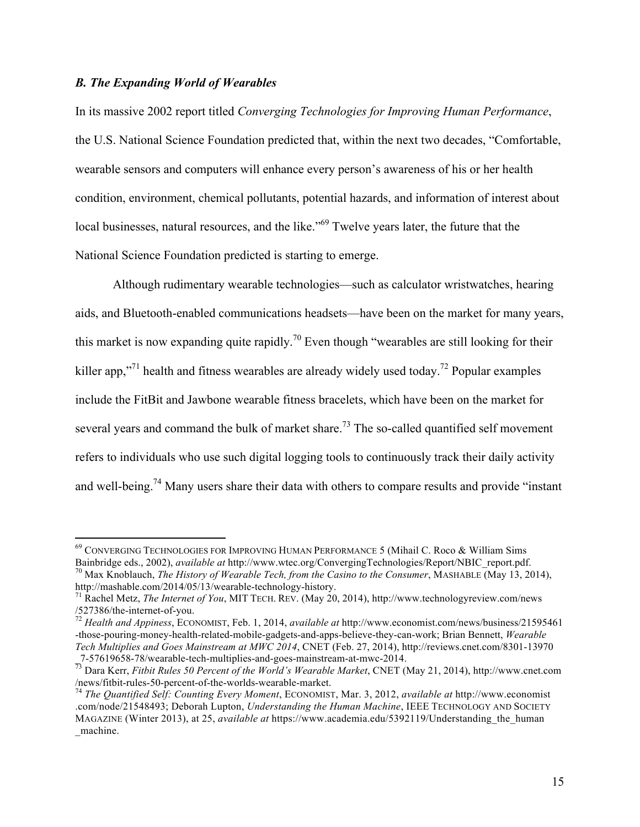#### *B. The Expanding World of Wearables*

In its massive 2002 report titled *Converging Technologies for Improving Human Performance*, the U.S. National Science Foundation predicted that, within the next two decades, "Comfortable, wearable sensors and computers will enhance every person's awareness of his or her health condition, environment, chemical pollutants, potential hazards, and information of interest about local businesses, natural resources, and the like."<sup>69</sup> Twelve years later, the future that the National Science Foundation predicted is starting to emerge.

Although rudimentary wearable technologies—such as calculator wristwatches, hearing aids, and Bluetooth-enabled communications headsets—have been on the market for many years, this market is now expanding quite rapidly.<sup>70</sup> Even though "wearables are still looking for their killer app,"<sup>71</sup> health and fitness wearables are already widely used today.<sup>72</sup> Popular examples include the FitBit and Jawbone wearable fitness bracelets, which have been on the market for several years and command the bulk of market share.<sup>73</sup> The so-called quantified self movement refers to individuals who use such digital logging tools to continuously track their daily activity and well-being.<sup>74</sup> Many users share their data with others to compare results and provide "instant"

<sup>&</sup>lt;sup>69</sup> CONVERGING TECHNOLOGIES FOR IMPROVING HUMAN PERFORMANCE 5 (Mihail C. Roco & William Sims Bainbridge eds., 2002), *available at* http://www.wtec.org/ConvergingTechnologies/Report/NBIC\_report.pdf.

<sup>&</sup>lt;sup>70</sup> Max Knoblauch, *The History of Wearable Tech, from the Casino to the Consumer*, MASHABLE (May 13, 2014), http://mashable.com/2014/05/13/wearable-technology-history.

<sup>&</sup>lt;sup>71</sup> Rachel Metz, *The Internet of You*, MIT TECH. REV. (May 20, 2014), http://www.technologyreview.com/news /527386/the-internet-of-you. <sup>72</sup> *Health and Appiness*, ECONOMIST, Feb. 1, 2014, *available at* http://www.economist.com/news/business/21595461

<sup>-</sup>those-pouring-money-health-related-mobile-gadgets-and-apps-believe-they-can-work; Brian Bennett, *Wearable Tech Multiplies and Goes Mainstream at MWC 2014*, CNET (Feb. 27, 2014), http://reviews.cnet.com/8301-13970

\_7-57619658-78/wearable-tech-multiplies-and-goes-mainstream-at-mwc-2014. <sup>73</sup> Dara Kerr, *Fitbit Rules 50 Percent of the World's Wearable Market*, CNET (May 21, 2014), http://www.cnet.com

<sup>&</sup>lt;sup>74</sup> The Quantified Self: Counting Every Moment, ECONOMIST, Mar. 3, 2012, *available at* http://www.economist .com/node/21548493; Deborah Lupton, *Understanding the Human Machine*, IEEE TECHNOLOGY AND SOCIETY MAGAZINE (Winter 2013), at 25, *available at* https://www.academia.edu/5392119/Understanding\_the\_human \_machine.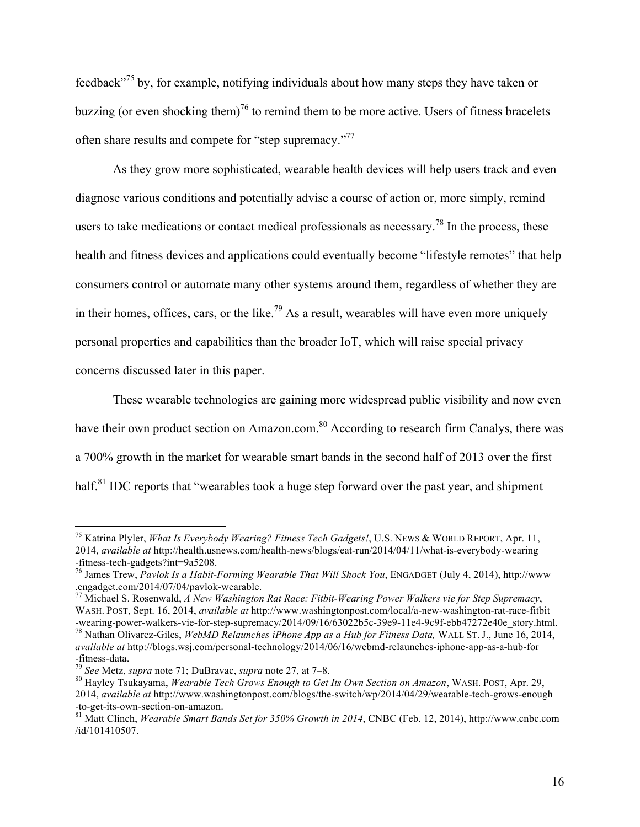feedback<sup>775</sup> by, for example, notifying individuals about how many steps they have taken or buzzing (or even shocking them)<sup>76</sup> to remind them to be more active. Users of fitness bracelets often share results and compete for "step supremacy."77

As they grow more sophisticated, wearable health devices will help users track and even diagnose various conditions and potentially advise a course of action or, more simply, remind users to take medications or contact medical professionals as necessary.<sup>78</sup> In the process, these health and fitness devices and applications could eventually become "lifestyle remotes" that help consumers control or automate many other systems around them, regardless of whether they are in their homes, offices, cars, or the like.<sup>79</sup> As a result, wearables will have even more uniquely personal properties and capabilities than the broader IoT, which will raise special privacy concerns discussed later in this paper.

These wearable technologies are gaining more widespread public visibility and now even have their own product section on Amazon.com.<sup>80</sup> According to research firm Canalys, there was a 700% growth in the market for wearable smart bands in the second half of 2013 over the first half.<sup>81</sup> IDC reports that "wearables took a huge step forward over the past year, and shipment

 <sup>75</sup> Katrina Plyler, *What Is Everybody Wearing? Fitness Tech Gadgets!*, U.S. NEWS & WORLD REPORT, Apr. 11, 2014, *available at* http://health.usnews.com/health-news/blogs/eat-run/2014/04/11/what-is-everybody-wearing

<sup>-</sup>fitness-tech-gadgets?int=9a5208.<br><sup>76</sup> James Trew, *Pavlok Is a Habit-Forming Wearable That Will Shock You*, ENGADGET (July 4, 2014), http://www.<br>.engadget.com/2014/07/04/pavlok-wearable.

<sup>&</sup>lt;sup>77</sup> Michael S. Rosenwald, *A New Washington Rat Race: Fitbit-Wearing Power Walkers vie for Step Supremacy*,

WASH. POST, Sept. 16, 2014, *available at* http://www.washingtonpost.com/local/a-new-washington-rat-race-fitbit

<sup>&</sup>lt;sup>78</sup> Nathan Olivarez-Giles, WebMD Relaunches iPhone App as a Hub for Fitness Data, WALL ST. J., June 16, 2014, *available at* http://blogs.wsj.com/personal-technology/2014/06/16/webmd-relaunches-iphone-app-as-a-hub-for -fitness-data. <sup>79</sup> *See* Metz, *supra* note 71; DuBravac, *supra* note 27, at 7–8. <sup>80</sup> Hayley Tsukayama, *Wearable Tech Grows Enough to Get Its Own Section on Amazon*, WASH. POST, Apr. 29,

<sup>2014,</sup> *available at* http://www.washingtonpost.com/blogs/the-switch/wp/2014/04/29/wearable-tech-grows-enough -to-get-its-own-section-on-amazon. <sup>81</sup> Matt Clinch, *Wearable Smart Bands Set for 350% Growth in 2014*, CNBC (Feb. 12, 2014), http://www.cnbc.com

<sup>/</sup>id/101410507.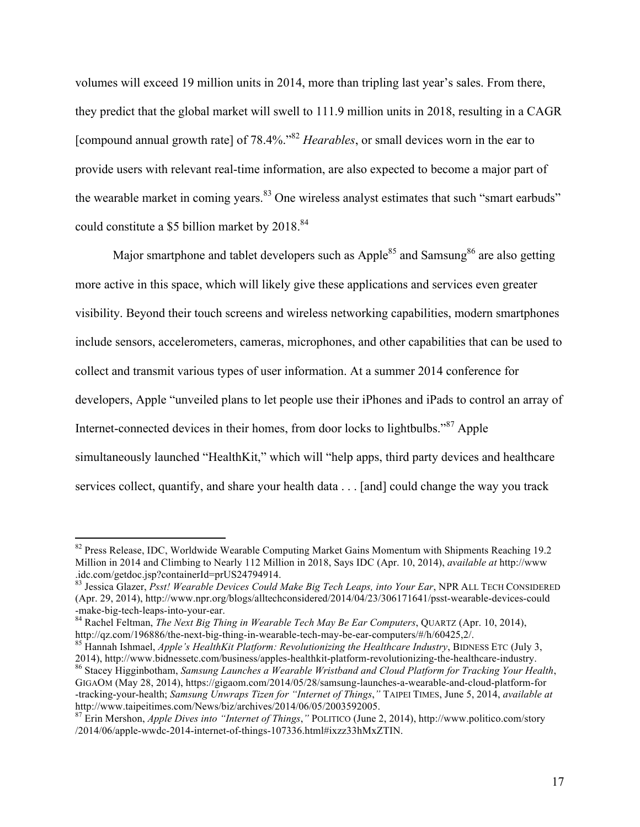volumes will exceed 19 million units in 2014, more than tripling last year's sales. From there, they predict that the global market will swell to 111.9 million units in 2018, resulting in a CAGR [compound annual growth rate] of 78.4%.<sup>82</sup> *Hearables*, or small devices worn in the ear to provide users with relevant real-time information, are also expected to become a major part of the wearable market in coming years.<sup>83</sup> One wireless analyst estimates that such "smart earbuds" could constitute a \$5 billion market by 2018.<sup>84</sup>

Major smartphone and tablet developers such as  $Apple^{85}$  and Samsung<sup>86</sup> are also getting more active in this space, which will likely give these applications and services even greater visibility. Beyond their touch screens and wireless networking capabilities, modern smartphones include sensors, accelerometers, cameras, microphones, and other capabilities that can be used to collect and transmit various types of user information. At a summer 2014 conference for developers, Apple "unveiled plans to let people use their iPhones and iPads to control an array of Internet-connected devices in their homes, from door locks to lightbulbs."<sup>87</sup> Apple simultaneously launched "HealthKit," which will "help apps, third party devices and healthcare services collect, quantify, and share your health data . . . [and] could change the way you track

<sup>&</sup>lt;sup>82</sup> Press Release, IDC, Worldwide Wearable Computing Market Gains Momentum with Shipments Reaching 19.2 Million in 2014 and Climbing to Nearly 112 Million in 2018, Says IDC (Apr. 10, 2014), *available at* http://www .idc.com/getdoc.jsp?containerId=prUS24794914.

<sup>83</sup> Jessica Glazer, *Psst! Wearable Devices Could Make Big Tech Leaps, into Your Ear*, NPR ALL TECH CONSIDERED (Apr. 29, 2014), http://www.npr.org/blogs/alltechconsidered/2014/04/23/306171641/psst-wearable-devices-could

<sup>-</sup>make-big-tech-leaps-into-your-ear.<br><sup>84</sup> Rachel Feltman, *The Next Big Thing in Wearable Tech May Be Ear Computers*, QUARTZ (Apr. 10, 2014),<br>http://qz.com/196886/the-next-big-thing-in-wearable-tech-may-be-ear-computers/#/h

<sup>&</sup>lt;sup>85</sup> Hannah Ishmael, *Apple's HealthKit Platform: Revolutionizing the Healthcare Industry*, BIDNESS ETC (July 3, 2014), http://www.bidnessetc.com/business/apples-healthkit-platform-revolutionizing-the-healthcare-industry. <sup>86</sup> Stacey Higginbotham, *Samsung Launches a Wearable Wristband and Cloud Platform for Tracking Your Health*,

GIGAOM (May 28, 2014), https://gigaom.com/2014/05/28/samsung-launches-a-wearable-and-cloud-platform-for -tracking-your-health; *Samsung Unwraps Tizen for "Internet of Things*,*"* TAIPEI TIMES, June 5, 2014, *available at* http://www.taipeitimes.com/News/biz/archives/2014/06/05/2003592005. <sup>87</sup> Erin Mershon, *Apple Dives into "Internet of Things*,*"* POLITICO (June 2, 2014), http://www.politico.com/story

<sup>/2014/06/</sup>apple-wwdc-2014-internet-of-things-107336.html#ixzz33hMxZTIN.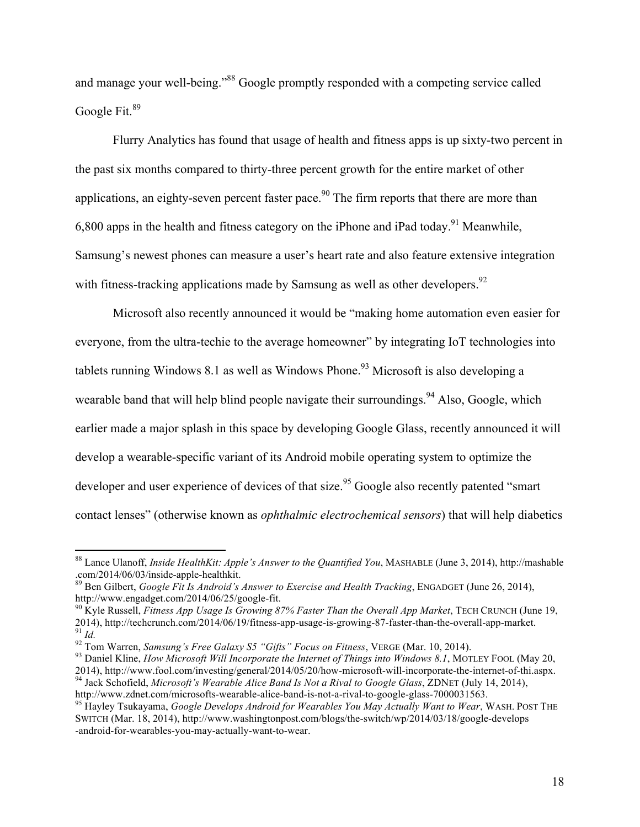and manage your well-being."<sup>88</sup> Google promptly responded with a competing service called Google Fit.<sup>89</sup>

Flurry Analytics has found that usage of health and fitness apps is up sixty-two percent in the past six months compared to thirty-three percent growth for the entire market of other applications, an eighty-seven percent faster pace. <sup>90</sup> The firm reports that there are more than 6,800 apps in the health and fitness category on the iPhone and iPad today.<sup>91</sup> Meanwhile, Samsung's newest phones can measure a user's heart rate and also feature extensive integration with fitness-tracking applications made by Samsung as well as other developers.<sup>92</sup>

Microsoft also recently announced it would be "making home automation even easier for everyone, from the ultra-techie to the average homeowner" by integrating IoT technologies into tablets running Windows 8.1 as well as Windows Phone.<sup>93</sup> Microsoft is also developing a wearable band that will help blind people navigate their surroundings.<sup>94</sup> Also, Google, which earlier made a major splash in this space by developing Google Glass, recently announced it will develop a wearable-specific variant of its Android mobile operating system to optimize the developer and user experience of devices of that size.<sup>95</sup> Google also recently patented "smart" contact lenses" (otherwise known as *ophthalmic electrochemical sensors*) that will help diabetics

 <sup>88</sup> Lance Ulanoff, *Inside HealthKit: Apple's Answer to the Quantified You*, MASHABLE (June 3, 2014), http://mashable

<sup>&</sup>lt;sup>89</sup> Ben Gilbert, *Google Fit Is Android's Answer to Exercise and Health Tracking*, ENGADGET (June 26, 2014), http://www.engadget.com/2014/06/25/google-fit.

<sup>&</sup>lt;sup>90</sup> Kyle Russell, *Fitness App Usage Is Growing 87% Faster Than the Overall App Market*, TECH CRUNCH (June 19, 2014), http://techcrunch.com/2014/06/19/fitness-app-usage-is-growing-87-faster-than-the-overall-app-market. <sup>91</sup> Id.<br><sup>92</sup> Tom Warren, *Samsung's Free Galaxy S5 "Gifts" Focus on Fitness*, VERGE (Mar. 10, 2014).<br><sup>93</sup> Daniel Kline, *How Microsoft Will Incorporate the Internet of Things into Windows 8.1*, MOTLEY FOOL (May 20,

<sup>2014),</sup> http://www.fool.com/investing/general/2014/05/20/how-microsoft-will-incorporate-the-internet-of-thi.aspx.<br><sup>94</sup> Jack Schofield, *Microsoft's Wearable Alice Band Is Not a Rival to Google Glass*, ZDNET (July 14, 2014),

<sup>&</sup>lt;sup>95</sup> Hayley Tsukayama, *Google Develops Android for Wearables You May Actually Want to Wear*, WASH. POST THE SWITCH (Mar. 18, 2014), http://www.washingtonpost.com/blogs/the-switch/wp/2014/03/18/google-develops -android-for-wearables-you-may-actually-want-to-wear.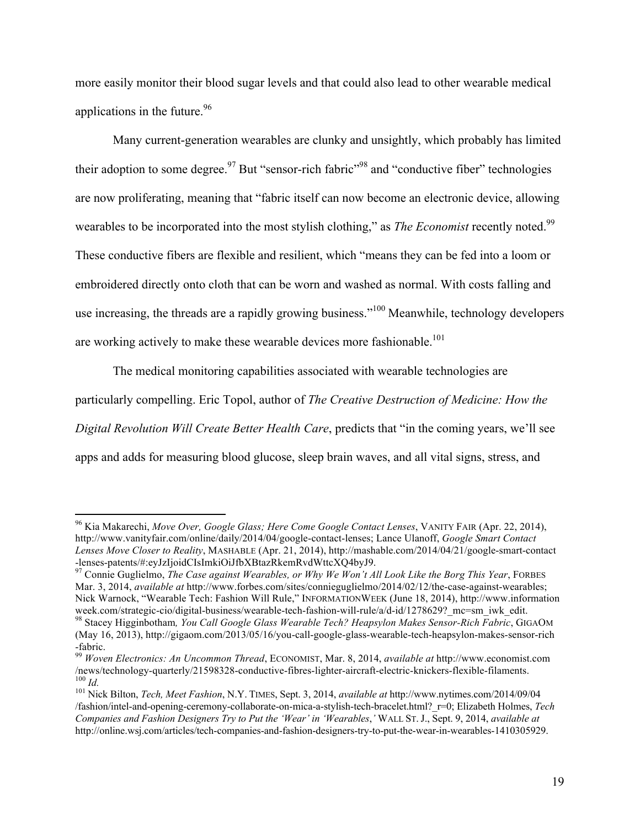more easily monitor their blood sugar levels and that could also lead to other wearable medical applications in the future.  $96$ 

Many current-generation wearables are clunky and unsightly, which probably has limited their adoption to some degree.<sup>97</sup> But "sensor-rich fabric"<sup>98</sup> and "conductive fiber" technologies are now proliferating, meaning that "fabric itself can now become an electronic device, allowing wearables to be incorporated into the most stylish clothing," as *The Economist* recently noted.<sup>99</sup> These conductive fibers are flexible and resilient, which "means they can be fed into a loom or embroidered directly onto cloth that can be worn and washed as normal. With costs falling and use increasing, the threads are a rapidly growing business."<sup>100</sup> Meanwhile, technology developers are working actively to make these wearable devices more fashionable.<sup>101</sup>

The medical monitoring capabilities associated with wearable technologies are particularly compelling. Eric Topol, author of *The Creative Destruction of Medicine: How the Digital Revolution Will Create Better Health Care*, predicts that "in the coming years, we'll see apps and adds for measuring blood glucose, sleep brain waves, and all vital signs, stress, and

 <sup>96</sup> Kia Makarechi, *Move Over, Google Glass; Here Come Google Contact Lenses*, VANITY FAIR (Apr. 22, 2014), http://www.vanityfair.com/online/daily/2014/04/google-contact-lenses; Lance Ulanoff, *Google Smart Contact Lenses Move Closer to Reality*, MASHABLE (Apr. 21, 2014), http://mashable.com/2014/04/21/google-smart-contact -lenses-patents/#:eyJzIjoidCIsImkiOiJfbXBtazRkemRvdWttcXQ4byJ9. <sup>97</sup> Connie Guglielmo, *The Case against Wearables, or Why We Won't All Look Like the Borg This Year*, FORBES

Mar. 3, 2014, *available at* http://www.forbes.com/sites/connieguglielmo/2014/02/12/the-case-against-wearables; Nick Warnock, "Wearable Tech: Fashion Will Rule," INFORMATIONWEEK (June 18, 2014), http://www.information week.com/strategic-cio/digital-business/wearable-tech-fashion-will-rule/a/d-id/1278629?\_mc=sm\_iwk\_edit. <sup>98</sup> Stacey Higginbotham*, You Call Google Glass Wearable Tech? Heapsylon Makes Sensor-Rich Fabric*, GIGAOM

<sup>(</sup>May 16, 2013), http://gigaom.com/2013/05/16/you-call-google-glass-wearable-tech-heapsylon-makes-sensor-rich -fabric.

<sup>99</sup> *Woven Electronics: An Uncommon Thread*, ECONOMIST, Mar. 8, 2014, *available at* http://www.economist.com /news/technology-quarterly/21598328-conductive-fibres-lighter-aircraft-electric-knickers-flexible-filaments.<br><sup>100</sup> Id.<br><sup>101</sup> Nick Bilton, *Tech, Meet Fashion*, N.Y. TIMES, Sept. 3, 2014, *available at* http://www.nytimes.c

<sup>/</sup>fashion/intel-and-opening-ceremony-collaborate-on-mica-a-stylish-tech-bracelet.html?\_r=0; Elizabeth Holmes, *Tech Companies and Fashion Designers Try to Put the 'Wear' in 'Wearables*,*'* WALL ST.J., Sept. 9, 2014, *available at* http://online.wsj.com/articles/tech-companies-and-fashion-designers-try-to-put-the-wear-in-wearables-1410305929.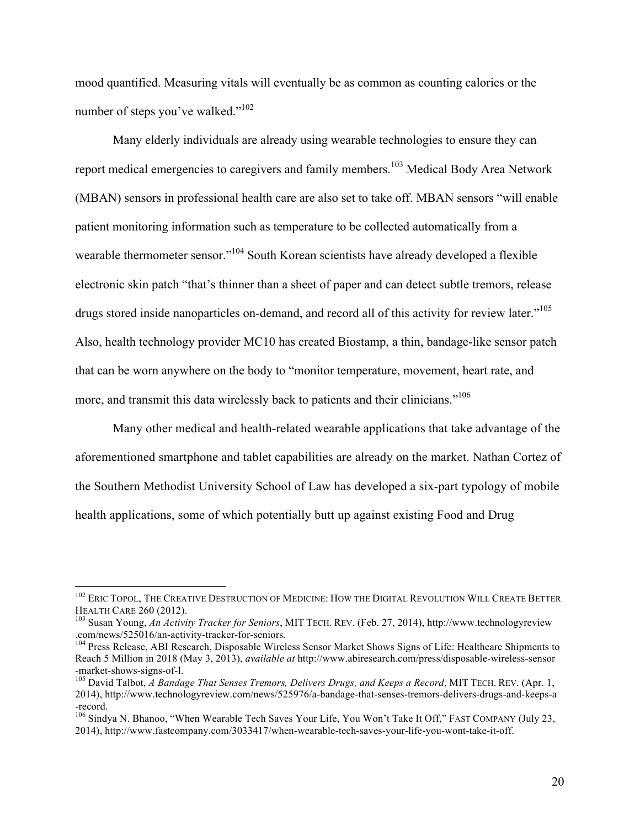mood quantified. Measuring vitals will eventually be as common as counting calories or the number of steps you've walked."<sup>102</sup>

Many elderly individuals are already using wearable technologies to ensure they can report medical emergencies to caregivers and family members.<sup>103</sup> Medical Body Area Network (MBAN) sensors in professional health care are also set to take off. MBAN sensors "will enable patient monitoring information such as temperature to be collected automatically from a wearable thermometer sensor."<sup>104</sup> South Korean scientists have already developed a flexible electronic skin patch "that's thinner than a sheet of paper and can detect subtle tremors, release drugs stored inside nanoparticles on-demand, and record all of this activity for review later."<sup>105</sup> Also, health technology provider MC10 has created Biostamp, a thin, bandage-like sensor patch that can be worn anywhere on the body to "monitor temperature, movement, heart rate, and more, and transmit this data wirelessly back to patients and their clinicians."<sup>106</sup>

Many other medical and health-related wearable applications that take advantage of the aforementioned smartphone and tablet capabilities are already on the market. Nathan Cortez of the Southern Methodist University School of Law has developed a six-part typology of mobile health applications, some of which potentially butt up against existing Food and Drug

 $102$  Eric Topol, The Creative Destruction of Medicine: How the Digital Revolution Will Create Better<br>Health Care 260 (2012).

<sup>&</sup>lt;sup>103</sup> Susan Young, *An Activity Tracker for Seniors*, MIT TECH. REV. (Feb. 27, 2014), http://www.technologyreview .com/news/525016/an-activity-tracker-for-seniors. <sup>104</sup> Press Release, ABI Research, Disposable Wireless Sensor Market Shows Signs of Life: Healthcare Shipments to

Reach 5 Million in 2018 (May 3, 2013), *available at* http://www.abiresearch.com/press/disposable-wireless-sensor -market-shows-signs-of-l.<br><sup>105</sup> David Talbot, *A Bandage That Senses Tremors, Delivers Drugs, and Keeps a Record*, MIT TECH. REV. (Apr. 1,

<sup>2014),</sup> http://www.technologyreview.com/news/525976/a-bandage-that-senses-tremors-delivers-drugs-and-keeps-a -record.

<sup>&</sup>lt;sup>106</sup> Sindya N. Bhanoo, "When Wearable Tech Saves Your Life, You Won't Take It Off," FAST COMPANY (July 23, 2014), http://www.fastcompany.com/3033417/when-wearable-tech-saves-your-life-you-wont-take-it-off.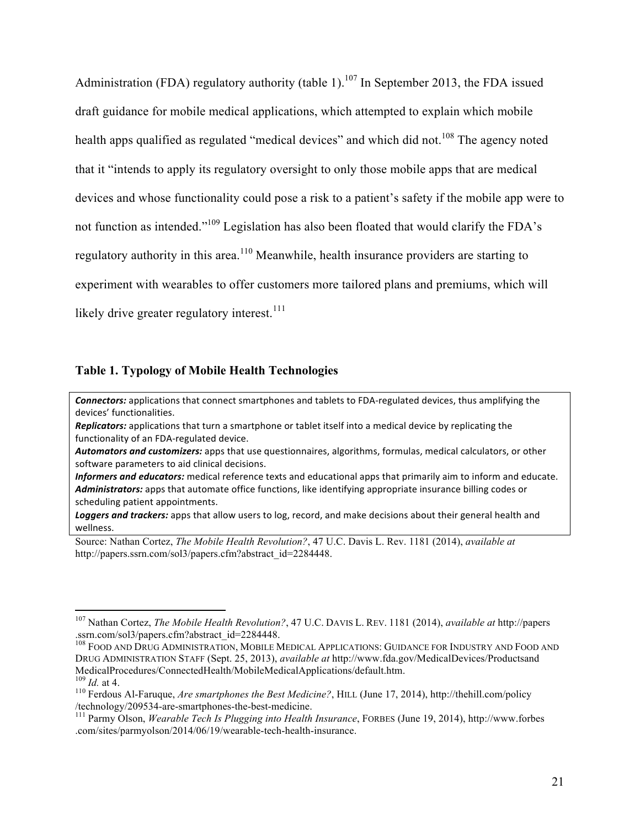Administration (FDA) regulatory authority (table 1).<sup>107</sup> In September 2013, the FDA issued draft guidance for mobile medical applications, which attempted to explain which mobile health apps qualified as regulated "medical devices" and which did not.<sup>108</sup> The agency noted that it "intends to apply its regulatory oversight to only those mobile apps that are medical devices and whose functionality could pose a risk to a patient's safety if the mobile app were to not function as intended."109 Legislation has also been floated that would clarify the FDA's regulatory authority in this area.<sup>110</sup> Meanwhile, health insurance providers are starting to experiment with wearables to offer customers more tailored plans and premiums, which will likely drive greater regulatory interest.<sup>111</sup>

#### **Table 1. Typology of Mobile Health Technologies**

**Connectors:** applications that connect smartphones and tablets to FDA-regulated devices, thus amplifying the devices' functionalities.

*Replicators:* applications that turn a smartphone or tablet itself into a medical device by replicating the functionality of an FDA-regulated device.

Automators and *customizers:* apps that use questionnaires, algorithms, formulas, medical calculators, or other software parameters to aid clinical decisions.

*Informers and educators:* medical reference texts and educational apps that primarily aim to inform and educate. Administrators: apps that automate office functions, like identifying appropriate insurance billing codes or scheduling patient appointments.

Loggers and trackers: apps that allow users to log, record, and make decisions about their general health and wellness.

Source: Nathan Cortez, *The Mobile Health Revolution?*, 47 U.C. Davis L. Rev. 1181 (2014), *available at* http://papers.ssrn.com/sol3/papers.cfm?abstract\_id=2284448.

 <sup>107</sup> Nathan Cortez, *The Mobile Health Revolution?*, 47 U.C. DAVIS L. REV. 1181 (2014), *available at* http://papers .ssrn.com/sol3/papers.cfm?abstract\_id=2284448.

<sup>&</sup>lt;sup>108</sup> FOOD AND DRUG ADMINISTRATION, MOBILE MEDICAL APPLICATIONS: GUIDANCE FOR INDUSTRY AND FOOD AND DRUG ADMINISTRATION STAFF (Sept. 25, 2013), *available at* http://www.fda.gov/MedicalDevices/Productsand MedicalProcedures/ConnectedHealth/MobileMedicalApplications/default.htm.  $^{109}$  Id. at 4.

<sup>&</sup>lt;sup>110</sup> Ferdous Al-Faruque, *Are smartphones the Best Medicine?*, HILL (June 17, 2014), http://thehill.com/policy /technology/209534-are-smartphones-the-best-medicine. <sup>111</sup> Parmy Olson, *Wearable Tech Is Plugging into Health Insurance*, FORBES (June 19, 2014), http://www.forbes

<sup>.</sup>com/sites/parmyolson/2014/06/19/wearable-tech-health-insurance.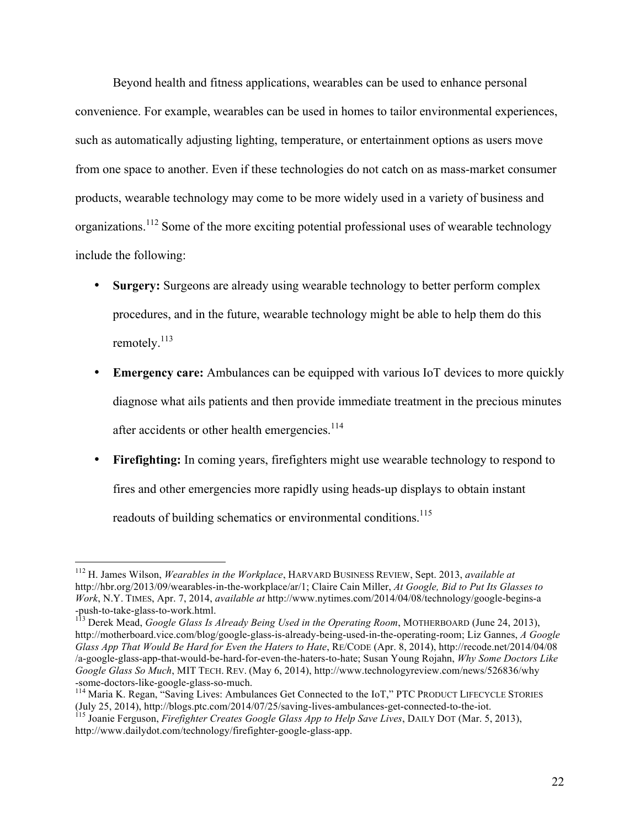Beyond health and fitness applications, wearables can be used to enhance personal convenience. For example, wearables can be used in homes to tailor environmental experiences, such as automatically adjusting lighting, temperature, or entertainment options as users move from one space to another. Even if these technologies do not catch on as mass-market consumer products, wearable technology may come to be more widely used in a variety of business and organizations.<sup>112</sup> Some of the more exciting potential professional uses of wearable technology include the following:

- **Surgery:** Surgeons are already using wearable technology to better perform complex procedures, and in the future, wearable technology might be able to help them do this remotely.<sup>113</sup>
- **Emergency care:** Ambulances can be equipped with various IoT devices to more quickly diagnose what ails patients and then provide immediate treatment in the precious minutes after accidents or other health emergencies.<sup>114</sup>
- **Firefighting:** In coming years, firefighters might use wearable technology to respond to fires and other emergencies more rapidly using heads-up displays to obtain instant readouts of building schematics or environmental conditions.<sup>115</sup>

 <sup>112</sup> H. James Wilson, *Wearables in the Workplace*, HARVARD BUSINESS REVIEW, Sept. 2013, *available at* http://hbr.org/2013/09/wearables-in-the-workplace/ar/1; Claire Cain Miller, *At Google, Bid to Put Its Glasses to Work*, N.Y. TIMES, Apr. 7, 2014, *available at* http://www.nytimes.com/2014/04/08/technology/google-begins-a -push-to-take-glass-to-work.html. <sup>113</sup> Derek Mead, *Google Glass Is Already Being Used in the Operating Room*, MOTHERBOARD (June 24, 2013),

http://motherboard.vice.com/blog/google-glass-is-already-being-used-in-the-operating-room; Liz Gannes, *A Google Glass App That Would Be Hard for Even the Haters to Hate*, RE/CODE (Apr. 8, 2014), http://recode.net/2014/04/08 /a-google-glass-app-that-would-be-hard-for-even-the-haters-to-hate; Susan Young Rojahn, *Why Some Doctors Like Google Glass So Much*, MIT TECH. REV. (May 6, 2014), http://www.technologyreview.com/news/526836/why -some-doctors-like-google-glass-so-much.<br><sup>114</sup> Maria K. Regan, "Saving Lives: Ambulances Get Connected to the IoT," PTC PRODUCT LIFECYCLE STORIES

<sup>(</sup>July 25, 2014), http://blogs.ptc.com/2014/07/25/saving-lives-ambulances-get-connected-to-the-iot. <sup>115</sup> Joanie Ferguson, *Firefighter Creates Google Glass App to Help Save Lives*, DAILY DOT (Mar. 5, 2013),

http://www.dailydot.com/technology/firefighter-google-glass-app.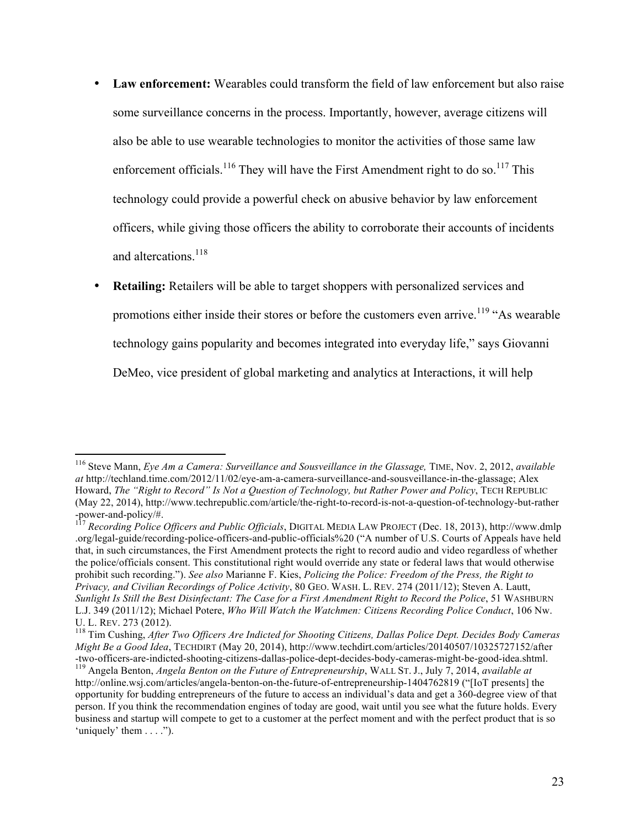- **Law enforcement:** Wearables could transform the field of law enforcement but also raise some surveillance concerns in the process. Importantly, however, average citizens will also be able to use wearable technologies to monitor the activities of those same law enforcement officials.<sup>116</sup> They will have the First Amendment right to do so.<sup>117</sup> This technology could provide a powerful check on abusive behavior by law enforcement officers, while giving those officers the ability to corroborate their accounts of incidents and altercations.<sup>118</sup>
- **Retailing:** Retailers will be able to target shoppers with personalized services and promotions either inside their stores or before the customers even arrive.<sup>119</sup> "As wearable" technology gains popularity and becomes integrated into everyday life," says Giovanni DeMeo, vice president of global marketing and analytics at Interactions, it will help

 <sup>116</sup> Steve Mann, *Eye Am a Camera: Surveillance and Sousveillance in the Glassage,* TIME, Nov. 2, 2012, *available at* http://techland.time.com/2012/11/02/eye-am-a-camera-surveillance-and-sousveillance-in-the-glassage; Alex Howard, *The "Right to Record" Is Not a Question of Technology, but Rather Power and Policy*, TECH REPUBLIC (May 22, 2014), http://www.techrepublic.com/article/the-right-to-record-is-not-a-question-of-technology-but-rather -power-and-policy/#. <sup>117</sup> *Recording Police Officers and Public Officials*, DIGITAL MEDIA LAW PROJECT (Dec. 18, 2013), http://www.dmlp

<sup>.</sup>org/legal-guide/recording-police-officers-and-public-officials%20 ("A number of U.S. Courts of Appeals have held that, in such circumstances, the First Amendment protects the right to record audio and video regardless of whether the police/officials consent. This constitutional right would override any state or federal laws that would otherwise prohibit such recording."). *See also* Marianne F. Kies, *Policing the Police: Freedom of the Press, the Right to Privacy, and Civilian Recordings of Police Activity*, 80 GEO. WASH. L. REV. 274 (2011/12); Steven A. Lautt, *Sunlight Is Still the Best Disinfectant: The Case for a First Amendment Right to Record the Police*, 51 WASHBURN L.J. 349 (2011/12); Michael Potere, *Who Will Watch the Watchmen: Citizens Recording Police Conduct*, 106 Nw.

<sup>&</sup>lt;sup>118</sup> Tim Cushing, *After Two Officers Are Indicted for Shooting Citizens, Dallas Police Dept. Decides Body Cameras Might Be a Good Idea*, TECHDIRT (May 20, 2014), http://www.techdirt.com/articles/20140507/10325727152/after -two-officers-are-indicted-shooting-citizens-dallas-police-dept-decides-body-cameras-might-be-good-idea.shtml.<br><sup>119</sup> Angela Benton, *Angela Benton on the Future of Entrepreneurship*, WALL ST. J., July 7, 2014, *available a* 

http://online.wsj.com/articles/angela-benton-on-the-future-of-entrepreneurship-1404762819 ("[IoT presents] the opportunity for budding entrepreneurs of the future to access an individual's data and get a 360-degree view of that person. If you think the recommendation engines of today are good, wait until you see what the future holds. Every business and startup will compete to get to a customer at the perfect moment and with the perfect product that is so 'uniquely' them  $\dots$ ").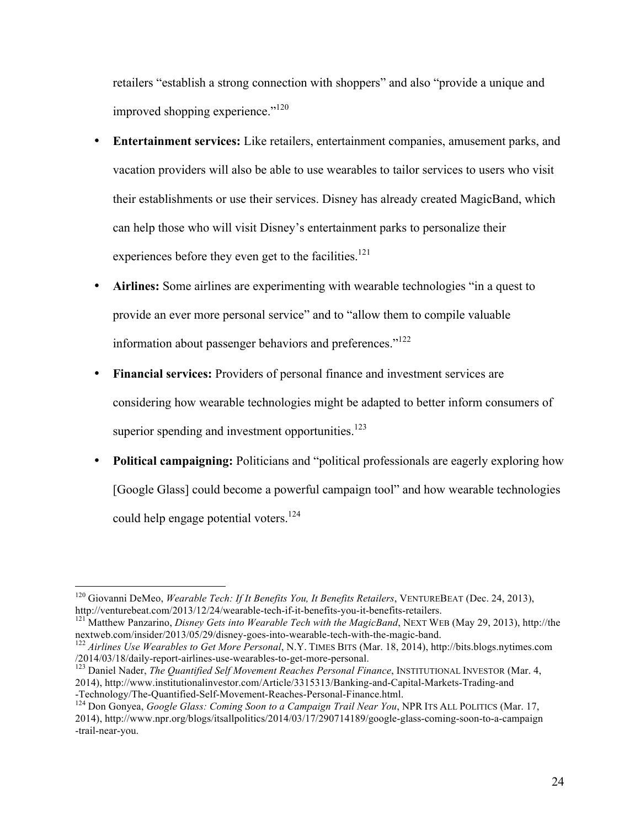retailers "establish a strong connection with shoppers" and also "provide a unique and improved shopping experience."<sup>120</sup>

- **Entertainment services:** Like retailers, entertainment companies, amusement parks, and vacation providers will also be able to use wearables to tailor services to users who visit their establishments or use their services. Disney has already created MagicBand, which can help those who will visit Disney's entertainment parks to personalize their experiences before they even get to the facilities.<sup>121</sup>
- Airlines: Some airlines are experimenting with wearable technologies "in a quest to provide an ever more personal service" and to "allow them to compile valuable information about passenger behaviors and preferences."<sup>122</sup>
- **Financial services:** Providers of personal finance and investment services are considering how wearable technologies might be adapted to better inform consumers of superior spending and investment opportunities. $123$
- **Political campaigning:** Politicians and "political professionals are eagerly exploring how [Google Glass] could become a powerful campaign tool" and how wearable technologies could help engage potential voters.<sup>124</sup>

<sup>&</sup>lt;sup>120</sup> Giovanni DeMeo, *Wearable Tech: If It Benefits You, It Benefits Retailers*, VENTUREBEAT (Dec. 24, 2013), http://venturebeat.com/2013/12/24/wearable-tech-if-it-benefits-you-it-benefits-retailers.

<sup>&</sup>lt;sup>121</sup> Matthew Panzarino, *Disney Gets into Wearable Tech with the MagicBand*, NEXT WEB (May 29, 2013), http://the nextweb.com/insider/2013/05/29/disney-goes-into-wearable-tech-with-the-magic-band. <sup>122</sup> *Airlines Use Wearables to Get More Personal*, N.Y. TIMES BITS (Mar. 18, 2014), http://bits.blogs.nytimes.com

<sup>/2014/03/18/</sup>daily-report-airlines-use-wearables-to-get-more-personal. <sup>123</sup> Daniel Nader, *The Quantified Self Movement Reaches Personal Finance*, INSTITUTIONAL INVESTOR (Mar. 4,

<sup>2014),</sup> http://www.institutionalinvestor.com/Article/3315313/Banking-and-Capital-Markets-Trading-and

<sup>&</sup>lt;sup>124</sup> Don Gonyea, *Google Glass: Coming Soon to a Campaign Trail Near You*, NPR ITS ALL POLITICS (Mar. 17, 2014), http://www.npr.org/blogs/itsallpolitics/2014/03/17/290714189/google-glass-coming-soon-to-a-campaign -trail-near-you.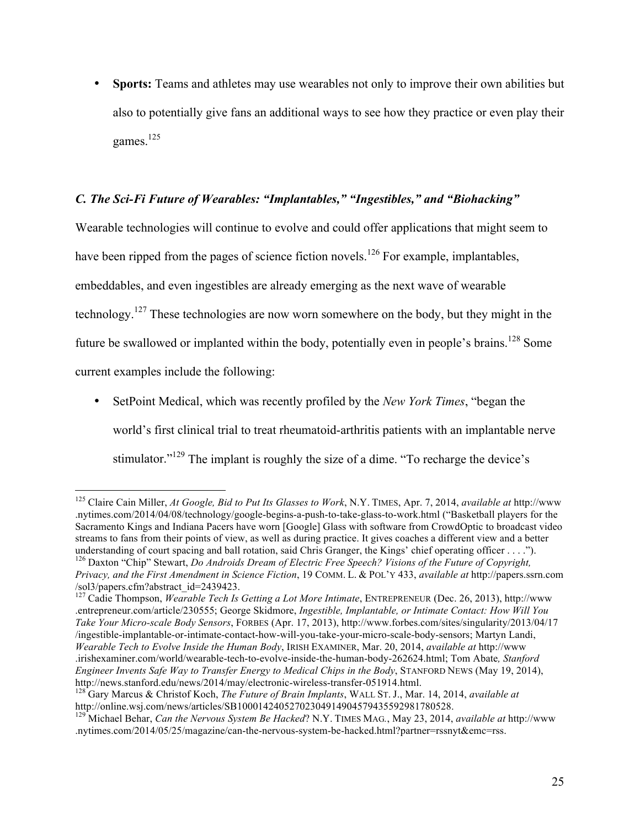• **Sports:** Teams and athletes may use wearables not only to improve their own abilities but also to potentially give fans an additional ways to see how they practice or even play their games.<sup>125</sup>

## *C. The Sci-Fi Future of Wearables: "Implantables," "Ingestibles," and "Biohacking"*

Wearable technologies will continue to evolve and could offer applications that might seem to have been ripped from the pages of science fiction novels.<sup>126</sup> For example, implantables, embeddables, and even ingestibles are already emerging as the next wave of wearable technology.<sup>127</sup> These technologies are now worn somewhere on the body, but they might in the future be swallowed or implanted within the body, potentially even in people's brains.<sup>128</sup> Some current examples include the following:

• SetPoint Medical, which was recently profiled by the *New York Times*, "began the world's first clinical trial to treat rheumatoid-arthritis patients with an implantable nerve stimulator."<sup>129</sup> The implant is roughly the size of a dime. "To recharge the device's

 <sup>125</sup> Claire Cain Miller, *At Google, Bid to Put Its Glasses to Work*, N.Y. TIMES, Apr. 7, 2014, *available at* http://www .nytimes.com/2014/04/08/technology/google-begins-a-push-to-take-glass-to-work.html ("Basketball players for the Sacramento Kings and Indiana Pacers have worn [Google] Glass with software from CrowdOptic to broadcast video streams to fans from their points of view, as well as during practice. It gives coaches a different view and a better understanding of court spacing and ball rotation, said Chris Granger, the Kings' chief operating officer . . . .").<br><sup>126</sup> Daxton "Chip" Stewart, *Do Androids Dream of Electric Free Speech? Visions of the Future of Copyrigh* 

*Privacy, and the First Amendment in Science Fiction*, 19 COMM. L. & POL'Y 433, *available at* http://papers.ssrn.com /sol3/papers.cfm?abstract\_id=2439423.

<sup>&</sup>lt;sup>127</sup> Cadie Thompson, *Wearable Tech Is Getting a Lot More Intimate*, ENTREPRENEUR (Dec. 26, 2013), http://www .entrepreneur.com/article/230555; George Skidmore, *Ingestible, Implantable, or Intimate Contact: How Will You Take Your Micro-scale Body Sensors*, FORBES (Apr. 17, 2013), http://www.forbes.com/sites/singularity/2013/04/17 /ingestible-implantable-or-intimate-contact-how-will-you-take-your-micro-scale-body-sensors; Martyn Landi, *Wearable Tech to Evolve Inside the Human Body*, IRISH EXAMINER, Mar. 20, 2014, *available at* http://www .irishexaminer.com/world/wearable-tech-to-evolve-inside-the-human-body-262624.html; Tom Abate*, Stanford Engineer Invents Safe Way to Transfer Energy to Medical Chips in the Body*, STANFORD NEWS (May 19, 2014), http://news.stanford.edu/news/2014/may/electronic-wireless-transfer-051914.html. <sup>128</sup> Gary Marcus & Christof Koch, *The Future of Brain Implants*, WALL ST. J., Mar. 14, 2014, *available at*

http://online.wsj.com/news/articles/SB10001424052702304914904579435592981780528.

<sup>129</sup> Michael Behar, *Can the Nervous System Be Hacked*? N.Y. TIMES MAG*.*, May 23, 2014, *available at* http://www .nytimes.com/2014/05/25/magazine/can-the-nervous-system-be-hacked.html?partner=rssnyt&emc=rss.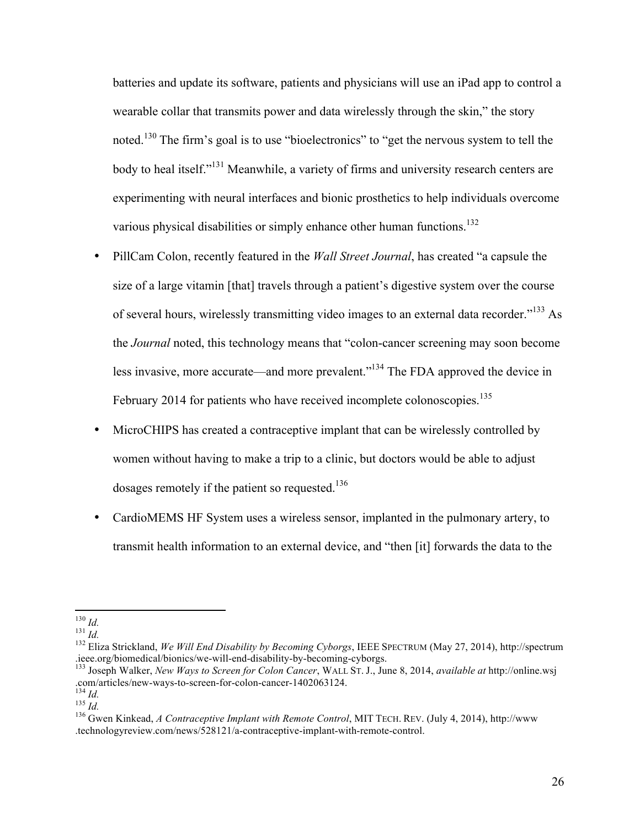batteries and update its software, patients and physicians will use an iPad app to control a wearable collar that transmits power and data wirelessly through the skin," the story noted.<sup>130</sup> The firm's goal is to use "bioelectronics" to "get the nervous system to tell the body to heal itself."<sup>131</sup> Meanwhile, a variety of firms and university research centers are experimenting with neural interfaces and bionic prosthetics to help individuals overcome various physical disabilities or simply enhance other human functions.<sup>132</sup>

- PillCam Colon, recently featured in the *Wall Street Journal*, has created "a capsule the size of a large vitamin [that] travels through a patient's digestive system over the course of several hours, wirelessly transmitting video images to an external data recorder."<sup>133</sup> As the *Journal* noted, this technology means that "colon-cancer screening may soon become less invasive, more accurate—and more prevalent."134 The FDA approved the device in February 2014 for patients who have received incomplete colonoscopies.<sup>135</sup>
- MicroCHIPS has created a contraceptive implant that can be wirelessly controlled by women without having to make a trip to a clinic, but doctors would be able to adjust dosages remotely if the patient so requested.<sup>136</sup>
- CardioMEMS HF System uses a wireless sensor, implanted in the pulmonary artery, to transmit health information to an external device, and "then [it] forwards the data to the

<sup>&</sup>lt;sup>130</sup> *Id.*<br><sup>131</sup> *Id.* 131 *Id.* 132 Eliza Strickland, *We Will End Disability by Becoming Cyborgs*, IEEE SPECTRUM (May 27, 2014), http://spectrum<br>.ieee.org/biomedical/bionics/we-will-end-disability-by-becoming-cyborgs.

<sup>&</sup>lt;sup>133</sup> Joseph Walker, *New Ways to Screen for Colon Cancer*, WALL ST. J., June 8, 2014, *available at* http://online.wsj<br>.com/articles/new-ways-to-screen-for-colon-cancer-1402063124.<br><sup>134</sup> Id.

<sup>135</sup> *Id.*<br><sup>135</sup> *Id.* 135 *Id.* 135 *Id.* 136 *Id.* 136 *Id.* 136 *Id.* 136 *Id.* 136 *Id.* 136 *Id.* 136 *Gwen Kinkead, <i>A Contraceptive Implant with Remote Control*, MIT TECH. REV. (July 4, 2014), http://www. .technologyreview.com/news/528121/a-contraceptive-implant-with-remote-control.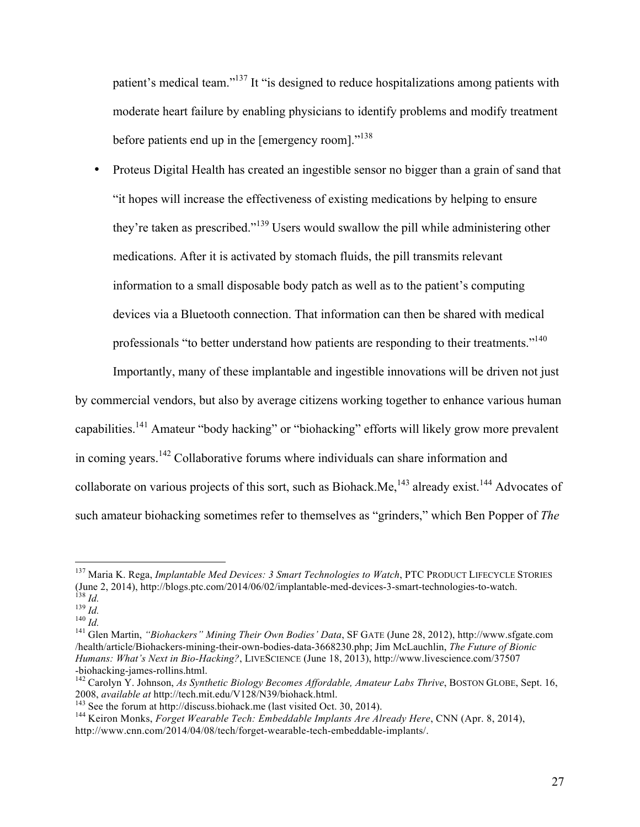patient's medical team."<sup>137</sup> It "is designed to reduce hospitalizations among patients with moderate heart failure by enabling physicians to identify problems and modify treatment before patients end up in the [emergency room]. $^{138}$ 

• Proteus Digital Health has created an ingestible sensor no bigger than a grain of sand that "it hopes will increase the effectiveness of existing medications by helping to ensure they're taken as prescribed."<sup>139</sup> Users would swallow the pill while administering other medications. After it is activated by stomach fluids, the pill transmits relevant information to a small disposable body patch as well as to the patient's computing devices via a Bluetooth connection. That information can then be shared with medical professionals "to better understand how patients are responding to their treatments."<sup>140</sup>

Importantly, many of these implantable and ingestible innovations will be driven not just by commercial vendors, but also by average citizens working together to enhance various human capabilities.141 Amateur "body hacking" or "biohacking" efforts will likely grow more prevalent in coming years.<sup>142</sup> Collaborative forums where individuals can share information and collaborate on various projects of this sort, such as Biohack.Me,  $143$  already exist.  $144$  Advocates of such amateur biohacking sometimes refer to themselves as "grinders," which Ben Popper of *The* 

<sup>&</sup>lt;sup>137</sup> Maria K. Rega, *Implantable Med Devices: 3 Smart Technologies to Watch*, PTC PRODUCT LIFECYCLE STORIES (June 2, 2014), http://blogs.ptc.com/2014/06/02/implantable-med-devices-3-smart-technologies-to-watch. <sup>138</sup> Id.<br>
<sup>139</sup> Id.<br>
<sup>140</sup> Id.<br>
<sup>140</sup> Id.<br>
<sup>141</sup> Glen Martin, "Biohackers" Mining Their Own Bodies' Data, SF GATE (June 28, 2012), http://www.sfgate.com

<sup>/</sup>health/article/Biohackers-mining-their-own-bodies-data-3668230.php; Jim McLauchlin, *The Future of Bionic Humans: What's Next in Bio-Hacking?*, LIVESCIENCE (June 18, 2013), http://www.livescience.com/37507

<sup>-</sup>biohacking-james-rollins.html.<br><sup>142</sup> Carolyn Y. Johnson, *As Synthetic Biology Becomes Affordable, Amateur Labs Thrive*, BOSTON GLOBE, Sept. 16,<br>2008, *available at* http://tech.mit.edu/V128/N39/biohack.html.

<sup>&</sup>lt;sup>143</sup> See the forum at http://discuss.biohack.me (last visited Oct. 30, 2014).<br><sup>144</sup> Keiron Monks, *Forget Wearable Tech: Embeddable Implants Are Already Here*, CNN (Apr. 8, 2014), http://www.cnn.com/2014/04/08/tech/forget-wearable-tech-embeddable-implants/.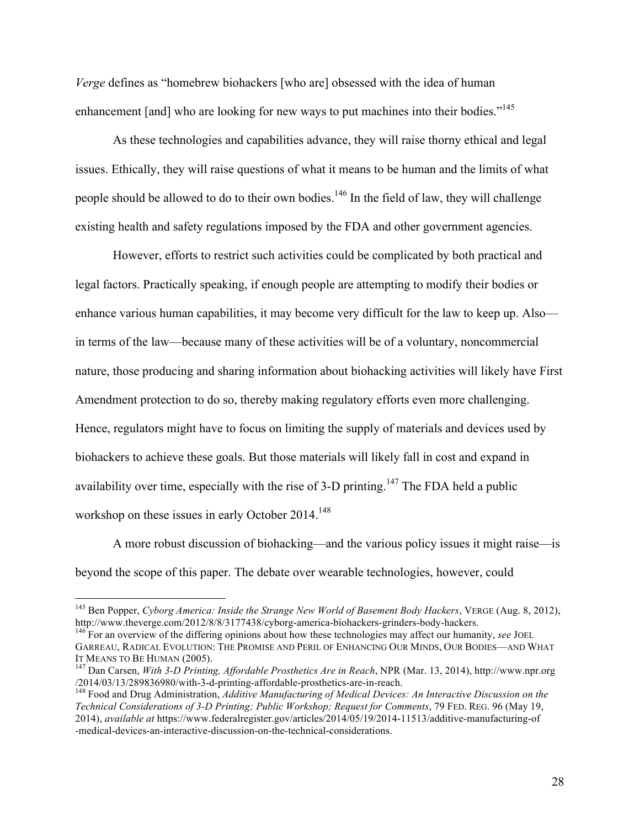*Verge* defines as "homebrew biohackers [who are] obsessed with the idea of human enhancement [and] who are looking for new ways to put machines into their bodies."<sup>145</sup>

As these technologies and capabilities advance, they will raise thorny ethical and legal issues. Ethically, they will raise questions of what it means to be human and the limits of what people should be allowed to do to their own bodies.<sup>146</sup> In the field of law, they will challenge existing health and safety regulations imposed by the FDA and other government agencies.

However, efforts to restrict such activities could be complicated by both practical and legal factors. Practically speaking, if enough people are attempting to modify their bodies or enhance various human capabilities, it may become very difficult for the law to keep up. Also in terms of the law—because many of these activities will be of a voluntary, noncommercial nature, those producing and sharing information about biohacking activities will likely have First Amendment protection to do so, thereby making regulatory efforts even more challenging. Hence, regulators might have to focus on limiting the supply of materials and devices used by biohackers to achieve these goals. But those materials will likely fall in cost and expand in availability over time, especially with the rise of  $3-D$  printing.<sup>147</sup> The FDA held a public workshop on these issues in early October 2014.<sup>148</sup>

A more robust discussion of biohacking—and the various policy issues it might raise—is beyond the scope of this paper. The debate over wearable technologies, however, could

<sup>&</sup>lt;sup>145</sup> Ben Popper, *Cyborg America: Inside the Strange New World of Basement Body Hackers*, VERGE (Aug. 8, 2012), http://www.theverge.com/2012/8/8/3177438/cyborg-america-biohackers-grinders-body-hackers.

<sup>&</sup>lt;sup>146</sup> For an overview of the differing opinions about how these technologies may affect our humanity, *see* JOEL GARREAU, RADICAL EVOLUTION: THE PROMISE AND PERIL OF ENHANCING OUR MINDS, OUR BODIES—AND WHAT

IT MEANS TO BE HUMAN (2005).<br><sup>147</sup> Dan Carsen, *With 3-D Printing, Affordable Prosthetics Are in Reach*, NPR (Mar. 13, 2014), http://www.npr.org<br>/2014/03/13/289836980/with-3-d-printing-affordable-prosthetics-are-in-reach.

<sup>&</sup>lt;sup>148</sup> Food and Drug Administration, *Additive Manufacturing of Medical Devices: An Interactive Discussion on the Technical Considerations of 3-D Printing; Public Workshop; Request for Comments*, 79 FED. REG. 96 (May 19, 2014), *available at* https://www.federalregister.gov/articles/2014/05/19/2014-11513/additive-manufacturing-of -medical-devices-an-interactive-discussion-on-the-technical-considerations.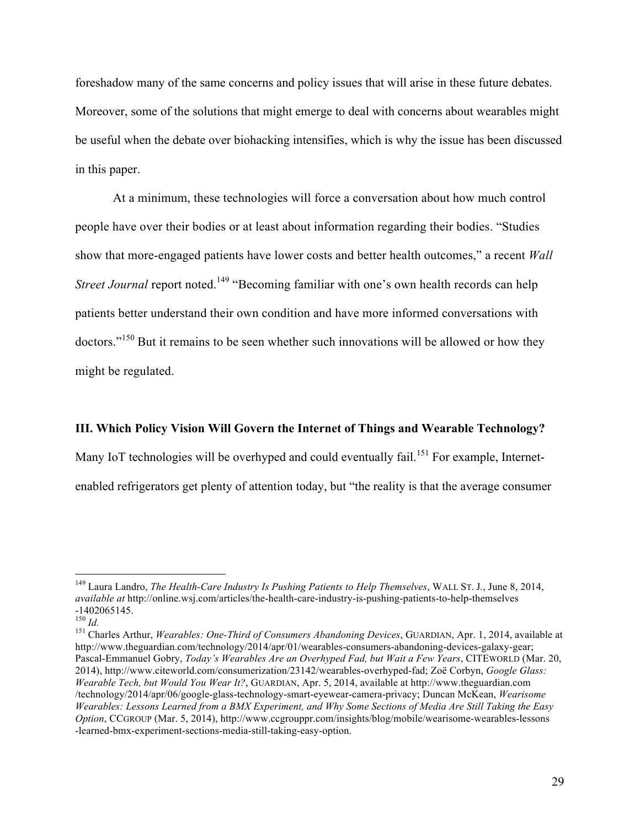foreshadow many of the same concerns and policy issues that will arise in these future debates. Moreover, some of the solutions that might emerge to deal with concerns about wearables might be useful when the debate over biohacking intensifies, which is why the issue has been discussed in this paper.

At a minimum, these technologies will force a conversation about how much control people have over their bodies or at least about information regarding their bodies. "Studies show that more-engaged patients have lower costs and better health outcomes," a recent *Wall Street Journal* report noted.<sup>149</sup> "Becoming familiar with one's own health records can help patients better understand their own condition and have more informed conversations with doctors."<sup>150</sup> But it remains to be seen whether such innovations will be allowed or how they might be regulated.

#### **III. Which Policy Vision Will Govern the Internet of Things and Wearable Technology?**

Many IoT technologies will be overhyped and could eventually fail.<sup>151</sup> For example, Internetenabled refrigerators get plenty of attention today, but "the reality is that the average consumer

 <sup>149</sup> Laura Landro, *The Health-Care Industry Is Pushing Patients to Help Themselves*, WALL ST. <sup>J</sup>*.*, June 8, 2014, *available at* http://online.wsj.com/articles/the-health-care-industry-is-pushing-patients-to-help-themselves  $-1402065145$ .<br><sup>150</sup> Id.

<sup>&</sup>lt;sup>151</sup> Charles Arthur, *Wearables: One-Third of Consumers Abandoning Devices*, GUARDIAN, Apr. 1, 2014, available at http://www.theguardian.com/technology/2014/apr/01/wearables-consumers-abandoning-devices-galaxy-gear; Pascal-Emmanuel Gobry, *Today's Wearables Are an Overhyped Fad, but Wait a Few Years*, CITEWORLD (Mar. 20, 2014), http://www.citeworld.com/consumerization/23142/wearables-overhyped-fad; Zoë Corbyn, *Google Glass: Wearable Tech, but Would You Wear It?*, GUARDIAN, Apr. 5, 2014, available at http://www.theguardian.com /technology/2014/apr/06/google-glass-technology-smart-eyewear-camera-privacy; Duncan McKean, *Wearisome Wearables: Lessons Learned from a BMX Experiment, and Why Some Sections of Media Are Still Taking the Easy Option*, CCGROUP (Mar. 5, 2014), http://www.ccgrouppr.com/insights/blog/mobile/wearisome-wearables-lessons -learned-bmx-experiment-sections-media-still-taking-easy-option.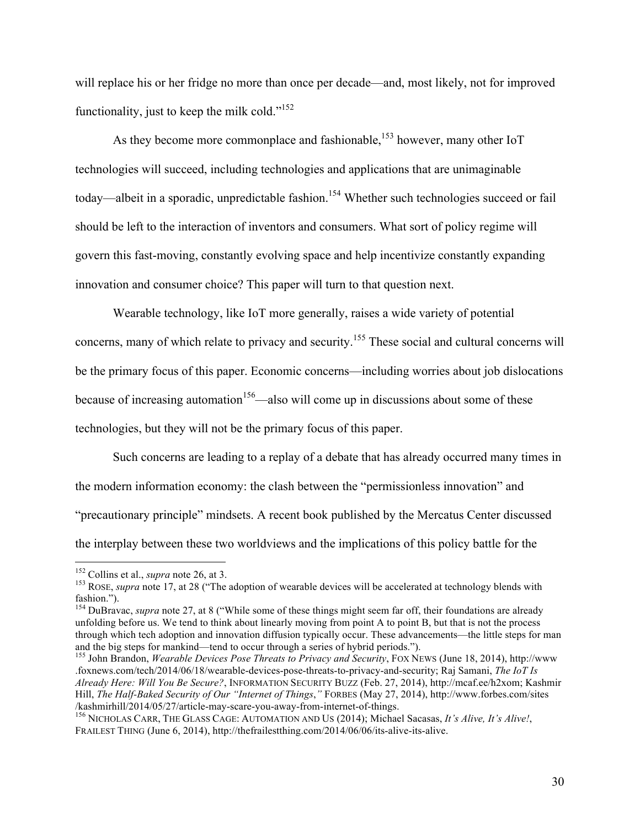will replace his or her fridge no more than once per decade—and, most likely, not for improved functionality, just to keep the milk cold."<sup>152</sup>

As they become more commonplace and fashionable,<sup>153</sup> however, many other IoT technologies will succeed, including technologies and applications that are unimaginable today—albeit in a sporadic, unpredictable fashion.<sup>154</sup> Whether such technologies succeed or fail should be left to the interaction of inventors and consumers. What sort of policy regime will govern this fast-moving, constantly evolving space and help incentivize constantly expanding innovation and consumer choice? This paper will turn to that question next.

Wearable technology, like IoT more generally, raises a wide variety of potential concerns, many of which relate to privacy and security.<sup>155</sup> These social and cultural concerns will be the primary focus of this paper. Economic concerns—including worries about job dislocations because of increasing automation<sup>156</sup>—also will come up in discussions about some of these technologies, but they will not be the primary focus of this paper.

Such concerns are leading to a replay of a debate that has already occurred many times in the modern information economy: the clash between the "permissionless innovation" and "precautionary principle" mindsets. A recent book published by the Mercatus Center discussed the interplay between these two worldviews and the implications of this policy battle for the

<sup>&</sup>lt;sup>152</sup> Collins et al., *supra* note 26, at 3.<br><sup>153</sup> ROSE, *supra* note 17, at 28 ("The adoption of wearable devices will be accelerated at technology blends with fashion."). <sup>154</sup> DuBravac, *supra* note 27, at 8 ("While some of these things might seem far off, their foundations are already

unfolding before us. We tend to think about linearly moving from point A to point B, but that is not the process through which tech adoption and innovation diffusion typically occur. These advancements—the little steps for man and the big steps for mankind—tend to occur through a series of hybrid periods.").

<sup>&</sup>lt;sup>155</sup> John Brandon, *Wearable Devices Pose Threats to Privacy and Security*, FOX NEWS (June 18, 2014), http://www .foxnews.com/tech/2014/06/18/wearable-devices-pose-threats-to-privacy-and-security; Raj Samani, *The IoT Is Already Here: Will You Be Secure?*, INFORMATION SECURITY BUZZ (Feb. 27, 2014), http://mcaf.ee/h2xom; Kashmir Hill, *The Half-Baked Security of Our "Internet of Things*,*"* FORBES (May 27, 2014), http://www.forbes.com/sites /kashmirhill/2014/05/27/article-may-scare-you-away-from-internet-of-things. <sup>156</sup> NICHOLAS CARR, THE GLASS CAGE: AUTOMATION AND US (2014); Michael Sacasas, *It's Alive, It's Alive!*,

FRAILEST THING (June 6, 2014), http://thefrailestthing.com/2014/06/06/its-alive-its-alive.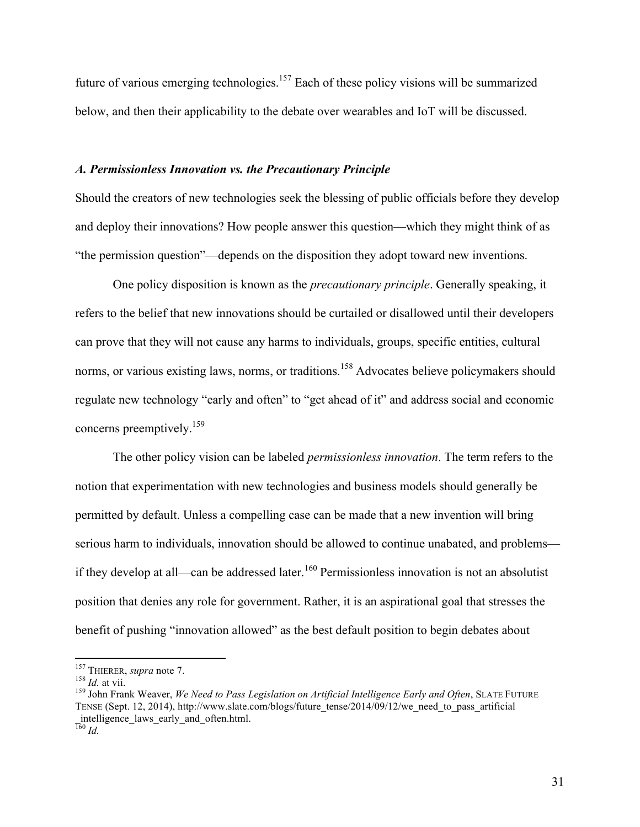future of various emerging technologies.<sup>157</sup> Each of these policy visions will be summarized below, and then their applicability to the debate over wearables and IoT will be discussed.

#### *A. Permissionless Innovation vs. the Precautionary Principle*

Should the creators of new technologies seek the blessing of public officials before they develop and deploy their innovations? How people answer this question—which they might think of as "the permission question"—depends on the disposition they adopt toward new inventions.

One policy disposition is known as the *precautionary principle*. Generally speaking, it refers to the belief that new innovations should be curtailed or disallowed until their developers can prove that they will not cause any harms to individuals, groups, specific entities, cultural norms, or various existing laws, norms, or traditions.<sup>158</sup> Advocates believe policymakers should regulate new technology "early and often" to "get ahead of it" and address social and economic concerns preemptively.159

The other policy vision can be labeled *permissionless innovation*. The term refers to the notion that experimentation with new technologies and business models should generally be permitted by default. Unless a compelling case can be made that a new invention will bring serious harm to individuals, innovation should be allowed to continue unabated, and problems if they develop at all—can be addressed later.<sup>160</sup> Permissionless innovation is not an absolutist position that denies any role for government. Rather, it is an aspirational goal that stresses the benefit of pushing "innovation allowed" as the best default position to begin debates about

<sup>&</sup>lt;sup>157</sup> THIERER, *supra* note 7.<br><sup>158</sup> *Id.* at vii.<br><sup>159</sup> John Frank Weaver, *We Need to Pass Legislation on Artificial Intelligence Early and Often*, SLATE FUTURE TENSE (Sept. 12, 2014), http://www.slate.com/blogs/future\_tense/2014/09/12/we\_need\_to\_pass\_artificial \_intelligence\_laws\_early\_and\_often.html.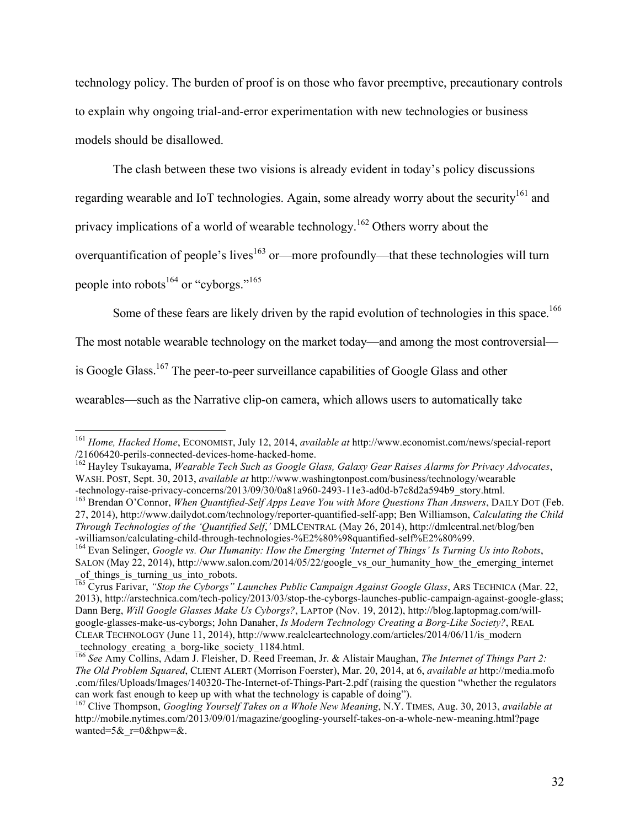technology policy. The burden of proof is on those who favor preemptive, precautionary controls to explain why ongoing trial-and-error experimentation with new technologies or business models should be disallowed.

The clash between these two visions is already evident in today's policy discussions

regarding wearable and IoT technologies. Again, some already worry about the security<sup>161</sup> and

privacy implications of a world of wearable technology.<sup>162</sup> Others worry about the

overquantification of people's lives<sup>163</sup> or—more profoundly—that these technologies will turn

people into robots<sup>164</sup> or "cyborgs."<sup>165</sup>

Some of these fears are likely driven by the rapid evolution of technologies in this space.<sup>166</sup>

The most notable wearable technology on the market today—and among the most controversial—

is Google Glass.167 The peer-to-peer surveillance capabilities of Google Glass and other

wearables—such as the Narrative clip-on camera, which allows users to automatically take

<sup>&</sup>lt;sup>161</sup> *Home, Hacked Home*, ECONOMIST, July 12, 2014, *available at* http://www.economist.com/news/special-report /21606420-perils-connected-devices-home-hacked-home.

<sup>&</sup>lt;sup>162</sup> Havley Tsukayama, Wearable Tech Such as Google Glass, Galaxy Gear Raises Alarms for Privacy Advocates, WASH. POST, Sept. 30, 2013, *available at* http://www.washingtonpost.com/business/technology/wearable

<sup>-</sup>technology-raise-privacy-concerns/2013/09/30/0a81a960-2493-11e3-ad0d-b7c8d2a594b9\_story.html. <sup>163</sup> Brendan O'Connor, *When Quantified-Self Apps Leave You with More Questions Than Answers*, DAILY DOT (Feb. 27, 2014), http://www.dailydot.com/technology/reporter-quantified-self-app; Ben Williamson, *Calculating the Child Through Technologies of the 'Quantified Self*,*'* DMLCENTRAL (May 26, 2014), http://dmlcentral.net/blog/ben

<sup>&</sup>lt;sup>164</sup> Evan Selinger, *Google vs. Our Humanity: How the Emerging 'Internet of Things' Is Turning Us into Robots*, SALON (May 22, 2014), http://www.salon.com/2014/05/22/google\_vs\_our\_humanity\_how\_the\_emerging\_internet of things is turning us into robots.

<sup>165</sup> Cyrus Farivar, *"Stop the Cyborgs" Launches Public Campaign Against Google Glass*, ARS TECHNICA (Mar. 22, 2013), http://arstechnica.com/tech-policy/2013/03/stop-the-cyborgs-launches-public-campaign-against-google-glass; Dann Berg, *Will Google Glasses Make Us Cyborgs?*, LAPTOP (Nov. 19, 2012), http://blog.laptopmag.com/willgoogle-glasses-make-us-cyborgs; John Danaher, *Is Modern Technology Creating a Borg-Like Society?*, REAL CLEAR TECHNOLOGY (June 11, 2014), http://www.realcleartechnology.com/articles/2014/06/11/is\_modern

\_technology\_creating\_a\_borg-like\_society\_1184.html. <sup>166</sup> *See* Amy Collins, Adam J. Fleisher, D. Reed Freeman, Jr. & Alistair Maughan, *The Internet of Things Part 2: The Old Problem Squared*, CLIENT ALERT (Morrison Foerster), Mar. 20, 2014, at 6, *available at* http://media.mofo .com/files/Uploads/Images/140320-The-Internet-of-Things-Part-2.pdf (raising the question "whether the regulators can work fast enough to keep up with what the technology is capable of doing"). <sup>167</sup> Clive Thompson, *Googling Yourself Takes on a Whole New Meaning*, N.Y. TIMES, Aug. 30, 2013, *available at*

http://mobile.nytimes.com/2013/09/01/magazine/googling-yourself-takes-on-a-whole-new-meaning.html?page wanted=5 $\&$ r=0 $\&$ hpw= $\&$ .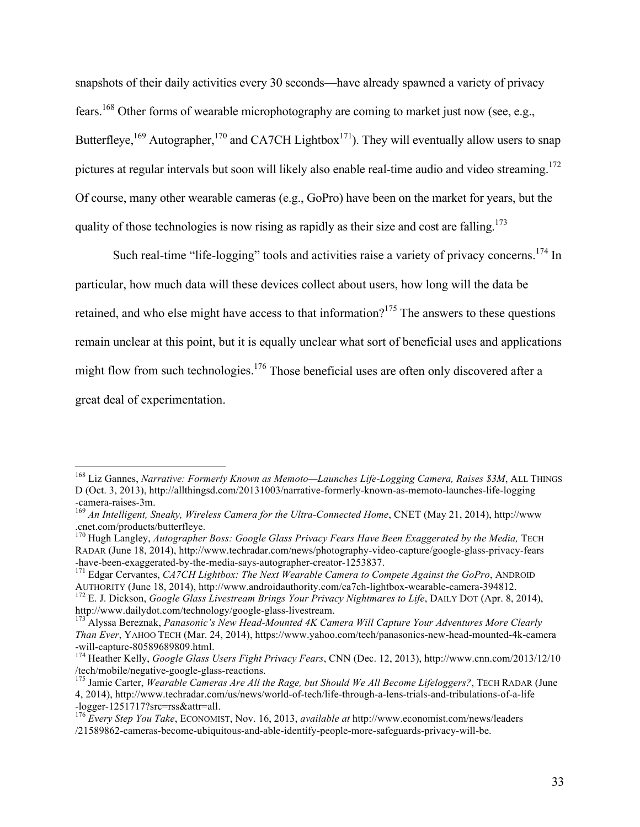snapshots of their daily activities every 30 seconds—have already spawned a variety of privacy fears.168 Other forms of wearable microphotography are coming to market just now (see, e.g., Butterfleye,  $169$  Autographer,  $170$  and CA7CH Lightbox<sup>171</sup>). They will eventually allow users to snap pictures at regular intervals but soon will likely also enable real-time audio and video streaming.<sup>172</sup> Of course, many other wearable cameras (e.g., GoPro) have been on the market for years, but the quality of those technologies is now rising as rapidly as their size and cost are falling.<sup>173</sup>

Such real-time "life-logging" tools and activities raise a variety of privacy concerns.<sup>174</sup> In particular, how much data will these devices collect about users, how long will the data be retained, and who else might have access to that information?<sup>175</sup> The answers to these questions remain unclear at this point, but it is equally unclear what sort of beneficial uses and applications might flow from such technologies.<sup>176</sup> Those beneficial uses are often only discovered after a great deal of experimentation.

 <sup>168</sup> Liz Gannes, *Narrative: Formerly Known as Memoto—Launches Life-Logging Camera, Raises \$3M*, ALL THINGS D (Oct. 3, 2013), http://allthingsd.com/20131003/narrative-formerly-known-as-memoto-launches-life-logging -camera-raises-3m. <sup>169</sup> *An Intelligent, Sneaky, Wireless Camera for the Ultra-Connected Home*, CNET (May 21, 2014), http://www

<sup>.</sup>cnet.com/products/butterfleye.

<sup>170</sup> Hugh Langley, *Autographer Boss: Google Glass Privacy Fears Have Been Exaggerated by the Media,* TECH RADAR (June 18, 2014), http://www.techradar.com/news/photography-video-capture/google-glass-privacy-fears

<sup>-</sup>have-been-exaggerated-by-the-media-says-autographer-creator-1253837.<br><sup>171</sup> Edgar Cervantes, *CA7CH Lightbox: The Next Wearable Camera to Compete Against the GoPro*, ANDROID<br>AUTHORITY (June 18, 2014), http://www.androidaut

<sup>&</sup>lt;sup>172</sup> E. J. Dickson, *Google Glass Livestream Brings Your Privacy Nightmares to Life*, DAILY DOT (Apr. 8, 2014), http://www.dailydot.com/technology/google-glass-livestream.

<sup>&</sup>lt;sup>173</sup> Alyssa Bereznak, *Panasonic's New Head-Mounted 4K Camera Will Capture Your Adventures More Clearly Than Ever*, YAHOO TECH (Mar. 24, 2014), https://www.yahoo.com/tech/panasonics-new-head-mounted-4k-camera

<sup>-</sup>will-capture-80589689809.html.<br><sup>174</sup> Heather Kelly, *Google Glass Users Fight Privacy Fears*, CNN (Dec. 12, 2013), http://www.cnn.com/2013/12/10<br>/tech/mobile/negative-google-glass-reactions.

<sup>&</sup>lt;sup>175</sup> Jamie Carter, *Wearable Cameras Are All the Rage, but Should We All Become Lifeloggers?*, TECH RADAR (June 4, 2014), http://www.techradar.com/us/news/world-of-tech/life-through-a-lens-trials-and-tribulations-of-a-life -logger-1251717?src=rss&attr=all. <sup>176</sup> *Every Step You Take*, ECONOMIST, Nov. 16, 2013, *available at* http://www.economist.com/news/leaders

<sup>/21589862-</sup>cameras-become-ubiquitous-and-able-identify-people-more-safeguards-privacy-will-be.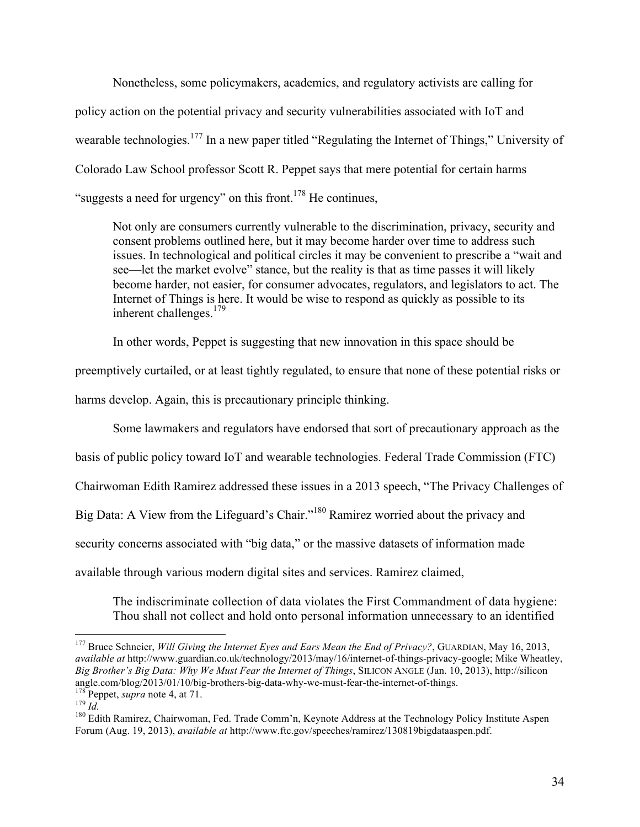Nonetheless, some policymakers, academics, and regulatory activists are calling for policy action on the potential privacy and security vulnerabilities associated with IoT and wearable technologies.<sup>177</sup> In a new paper titled "Regulating the Internet of Things," University of Colorado Law School professor Scott R. Peppet says that mere potential for certain harms "suggests a need for urgency" on this front.<sup>178</sup> He continues,

Not only are consumers currently vulnerable to the discrimination, privacy, security and consent problems outlined here, but it may become harder over time to address such issues. In technological and political circles it may be convenient to prescribe a "wait and see—let the market evolve" stance, but the reality is that as time passes it will likely become harder, not easier, for consumer advocates, regulators, and legislators to act. The Internet of Things is here. It would be wise to respond as quickly as possible to its inherent challenges. $179$ 

In other words, Peppet is suggesting that new innovation in this space should be

preemptively curtailed, or at least tightly regulated, to ensure that none of these potential risks or

harms develop. Again, this is precautionary principle thinking.

Some lawmakers and regulators have endorsed that sort of precautionary approach as the

basis of public policy toward IoT and wearable technologies. Federal Trade Commission (FTC)

Chairwoman Edith Ramirez addressed these issues in a 2013 speech, "The Privacy Challenges of

Big Data: A View from the Lifeguard's Chair."<sup>180</sup> Ramirez worried about the privacy and

security concerns associated with "big data," or the massive datasets of information made

available through various modern digital sites and services. Ramirez claimed,

The indiscriminate collection of data violates the First Commandment of data hygiene: Thou shall not collect and hold onto personal information unnecessary to an identified

<sup>&</sup>lt;sup>177</sup> Bruce Schneier, *Will Giving the Internet Eyes and Ears Mean the End of Privacy?*, GUARDIAN, May 16, 2013, *available at* http://www.guardian.co.uk/technology/2013/may/16/internet-of-things-privacy-google; Mike Wheatley, *Big Brother's Big Data: Why We Must Fear the Internet of Things*, SILICON ANGLE (Jan. 10, 2013), http://silicon angle.com/blog/2013/01/10/big-brothers-big-data-why-we-must-fear-the-internet-of-things.<br>
<sup>178</sup> Peppet, *supra* note 4, at 71.<br>
<sup>179</sup> Id.<br>
<sup>180</sup> Edith Ramirez, Chairwoman, Fed. Trade Comm'n, Keynote Address at the Technol

Forum (Aug. 19, 2013), *available at* http://www.ftc.gov/speeches/ramirez/130819bigdataaspen.pdf.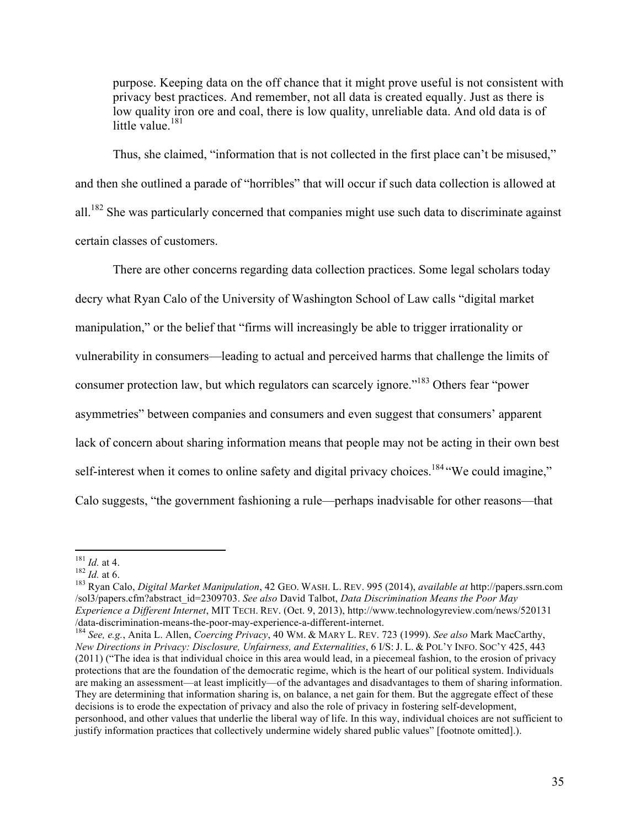purpose. Keeping data on the off chance that it might prove useful is not consistent with privacy best practices. And remember, not all data is created equally. Just as there is low quality iron ore and coal, there is low quality, unreliable data. And old data is of little value. $181$ 

Thus, she claimed, "information that is not collected in the first place can't be misused," and then she outlined a parade of "horribles" that will occur if such data collection is allowed at all.<sup>182</sup> She was particularly concerned that companies might use such data to discriminate against certain classes of customers.

There are other concerns regarding data collection practices. Some legal scholars today decry what Ryan Calo of the University of Washington School of Law calls "digital market manipulation," or the belief that "firms will increasingly be able to trigger irrationality or vulnerability in consumers—leading to actual and perceived harms that challenge the limits of consumer protection law, but which regulators can scarcely ignore."183 Others fear "power asymmetries" between companies and consumers and even suggest that consumers' apparent lack of concern about sharing information means that people may not be acting in their own best self-interest when it comes to online safety and digital privacy choices.<sup>184</sup> "We could imagine," Calo suggests, "the government fashioning a rule—perhaps inadvisable for other reasons—that

<sup>184</sup> See, e.g., Anita L. Allen, *Coercing Privacy*, 40 WM. & MARY L. REV. 723 (1999). *See also* Mark MacCarthy, *New Directions in Privacy: Disclosure, Unfairness, and Externalities*, 6 I/S: J. L. & POL'Y INFO. SOC'Y 425, 443 (2011) ("The idea is that individual choice in this area would lead, in a piecemeal fashion, to the erosion of privacy protections that are the foundation of the democratic regime, which is the heart of our political system. Individuals are making an assessment—at least implicitly—of the advantages and disadvantages to them of sharing information. They are determining that information sharing is, on balance, a net gain for them. But the aggregate effect of these decisions is to erode the expectation of privacy and also the role of privacy in fostering self-development, personhood, and other values that underlie the liberal way of life. In this way, individual choices are not sufficient to justify information practices that collectively undermine widely shared public values" [footnote omitted].).

 <sup>181</sup> *Id.* at 4. <sup>182</sup> *Id.* at 6. <sup>183</sup> Ryan Calo, *Digital Market Manipulation*, 42 GEO. WASH. L. REV. 995 (2014), *available at* http://papers.ssrn.com /sol3/papers.cfm?abstract\_id=2309703. *See also* David Talbot, *Data Discrimination Means the Poor May Experience a Different Internet*, MIT TECH. REV. (Oct. 9, 2013), http://www.technologyreview.com/news/520131<br>/data-discrimination-means-the-poor-may-experience-a-different-internet.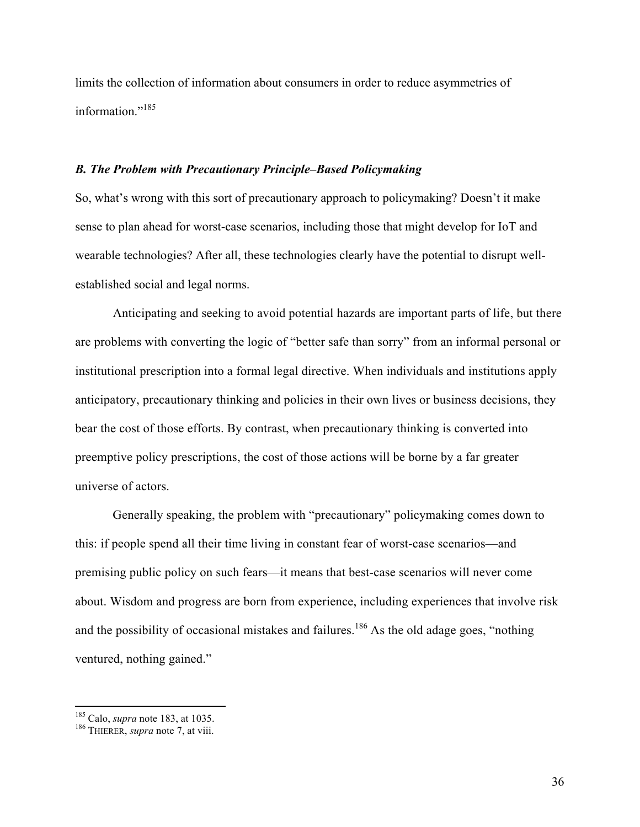limits the collection of information about consumers in order to reduce asymmetries of information."<sup>185</sup>

#### *B. The Problem with Precautionary Principle–Based Policymaking*

So, what's wrong with this sort of precautionary approach to policymaking? Doesn't it make sense to plan ahead for worst-case scenarios, including those that might develop for IoT and wearable technologies? After all, these technologies clearly have the potential to disrupt wellestablished social and legal norms.

Anticipating and seeking to avoid potential hazards are important parts of life, but there are problems with converting the logic of "better safe than sorry" from an informal personal or institutional prescription into a formal legal directive. When individuals and institutions apply anticipatory, precautionary thinking and policies in their own lives or business decisions, they bear the cost of those efforts. By contrast, when precautionary thinking is converted into preemptive policy prescriptions, the cost of those actions will be borne by a far greater universe of actors.

Generally speaking, the problem with "precautionary" policymaking comes down to this: if people spend all their time living in constant fear of worst-case scenarios—and premising public policy on such fears—it means that best-case scenarios will never come about. Wisdom and progress are born from experience, including experiences that involve risk and the possibility of occasional mistakes and failures.<sup>186</sup> As the old adage goes, "nothing" ventured, nothing gained."

 <sup>185</sup> Calo, *supra* note 183, at 1035. <sup>186</sup> THIERER, *supra* note 7, at viii.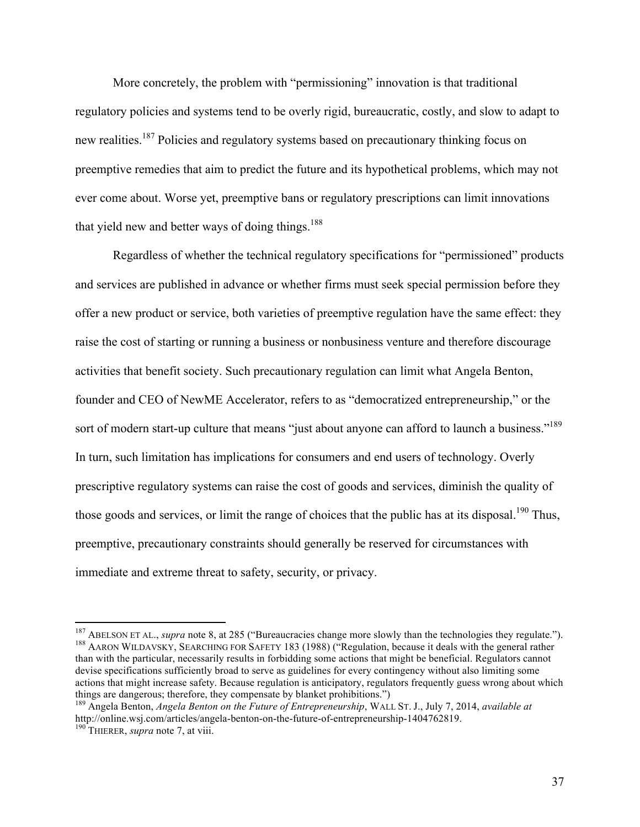More concretely, the problem with "permissioning" innovation is that traditional regulatory policies and systems tend to be overly rigid, bureaucratic, costly, and slow to adapt to new realities.<sup>187</sup> Policies and regulatory systems based on precautionary thinking focus on preemptive remedies that aim to predict the future and its hypothetical problems, which may not ever come about. Worse yet, preemptive bans or regulatory prescriptions can limit innovations that yield new and better ways of doing things.<sup>188</sup>

Regardless of whether the technical regulatory specifications for "permissioned" products and services are published in advance or whether firms must seek special permission before they offer a new product or service, both varieties of preemptive regulation have the same effect: they raise the cost of starting or running a business or nonbusiness venture and therefore discourage activities that benefit society. Such precautionary regulation can limit what Angela Benton, founder and CEO of NewME Accelerator, refers to as "democratized entrepreneurship," or the sort of modern start-up culture that means "just about anyone can afford to launch a business."<sup>189</sup> In turn, such limitation has implications for consumers and end users of technology. Overly prescriptive regulatory systems can raise the cost of goods and services, diminish the quality of those goods and services, or limit the range of choices that the public has at its disposal.<sup>190</sup> Thus, preemptive, precautionary constraints should generally be reserved for circumstances with immediate and extreme threat to safety, security, or privacy.

<sup>&</sup>lt;sup>187</sup> ABELSON ET AL., *supra* note 8, at 285 ("Bureaucracies change more slowly than the technologies they regulate."). <sup>188</sup> AARON WILDAVSKY, SEARCHING FOR SAFETY 183 (1988) ("Regulation, because it deals with the genera than with the particular, necessarily results in forbidding some actions that might be beneficial. Regulators cannot devise specifications sufficiently broad to serve as guidelines for every contingency without also limiting some actions that might increase safety. Because regulation is anticipatory, regulators frequently guess wrong about which things are dangerous; therefore, they compensate by blanket prohibitions.") <sup>189</sup> Angela Benton, *Angela Benton on the Future of Entrepreneurship*, WALL ST. J., July 7, 2014, *available at*

http://online.wsj.com/articles/angela-benton-on-the-future-of-entrepreneurship-1404762819. <sup>190</sup> THIERER, *supra* note 7, at viii.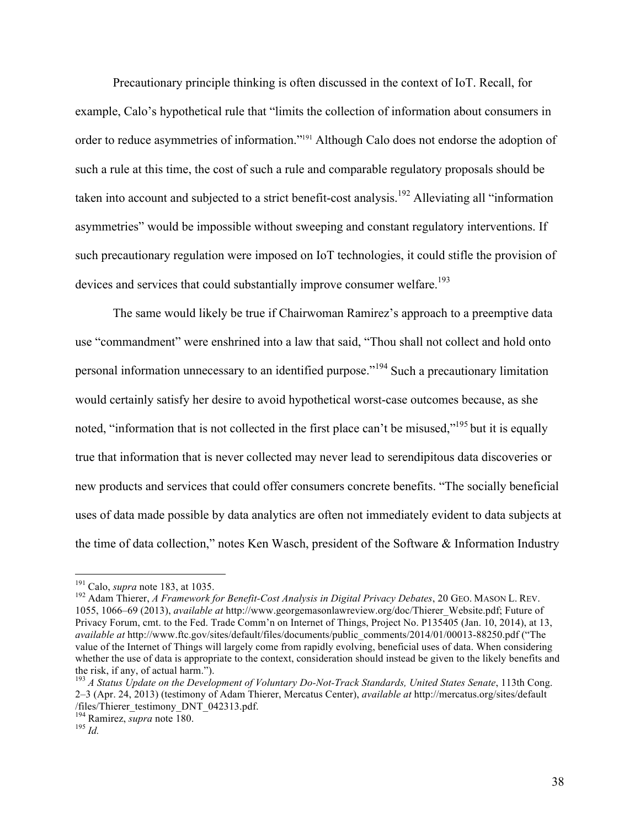Precautionary principle thinking is often discussed in the context of IoT. Recall, for example, Calo's hypothetical rule that "limits the collection of information about consumers in order to reduce asymmetries of information."191 Although Calo does not endorse the adoption of such a rule at this time, the cost of such a rule and comparable regulatory proposals should be taken into account and subjected to a strict benefit-cost analysis.<sup>192</sup> Alleviating all "information" asymmetries" would be impossible without sweeping and constant regulatory interventions. If such precautionary regulation were imposed on IoT technologies, it could stifle the provision of devices and services that could substantially improve consumer welfare.<sup>193</sup>

The same would likely be true if Chairwoman Ramirez's approach to a preemptive data use "commandment" were enshrined into a law that said, "Thou shall not collect and hold onto personal information unnecessary to an identified purpose."<sup>194</sup> Such a precautionary limitation would certainly satisfy her desire to avoid hypothetical worst-case outcomes because, as she noted, "information that is not collected in the first place can't be misused,"<sup>195</sup> but it is equally true that information that is never collected may never lead to serendipitous data discoveries or new products and services that could offer consumers concrete benefits. "The socially beneficial uses of data made possible by data analytics are often not immediately evident to data subjects at the time of data collection," notes Ken Wasch, president of the Software & Information Industry

<sup>&</sup>lt;sup>191</sup> Calo, *supra* note 183, at 1035.<br><sup>192</sup> Adam Thierer, *A Framework for Benefit-Cost Analysis in Digital Privacy Debates*, 20 GEO. MASON L. REV. 1055, 1066–69 (2013), *available at* http://www.georgemasonlawreview.org/doc/Thierer\_Website.pdf; Future of Privacy Forum, cmt. to the Fed. Trade Comm'n on Internet of Things, Project No. P135405 (Jan. 10, 2014), at 13, *available at* http://www.ftc.gov/sites/default/files/documents/public\_comments/2014/01/00013-88250.pdf ("The value of the Internet of Things will largely come from rapidly evolving, beneficial uses of data. When considering whether the use of data is appropriate to the context, consideration should instead be given to the likely benefits and the risk, if any, of actual harm.").<br><sup>193</sup> *A Status Update on the Development of Voluntary Do-Not-Track Standards, United States Senate*, 113th Cong.

<sup>2–3 (</sup>Apr. 24, 2013) (testimony of Adam Thierer, Mercatus Center), *available at* http://mercatus.org/sites/default /files/Thierer\_testimony\_DNT\_042313.pdf.

<sup>194</sup> Ramirez, *supra* note 180. <sup>195</sup> *Id.*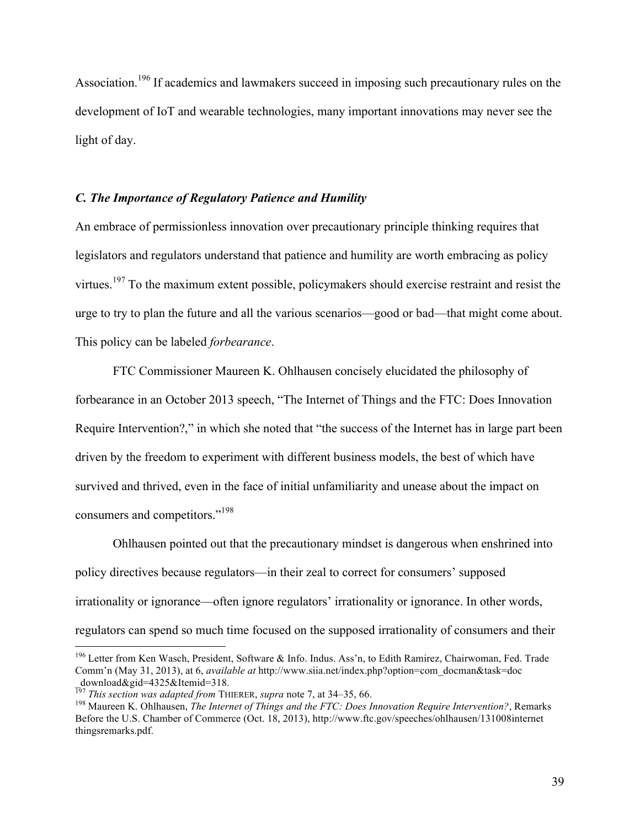Association.<sup>196</sup> If academics and lawmakers succeed in imposing such precautionary rules on the development of IoT and wearable technologies, many important innovations may never see the light of day.

## *C. The Importance of Regulatory Patience and Humility*

An embrace of permissionless innovation over precautionary principle thinking requires that legislators and regulators understand that patience and humility are worth embracing as policy virtues.<sup>197</sup> To the maximum extent possible, policymakers should exercise restraint and resist the urge to try to plan the future and all the various scenarios—good or bad—that might come about. This policy can be labeled *forbearance*.

FTC Commissioner Maureen K. Ohlhausen concisely elucidated the philosophy of forbearance in an October 2013 speech, "The Internet of Things and the FTC: Does Innovation Require Intervention?," in which she noted that "the success of the Internet has in large part been driven by the freedom to experiment with different business models, the best of which have survived and thrived, even in the face of initial unfamiliarity and unease about the impact on consumers and competitors."<sup>198</sup>

Ohlhausen pointed out that the precautionary mindset is dangerous when enshrined into policy directives because regulators—in their zeal to correct for consumers' supposed irrationality or ignorance—often ignore regulators' irrationality or ignorance. In other words, regulators can spend so much time focused on the supposed irrationality of consumers and their

<sup>&</sup>lt;sup>196</sup> Letter from Ken Wasch, President, Software & Info. Indus. Ass'n, to Edith Ramirez, Chairwoman, Fed. Trade Comm'n (May 31, 2013), at 6, *available at* http://www.siia.net/index.php?option=com\_docman&task=doc download&gid=4325&Itemid=318.<br>
<sup>197</sup> This section was adapted from THIERER, supra note 7, at 34–35, 66.

<sup>&</sup>lt;sup>198</sup> Maureen K. Ohlhausen, *The Internet of Things and the FTC: Does Innovation Require Intervention?*, Remarks Before the U.S. Chamber of Commerce (Oct. 18, 2013), http://www.ftc.gov/speeches/ohlhausen/131008internet thingsremarks.pdf.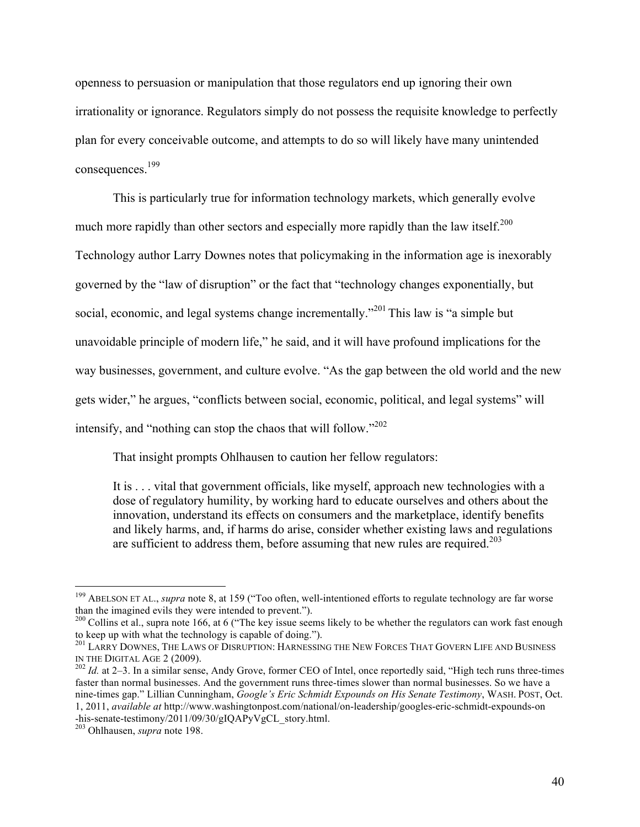openness to persuasion or manipulation that those regulators end up ignoring their own irrationality or ignorance. Regulators simply do not possess the requisite knowledge to perfectly plan for every conceivable outcome, and attempts to do so will likely have many unintended consequences. 199

This is particularly true for information technology markets, which generally evolve much more rapidly than other sectors and especially more rapidly than the law itself.<sup>200</sup> Technology author Larry Downes notes that policymaking in the information age is inexorably governed by the "law of disruption" or the fact that "technology changes exponentially, but social, economic, and legal systems change incrementally.<sup>201</sup> This law is "a simple but unavoidable principle of modern life," he said, and it will have profound implications for the way businesses, government, and culture evolve. "As the gap between the old world and the new gets wider," he argues, "conflicts between social, economic, political, and legal systems" will intensify, and "nothing can stop the chaos that will follow."<sup>202</sup>

That insight prompts Ohlhausen to caution her fellow regulators:

It is . . . vital that government officials, like myself, approach new technologies with a dose of regulatory humility, by working hard to educate ourselves and others about the innovation, understand its effects on consumers and the marketplace, identify benefits and likely harms, and, if harms do arise, consider whether existing laws and regulations are sufficient to address them, before assuming that new rules are required.<sup>203</sup>

<sup>&</sup>lt;sup>199</sup> ABELSON ET AL., *supra* note 8, at 159 ("Too often, well-intentioned efforts to regulate technology are far worse than the imagined evils they were intended to prevent.").

 $t_{\text{200}}$  Collins et al., supra note 166, at 6 ("The key issue seems likely to be whether the regulators can work fast enough to keep up with what the technology is capable of doing.").<br><sup>201</sup> LARRY DOWNES, THE LAWS OF DISRUPTION: HARNESSING THE NEW FORCES THAT GOVERN LIFE AND BUSINESS

IN THE DIGITAL AGE 2 (2009).<br><sup>202</sup> *Id.* at 2–3. In a similar sense, Andy Grove, former CEO of Intel, once reportedly said, "High tech runs three-times

faster than normal businesses. And the government runs three-times slower than normal businesses. So we have a nine-times gap." Lillian Cunningham, *Google's Eric Schmidt Expounds on His Senate Testimony*, WASH. POST, Oct. 1, 2011, *available at* http://www.washingtonpost.com/national/on-leadership/googles-eric-schmidt-expounds-on -his-senate-testimony/2011/09/30/gIQAPyVgCL\_story.html. <sup>203</sup> Ohlhausen, *supra* note 198.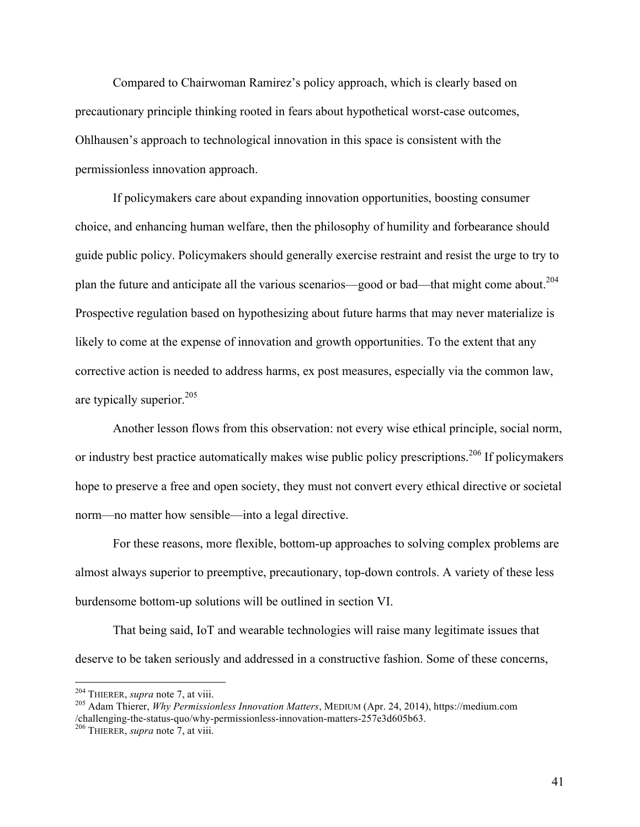Compared to Chairwoman Ramirez's policy approach, which is clearly based on precautionary principle thinking rooted in fears about hypothetical worst-case outcomes, Ohlhausen's approach to technological innovation in this space is consistent with the permissionless innovation approach.

If policymakers care about expanding innovation opportunities, boosting consumer choice, and enhancing human welfare, then the philosophy of humility and forbearance should guide public policy. Policymakers should generally exercise restraint and resist the urge to try to plan the future and anticipate all the various scenarios—good or bad—that might come about.<sup>204</sup> Prospective regulation based on hypothesizing about future harms that may never materialize is likely to come at the expense of innovation and growth opportunities. To the extent that any corrective action is needed to address harms, ex post measures, especially via the common law, are typically superior.<sup>205</sup>

Another lesson flows from this observation: not every wise ethical principle, social norm, or industry best practice automatically makes wise public policy prescriptions.<sup>206</sup> If policymakers hope to preserve a free and open society, they must not convert every ethical directive or societal norm—no matter how sensible—into a legal directive.

For these reasons, more flexible, bottom-up approaches to solving complex problems are almost always superior to preemptive, precautionary, top-down controls. A variety of these less burdensome bottom-up solutions will be outlined in section VI.

That being said, IoT and wearable technologies will raise many legitimate issues that deserve to be taken seriously and addressed in a constructive fashion. Some of these concerns,

41

<sup>&</sup>lt;sup>204</sup> THIERER, *supra* note 7, at viii.<br><sup>205</sup> Adam Thierer, *Why Permissionless Innovation Matters*, MEDIUM (Apr. 24, 2014), https://medium.com /challenging-the-status-quo/why-permissionless-innovation-matters-257e3d605b63. <sup>206</sup> THIERER, *supra* note 7, at viii.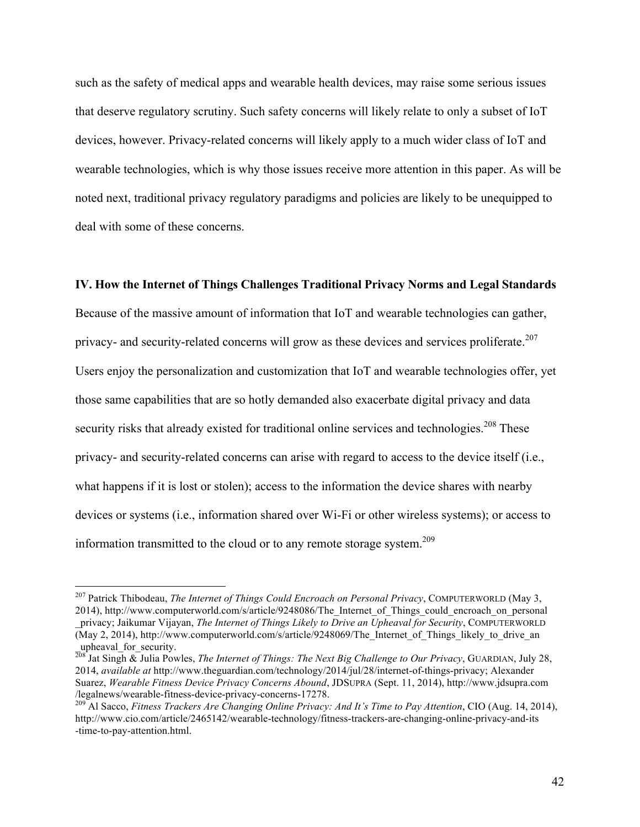such as the safety of medical apps and wearable health devices, may raise some serious issues that deserve regulatory scrutiny. Such safety concerns will likely relate to only a subset of IoT devices, however. Privacy-related concerns will likely apply to a much wider class of IoT and wearable technologies, which is why those issues receive more attention in this paper. As will be noted next, traditional privacy regulatory paradigms and policies are likely to be unequipped to deal with some of these concerns.

#### **IV. How the Internet of Things Challenges Traditional Privacy Norms and Legal Standards**

Because of the massive amount of information that IoT and wearable technologies can gather, privacy- and security-related concerns will grow as these devices and services proliferate.<sup>207</sup> Users enjoy the personalization and customization that IoT and wearable technologies offer, yet those same capabilities that are so hotly demanded also exacerbate digital privacy and data security risks that already existed for traditional online services and technologies.<sup>208</sup> These privacy- and security-related concerns can arise with regard to access to the device itself (i.e., what happens if it is lost or stolen); access to the information the device shares with nearby devices or systems (i.e., information shared over Wi-Fi or other wireless systems); or access to information transmitted to the cloud or to any remote storage system.<sup>209</sup>

<sup>&</sup>lt;sup>207</sup> Patrick Thibodeau, *The Internet of Things Could Encroach on Personal Privacy*, COMPUTERWORLD (May 3, 2014), http://www.computerworld.com/s/article/9248086/The\_Internet\_of\_Things\_could\_encroach\_on\_personal \_privacy; Jaikumar Vijayan, *The Internet of Things Likely to Drive an Upheaval for Security*, COMPUTERWORLD (May 2, 2014), http://www.computerworld.com/s/article/9248069/The\_Internet\_of\_Things\_likely\_to\_drive\_an \_upheaval\_for\_security.

 $^{\overline{208}}$  Jat Singh  $\&$  Julia Powles, *The Internet of Things: The Next Big Challenge to Our Privacy*, GUARDIAN, July 28, 2014, *available at* http://www.theguardian.com/technology/2014/jul/28/internet-of-things-privacy; Alexander Suarez, *Wearable Fitness Device Privacy Concerns Abound*, JDSUPRA (Sept. 11, 2014), http://www.jdsupra.com /legalnews/wearable-fitness-device-privacy-concerns-17278. <sup>209</sup> Al Sacco, *Fitness Trackers Are Changing Online Privacy: And It's Time to Pay Attention*, CIO (Aug. 14, 2014),

http://www.cio.com/article/2465142/wearable-technology/fitness-trackers-are-changing-online-privacy-and-its -time-to-pay-attention.html.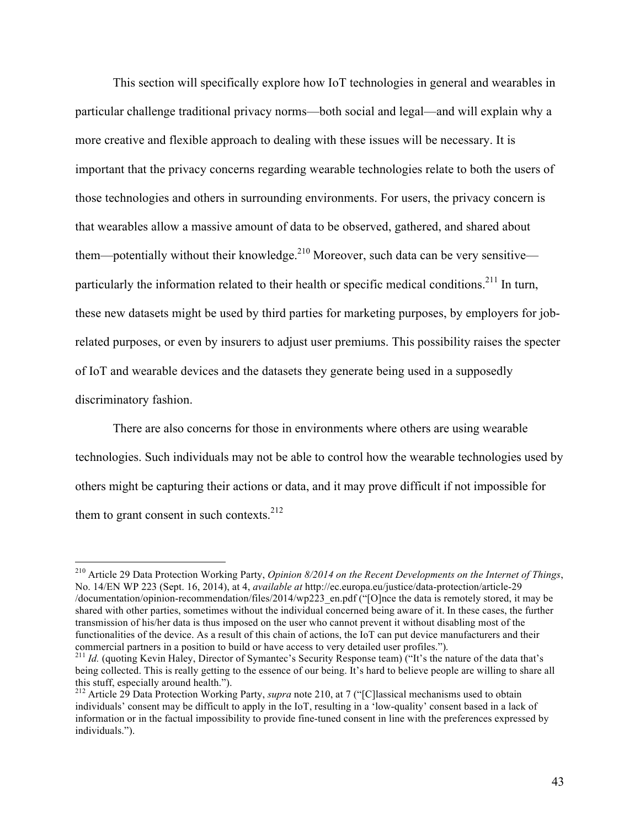This section will specifically explore how IoT technologies in general and wearables in particular challenge traditional privacy norms—both social and legal—and will explain why a more creative and flexible approach to dealing with these issues will be necessary. It is important that the privacy concerns regarding wearable technologies relate to both the users of those technologies and others in surrounding environments. For users, the privacy concern is that wearables allow a massive amount of data to be observed, gathered, and shared about them—potentially without their knowledge. $2^{10}$  Moreover, such data can be very sensitive particularly the information related to their health or specific medical conditions.<sup>211</sup> In turn, these new datasets might be used by third parties for marketing purposes, by employers for jobrelated purposes, or even by insurers to adjust user premiums. This possibility raises the specter of IoT and wearable devices and the datasets they generate being used in a supposedly discriminatory fashion.

There are also concerns for those in environments where others are using wearable technologies. Such individuals may not be able to control how the wearable technologies used by others might be capturing their actions or data, and it may prove difficult if not impossible for them to grant consent in such contexts.<sup>212</sup>

 <sup>210</sup> Article 29 Data Protection Working Party, *Opinion 8/2014 on the Recent Developments on the Internet of Things*, No. 14/EN WP 223 (Sept. 16, 2014), at 4, *available at* http://ec.europa.eu/justice/data-protection/article-29 /documentation/opinion-recommendation/files/2014/wp223\_en.pdf ("[O]nce the data is remotely stored, it may be shared with other parties, sometimes without the individual concerned being aware of it. In these cases, the further transmission of his/her data is thus imposed on the user who cannot prevent it without disabling most of the functionalities of the device. As a result of this chain of actions, the IoT can put device manufacturers and their commercial partners in a position to build or have access to very detailed user profiles.").<br><sup>211</sup> *Id.* (quoting Kevin Haley, Director of Symantec's Security Response team) ("It's the nature of the data that's

being collected. This is really getting to the essence of our being. It's hard to believe people are willing to share all this stuff, especially around health.").

<sup>&</sup>lt;sup>212</sup> Article 29 Data Protection Working Party, *supra* note 210, at 7 ("[C]lassical mechanisms used to obtain individuals' consent may be difficult to apply in the IoT, resulting in a 'low-quality' consent based in a lack of information or in the factual impossibility to provide fine-tuned consent in line with the preferences expressed by individuals.").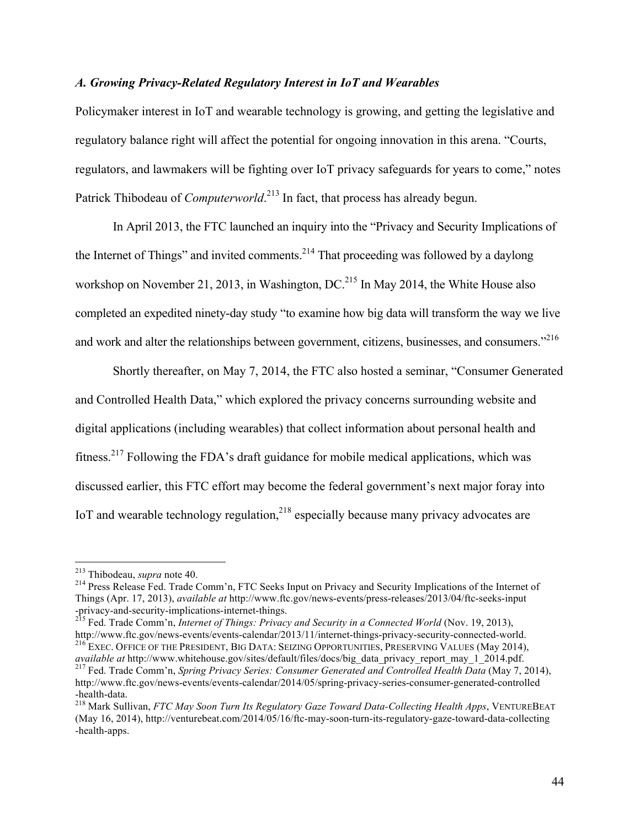## *A. Growing Privacy-Related Regulatory Interest in IoT and Wearables*

Policymaker interest in IoT and wearable technology is growing, and getting the legislative and regulatory balance right will affect the potential for ongoing innovation in this arena. "Courts, regulators, and lawmakers will be fighting over IoT privacy safeguards for years to come," notes Patrick Thibodeau of *Computerworld*.<sup>213</sup> In fact, that process has already begun.

In April 2013, the FTC launched an inquiry into the "Privacy and Security Implications of the Internet of Things" and invited comments.<sup>214</sup> That proceeding was followed by a daylong workshop on November 21, 2013, in Washington, DC.<sup>215</sup> In May 2014, the White House also completed an expedited ninety-day study "to examine how big data will transform the way we live and work and alter the relationships between government, citizens, businesses, and consumers."<sup>216</sup>

Shortly thereafter, on May 7, 2014, the FTC also hosted a seminar, "Consumer Generated and Controlled Health Data," which explored the privacy concerns surrounding website and digital applications (including wearables) that collect information about personal health and fitness.<sup>217</sup> Following the FDA's draft guidance for mobile medical applications, which was discussed earlier, this FTC effort may become the federal government's next major foray into IoT and wearable technology regulation, $218$  especially because many privacy advocates are

<sup>&</sup>lt;sup>213</sup> Thibodeau, *supra* note 40.<br><sup>214</sup> Press Release Fed. Trade Comm'n, FTC Seeks Input on Privacy and Security Implications of the Internet of Things (Apr. 17, 2013), *available at* http://www.ftc.gov/news-events/press-releases/2013/04/ftc-seeks-input -privacy-and-security-implications-internet-things. <sup>215</sup> Fed. Trade Comm'n, *Internet of Things: Privacy and Security in a Connected World* (Nov. 19, 2013),

http://www.ftc.gov/news-events/events-calendar/2013/11/internet-things-privacy-security-connected-world.<br><sup>216</sup> EXEC. OFFICE OF THE PRESIDENT, BIG DATA: SEIZING OPPORTUNITIES, PRESERVING VALUES (May 2014),

*available at* http://www.whitehouse.gov/sites/default/files/docs/big\_data\_privacy\_report\_may\_1\_2014.pdf. <sup>217</sup> Fed. Trade Comm'n, *Spring Privacy Series: Consumer Generated and Controlled Health Data* (May 7, 2014),

http://www.ftc.gov/news-events/events-calendar/2014/05/spring-privacy-series-consumer-generated-controlled -health-data. <sup>218</sup> Mark Sullivan, *FTC May Soon Turn Its Regulatory Gaze Toward Data-Collecting Health Apps*, VENTUREBEAT

<sup>(</sup>May 16, 2014), http://venturebeat.com/2014/05/16/ftc-may-soon-turn-its-regulatory-gaze-toward-data-collecting -health-apps.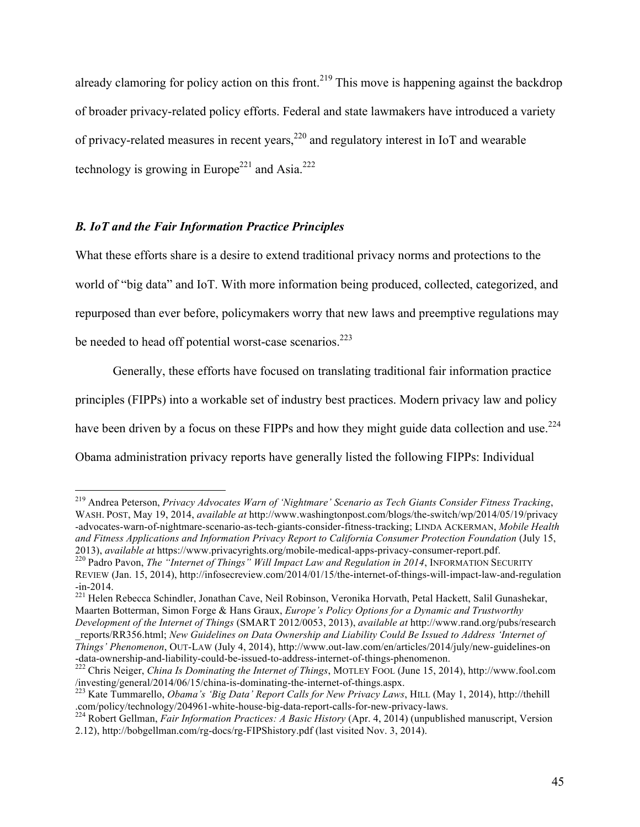already clamoring for policy action on this front.<sup>219</sup> This move is happening against the backdrop of broader privacy-related policy efforts. Federal and state lawmakers have introduced a variety of privacy-related measures in recent years,  $^{220}$  and regulatory interest in IoT and wearable technology is growing in Europe<sup>221</sup> and Asia.<sup>222</sup>

# *B. IoT and the Fair Information Practice Principles*

What these efforts share is a desire to extend traditional privacy norms and protections to the world of "big data" and IoT. With more information being produced, collected, categorized, and repurposed than ever before, policymakers worry that new laws and preemptive regulations may be needed to head off potential worst-case scenarios.<sup>223</sup>

Generally, these efforts have focused on translating traditional fair information practice principles (FIPPs) into a workable set of industry best practices. Modern privacy law and policy have been driven by a focus on these FIPPs and how they might guide data collection and use.<sup>224</sup> Obama administration privacy reports have generally listed the following FIPPs: Individual

 <sup>219</sup> Andrea Peterson, *Privacy Advocates Warn of 'Nightmare' Scenario as Tech Giants Consider Fitness Tracking*, WASH. POST, May 19, 2014, *available at* http://www.washingtonpost.com/blogs/the-switch/wp/2014/05/19/privacy -advocates-warn-of-nightmare-scenario-as-tech-giants-consider-fitness-tracking; LINDA ACKERMAN, *Mobile Health and Fitness Applications and Information Privacy Report to California Consumer Protection Foundation* (July 15, 2013), *available at* https://www.privacyrights.org/mobile-medical-apps-privacy-consumer-report.pdf. <sup>220</sup> Padro Pavon, *The "Internet of Things" Will Impact Law and Regulation in 2014*, INFORMATION SECURITY

REVIEW (Jan. 15, 2014), http://infosecreview.com/2014/01/15/the-internet-of-things-will-impact-law-and-regulation -in-2014. <sup>221</sup> Helen Rebecca Schindler, Jonathan Cave, Neil Robinson, Veronika Horvath, Petal Hackett, Salil Gunashekar,

Maarten Botterman, Simon Forge & Hans Graux, *Europe's Policy Options for a Dynamic and Trustworthy Development of the Internet of Things* (SMART 2012/0053, 2013), *available at* http://www.rand.org/pubs/research

\_reports/RR356.html; *New Guidelines on Data Ownership and Liability Could Be Issued to Address 'Internet of Things' Phenomenon*, OUT-LAW (July 4, 2014), http://www.out-law.com/en/articles/2014/july/new-guidelines-on

<sup>-</sup>data-ownership-and-liability-could-be-issued-to-address-internet-of-things-phenomenon.<br><sup>222</sup> Chris Neiger, *China Is Dominating the Internet of Things*, MOTLEY FOOL (June 15, 2014), http://www.fool.com<br>/investing/general/

<sup>&</sup>lt;sup>223</sup> Kate Tummarello, *Obama's 'Big Data' Report Calls for New Privacy Laws*, HILL (May 1, 2014), http://thehill .com/policy/technology/204961-white-house-big-data-report-calls-for-new-privacy-laws. <sup>224</sup> Robert Gellman, *Fair Information Practices: A Basic History* (Apr. 4, 2014) (unpublished manuscript, Version

<sup>2.12),</sup> http://bobgellman.com/rg-docs/rg-FIPShistory.pdf (last visited Nov. 3, 2014).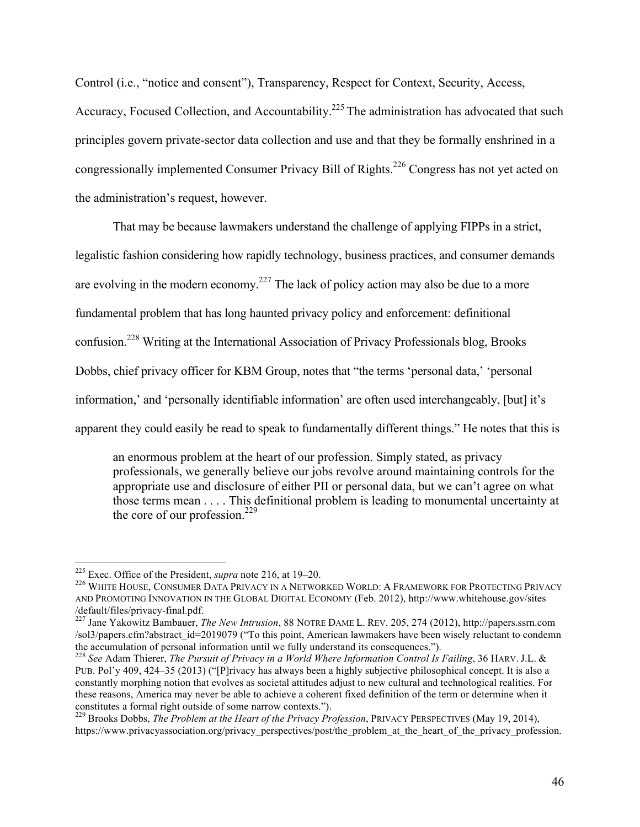Control (i.e., "notice and consent"), Transparency, Respect for Context, Security, Access,

Accuracy, Focused Collection, and Accountability.<sup>225</sup> The administration has advocated that such principles govern private-sector data collection and use and that they be formally enshrined in a congressionally implemented Consumer Privacy Bill of Rights.<sup>226</sup> Congress has not yet acted on the administration's request, however.

That may be because lawmakers understand the challenge of applying FIPPs in a strict,

legalistic fashion considering how rapidly technology, business practices, and consumer demands

are evolving in the modern economy.<sup>227</sup> The lack of policy action may also be due to a more

fundamental problem that has long haunted privacy policy and enforcement: definitional

confusion.<sup>228</sup> Writing at the International Association of Privacy Professionals blog, Brooks

Dobbs, chief privacy officer for KBM Group, notes that "the terms 'personal data,' 'personal

information,' and 'personally identifiable information' are often used interchangeably, [but] it's

apparent they could easily be read to speak to fundamentally different things." He notes that this is

an enormous problem at the heart of our profession. Simply stated, as privacy professionals, we generally believe our jobs revolve around maintaining controls for the appropriate use and disclosure of either PII or personal data, but we can't agree on what those terms mean . . . . This definitional problem is leading to monumental uncertainty at the core of our profession.<sup>229</sup>

<sup>&</sup>lt;sup>225</sup> Exec. Office of the President, *supra* note 216, at 19–20.<br><sup>226</sup> WHITE HOUSE. CONSUMER DATA PRIVACY IN A NETWORKED WORLD: A FRAMEWORK FOR PROTECTING PRIVACY AND PROMOTING INNOVATION IN THE GLOBAL DIGITAL ECONOMY (Feb. 2012), http://www.whitehouse.gov/sites /default/files/privacy-final.pdf. <sup>227</sup> Jane Yakowitz Bambauer, *The New Intrusion*, 88 NOTRE DAME L. REV. 205, 274 (2012), http://papers.ssrn.com

<sup>/</sup>sol3/papers.cfm?abstract\_id=2019079 ("To this point, American lawmakers have been wisely reluctant to condemn the accumulation of personal information until we fully understand its consequences."). <sup>228</sup> *See* Adam Thierer, *The Pursuit of Privacy in a World Where Information Control Is Failing*, 36 HARV. J.L. &

PUB. Pol'y 409, 424–35 (2013) ("[P]rivacy has always been a highly subjective philosophical concept. It is also a constantly morphing notion that evolves as societal attitudes adjust to new cultural and technological realities. For these reasons, America may never be able to achieve a coherent fixed definition of the term or determine when it constitutes a formal right outside of some narrow contexts.").

<sup>&</sup>lt;sup>229</sup> Brooks Dobbs, *The Problem at the Heart of the Privacy Profession*, PRIVACY PERSPECTIVES (May 19, 2014), https://www.privacyassociation.org/privacy\_perspectives/post/the\_problem\_at\_the\_heart\_of\_the\_privacy\_profession.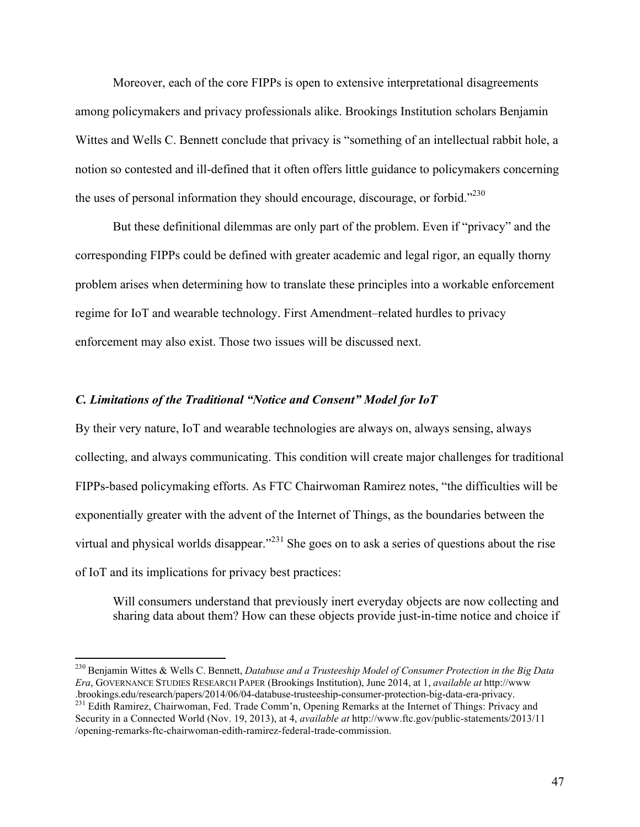Moreover, each of the core FIPPs is open to extensive interpretational disagreements among policymakers and privacy professionals alike. Brookings Institution scholars Benjamin Wittes and Wells C. Bennett conclude that privacy is "something of an intellectual rabbit hole, a notion so contested and ill-defined that it often offers little guidance to policymakers concerning the uses of personal information they should encourage, discourage, or forbid."<sup>230</sup>

But these definitional dilemmas are only part of the problem. Even if "privacy" and the corresponding FIPPs could be defined with greater academic and legal rigor, an equally thorny problem arises when determining how to translate these principles into a workable enforcement regime for IoT and wearable technology. First Amendment–related hurdles to privacy enforcement may also exist. Those two issues will be discussed next.

## *C. Limitations of the Traditional "Notice and Consent" Model for IoT*

By their very nature, IoT and wearable technologies are always on, always sensing, always collecting, and always communicating. This condition will create major challenges for traditional FIPPs-based policymaking efforts. As FTC Chairwoman Ramirez notes, "the difficulties will be exponentially greater with the advent of the Internet of Things, as the boundaries between the virtual and physical worlds disappear.<sup> $231$ </sup> She goes on to ask a series of questions about the rise of IoT and its implications for privacy best practices:

Will consumers understand that previously inert everyday objects are now collecting and sharing data about them? How can these objects provide just-in-time notice and choice if

 <sup>230</sup> Benjamin Wittes & Wells C. Bennett, *Databuse and a Trusteeship Model of Consumer Protection in the Big Data Era*, GOVERNANCE STUDIES RESEARCH PAPER (Brookings Institution), June 2014, at 1, *available at* http://www

<sup>231</sup> Edith Ramirez, Chairwoman, Fed. Trade Comm'n, Opening Remarks at the Internet of Things: Privacy and Security in a Connected World (Nov. 19, 2013), at 4, *available at* http://www.ftc.gov/public-statements/2013/11 /opening-remarks-ftc-chairwoman-edith-ramirez-federal-trade-commission.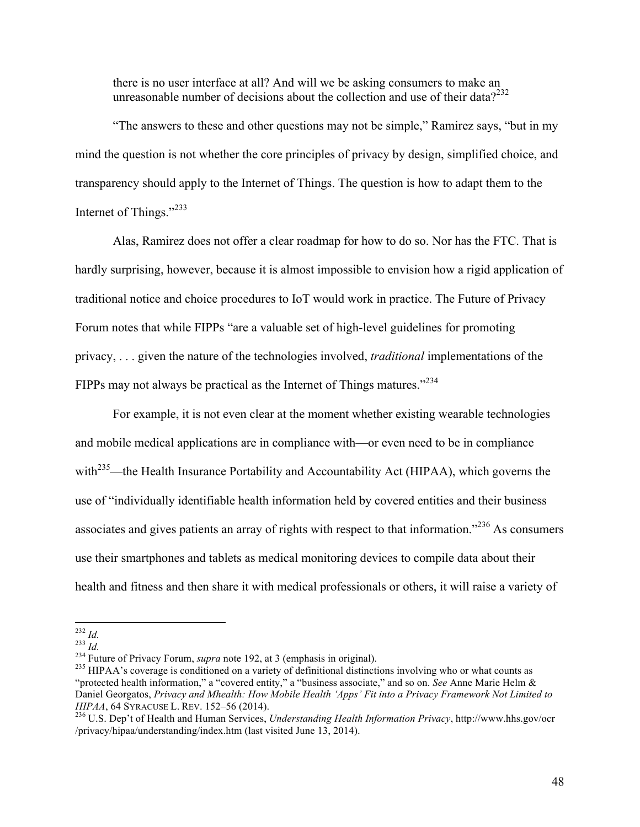there is no user interface at all? And will we be asking consumers to make an unreasonable number of decisions about the collection and use of their data?<sup>232</sup>

"The answers to these and other questions may not be simple," Ramirez says, "but in my mind the question is not whether the core principles of privacy by design, simplified choice, and transparency should apply to the Internet of Things. The question is how to adapt them to the Internet of Things."233

Alas, Ramirez does not offer a clear roadmap for how to do so. Nor has the FTC. That is hardly surprising, however, because it is almost impossible to envision how a rigid application of traditional notice and choice procedures to IoT would work in practice. The Future of Privacy Forum notes that while FIPPs "are a valuable set of high-level guidelines for promoting privacy, . . . given the nature of the technologies involved, *traditional* implementations of the FIPPs may not always be practical as the Internet of Things matures."<sup>234</sup>

For example, it is not even clear at the moment whether existing wearable technologies and mobile medical applications are in compliance with—or even need to be in compliance with<sup>235</sup>—the Health Insurance Portability and Accountability Act (HIPAA), which governs the use of "individually identifiable health information held by covered entities and their business associates and gives patients an array of rights with respect to that information."<sup>236</sup> As consumers use their smartphones and tablets as medical monitoring devices to compile data about their health and fitness and then share it with medical professionals or others, it will raise a variety of

<sup>&</sup>lt;sup>232</sup> *Id.*<br><sup>233</sup> *Id.* <sup>233</sup> *Id.* <sup>234</sup> Future of Privacy Forum, *supra* note 192, at 3 (emphasis in original).<br><sup>235</sup> HIPAA's coverage is conditioned on a variety of definitional distinctions involving who or what counts "protected health information," a "covered entity," a "business associate," and so on. *See* Anne Marie Helm & Daniel Georgatos, *Privacy and Mhealth: How Mobile Health 'Apps' Fit into a Privacy Framework Not Limited to HIPAA*, 64 SYRACUSE L. REV. 152–56 (2014).<br><sup>236</sup> U.S. Dep't of Health and Human Services, *Understanding Health Information Privacy*, http://www.hhs.gov/ocr

<sup>/</sup>privacy/hipaa/understanding/index.htm (last visited June 13, 2014).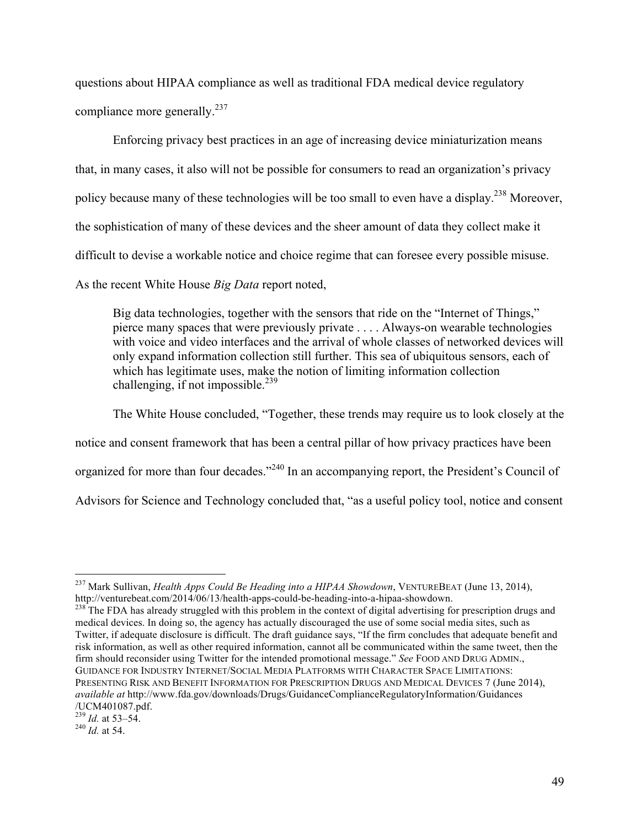questions about HIPAA compliance as well as traditional FDA medical device regulatory compliance more generally.<sup>237</sup>

Enforcing privacy best practices in an age of increasing device miniaturization means that, in many cases, it also will not be possible for consumers to read an organization's privacy policy because many of these technologies will be too small to even have a display.<sup>238</sup> Moreover, the sophistication of many of these devices and the sheer amount of data they collect make it difficult to devise a workable notice and choice regime that can foresee every possible misuse. As the recent White House *Big Data* report noted,

Big data technologies, together with the sensors that ride on the "Internet of Things," pierce many spaces that were previously private . . . . Always-on wearable technologies with voice and video interfaces and the arrival of whole classes of networked devices will only expand information collection still further. This sea of ubiquitous sensors, each of which has legitimate uses, make the notion of limiting information collection challenging, if not impossible.<sup>239</sup>

The White House concluded, "Together, these trends may require us to look closely at the notice and consent framework that has been a central pillar of how privacy practices have been organized for more than four decades."<sup>240</sup> In an accompanying report, the President's Council of Advisors for Science and Technology concluded that, "as a useful policy tool, notice and consent

 <sup>237</sup> Mark Sullivan, *Health Apps Could Be Heading into a HIPAA Showdown*, VENTUREBEAT (June 13, 2014), http://venturebeat.com/2014/06/13/health-apps-could-be-heading-into-a-hipaa-showdown.<br><sup>238</sup> The FDA has already struggled with this problem in the context of digital advertising for prescription drugs and

medical devices. In doing so, the agency has actually discouraged the use of some social media sites, such as Twitter, if adequate disclosure is difficult. The draft guidance says, "If the firm concludes that adequate benefit and risk information, as well as other required information, cannot all be communicated within the same tweet, then the firm should reconsider using Twitter for the intended promotional message." *See* FOOD AND DRUG ADMIN., GUIDANCE FOR INDUSTRY INTERNET/SOCIAL MEDIA PLATFORMS WITH CHARACTER SPACE LIMITATIONS: PRESENTING RISK AND BENEFIT INFORMATION FOR PRESCRIPTION DRUGS AND MEDICAL DEVICES 7 (June 2014), *available at* http://www.fda.gov/downloads/Drugs/GuidanceComplianceRegulatoryInformation/Guidances /UCM401087.pdf.

<sup>239</sup> *Id.* at 53–54. <sup>240</sup> *Id.* at 54.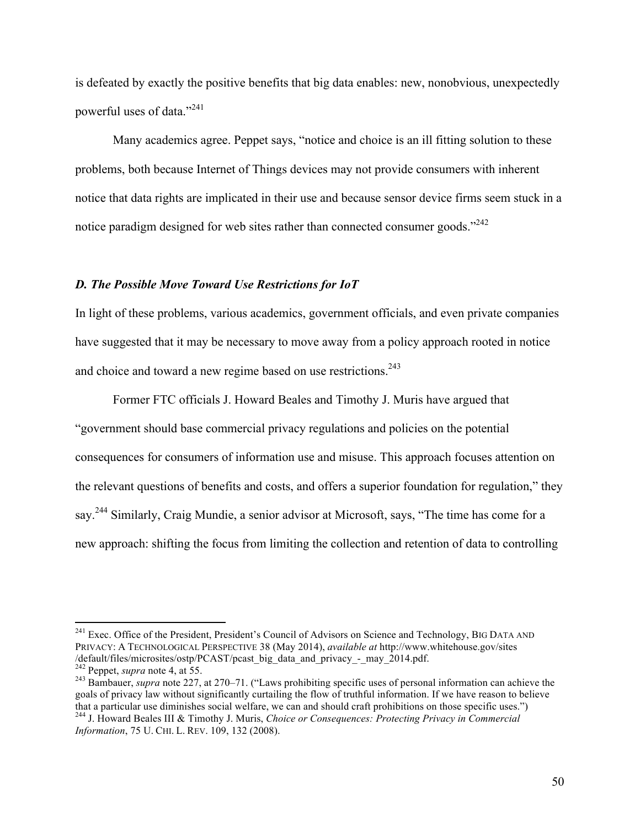is defeated by exactly the positive benefits that big data enables: new, nonobvious, unexpectedly powerful uses of data."<sup>241</sup>

Many academics agree. Peppet says, "notice and choice is an ill fitting solution to these problems, both because Internet of Things devices may not provide consumers with inherent notice that data rights are implicated in their use and because sensor device firms seem stuck in a notice paradigm designed for web sites rather than connected consumer goods."<sup>242</sup>

## *D. The Possible Move Toward Use Restrictions for IoT*

In light of these problems, various academics, government officials, and even private companies have suggested that it may be necessary to move away from a policy approach rooted in notice and choice and toward a new regime based on use restrictions.<sup>243</sup>

Former FTC officials J. Howard Beales and Timothy J. Muris have argued that "government should base commercial privacy regulations and policies on the potential consequences for consumers of information use and misuse. This approach focuses attention on the relevant questions of benefits and costs, and offers a superior foundation for regulation," they say.<sup>244</sup> Similarly, Craig Mundie, a senior advisor at Microsoft, says, "The time has come for a new approach: shifting the focus from limiting the collection and retention of data to controlling

<sup>&</sup>lt;sup>241</sup> Exec. Office of the President, President's Council of Advisors on Science and Technology, BIG DATA AND PRIVACY: A TECHNOLOGICAL PERSPECTIVE 38 (May 2014), *available at* http://www.whitehouse.gov/sites /default/files/microsites/ostp/PCAST/pcast\_big\_data\_and\_privacy\_-\_may\_2014.pdf.<br><sup>242</sup> Peppet, *supra* note 4, at 55.<br><sup>243</sup> Bambauer, *supra* note 227, at 270–71. ("Laws prohibiting specific uses of personal information can

goals of privacy law without significantly curtailing the flow of truthful information. If we have reason to believe that a particular use diminishes social welfare, we can and should craft prohibitions on those specific uses.") <sup>244</sup> J. Howard Beales III & Timothy J. Muris, *Choice or Consequences: Protecting Privacy in Commercial* 

*Information*, 75 U. CHI. L. REV. 109, 132 (2008).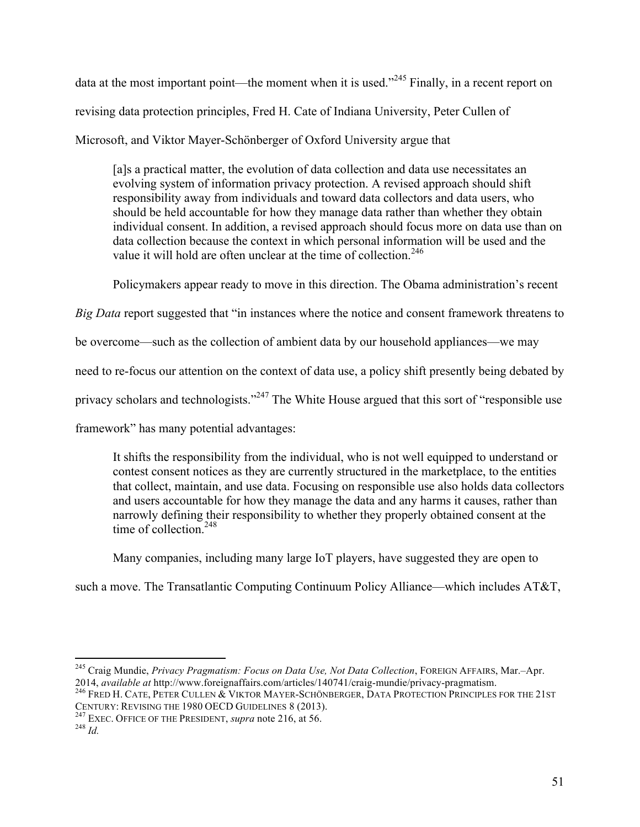data at the most important point—the moment when it is used."<sup>245</sup> Finally, in a recent report on revising data protection principles, Fred H. Cate of Indiana University, Peter Cullen of Microsoft, and Viktor Mayer-Schönberger of Oxford University argue that

[a]s a practical matter, the evolution of data collection and data use necessitates an evolving system of information privacy protection. A revised approach should shift responsibility away from individuals and toward data collectors and data users, who should be held accountable for how they manage data rather than whether they obtain individual consent. In addition, a revised approach should focus more on data use than on data collection because the context in which personal information will be used and the value it will hold are often unclear at the time of collection.<sup>246</sup>

Policymakers appear ready to move in this direction. The Obama administration's recent

*Big Data* report suggested that "in instances where the notice and consent framework threatens to

be overcome—such as the collection of ambient data by our household appliances—we may

need to re-focus our attention on the context of data use, a policy shift presently being debated by

privacy scholars and technologists."<sup>247</sup> The White House argued that this sort of "responsible use

framework" has many potential advantages:

It shifts the responsibility from the individual, who is not well equipped to understand or contest consent notices as they are currently structured in the marketplace, to the entities that collect, maintain, and use data. Focusing on responsible use also holds data collectors and users accountable for how they manage the data and any harms it causes, rather than narrowly defining their responsibility to whether they properly obtained consent at the time of collection. $248$ 

Many companies, including many large IoT players, have suggested they are open to

such a move. The Transatlantic Computing Continuum Policy Alliance—which includes AT&T,

<sup>&</sup>lt;sup>245</sup> Craig Mundie, *Privacy Pragmatism: Focus on Data Use, Not Data Collection*, FOREIGN AFFAIRS, Mar.–Apr.<br>2014, *available at* http://www.foreignaffairs.com/articles/140741/craig-mundie/privacy-pragmatism.

<sup>&</sup>lt;sup>246</sup> FRED H. CATE, PETER CULLEN  $\&$  VIKTOR MAYER-SCHÖNBERGER, DATA PROTECTION PRINCIPLES FOR THE 21ST CENTURY: REVISING THE 1980 OECD GUIDELINES 8 (2013).

<sup>&</sup>lt;sup>247</sup> EXEC. OFFICE OF THE PRESIDENT, *supra* note 216, at 56. <sup>248</sup> *Id*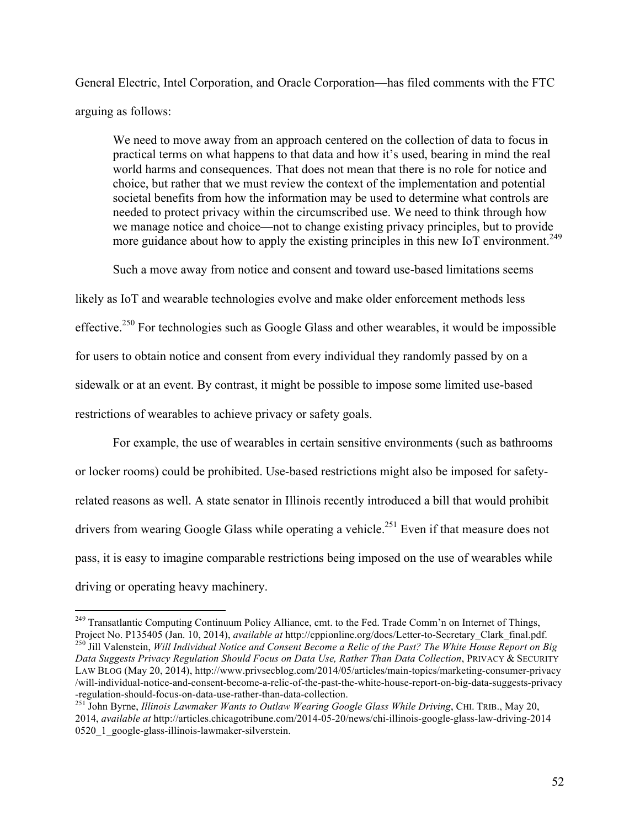General Electric, Intel Corporation, and Oracle Corporation—has filed comments with the FTC arguing as follows:

We need to move away from an approach centered on the collection of data to focus in practical terms on what happens to that data and how it's used, bearing in mind the real world harms and consequences. That does not mean that there is no role for notice and choice, but rather that we must review the context of the implementation and potential societal benefits from how the information may be used to determine what controls are needed to protect privacy within the circumscribed use. We need to think through how we manage notice and choice—not to change existing privacy principles, but to provide more guidance about how to apply the existing principles in this new IoT environment.<sup>249</sup>

Such a move away from notice and consent and toward use-based limitations seems

likely as IoT and wearable technologies evolve and make older enforcement methods less effective.<sup>250</sup> For technologies such as Google Glass and other wearables, it would be impossible for users to obtain notice and consent from every individual they randomly passed by on a sidewalk or at an event. By contrast, it might be possible to impose some limited use-based restrictions of wearables to achieve privacy or safety goals.

For example, the use of wearables in certain sensitive environments (such as bathrooms or locker rooms) could be prohibited. Use-based restrictions might also be imposed for safetyrelated reasons as well. A state senator in Illinois recently introduced a bill that would prohibit drivers from wearing Google Glass while operating a vehicle.<sup>251</sup> Even if that measure does not pass, it is easy to imagine comparable restrictions being imposed on the use of wearables while driving or operating heavy machinery.

<sup>&</sup>lt;sup>249</sup> Transatlantic Computing Continuum Policy Alliance, cmt. to the Fed. Trade Comm'n on Internet of Things, Project No. P135405 (Jan. 10, 2014), available at http://cppionline.org/docs/Letter-to-Secretary\_Clark\_final.pdf.<br><sup>250</sup> Jill Valenstein, Will Individual Notice and Consent Become a Relic of the Past? The White House Report

*Data Suggests Privacy Regulation Should Focus on Data Use, Rather Than Data Collection*, PRIVACY & SECURITY LAW BLOG (May 20, 2014), http://www.privsecblog.com/2014/05/articles/main-topics/marketing-consumer-privacy /will-individual-notice-and-consent-become-a-relic-of-the-past-the-white-house-report-on-big-data-suggests-privacy

<sup>-</sup>regulation-should-focus-on-data-use-rather-than-data-collection. <sup>251</sup> John Byrne, *Illinois Lawmaker Wants to Outlaw Wearing Google Glass While Driving*, CHI. TRIB., May 20, 2014, *available at* http://articles.chicagotribune.com/2014-05-20/news/chi-illinois-google-glass-law-driving-2014 0520\_1\_google-glass-illinois-lawmaker-silverstein.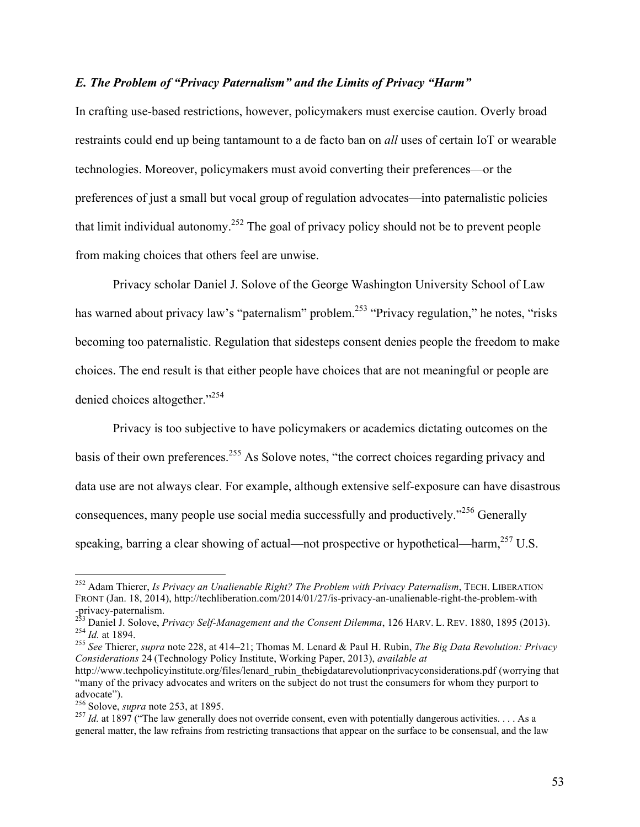# *E. The Problem of "Privacy Paternalism" and the Limits of Privacy "Harm"*

In crafting use-based restrictions, however, policymakers must exercise caution. Overly broad restraints could end up being tantamount to a de facto ban on *all* uses of certain IoT or wearable technologies. Moreover, policymakers must avoid converting their preferences—or the preferences of just a small but vocal group of regulation advocates—into paternalistic policies that limit individual autonomy.<sup>252</sup> The goal of privacy policy should not be to prevent people from making choices that others feel are unwise.

Privacy scholar Daniel J. Solove of the George Washington University School of Law has warned about privacy law's "paternalism" problem.<sup>253</sup> "Privacy regulation," he notes, "risks becoming too paternalistic. Regulation that sidesteps consent denies people the freedom to make choices. The end result is that either people have choices that are not meaningful or people are denied choices altogether."<sup>254</sup>

Privacy is too subjective to have policymakers or academics dictating outcomes on the basis of their own preferences.<sup>255</sup> As Solove notes, "the correct choices regarding privacy and data use are not always clear. For example, although extensive self-exposure can have disastrous consequences, many people use social media successfully and productively.<sup>256</sup> Generally speaking, barring a clear showing of actual—not prospective or hypothetical—harm,<sup>257</sup> U.S.

 <sup>252</sup> Adam Thierer, *Is Privacy an Unalienable Right? The Problem with Privacy Paternalism*, TECH. LIBERATION FRONT (Jan. 18, 2014), http://techliberation.com/2014/01/27/is-privacy-an-unalienable-right-the-problem-with

<sup>-</sup>privacy-paternalism.<br>
<sup>253</sup> Daniel J. Solove, *Privacy Self-Management and the Consent Dilemma*, 126 HARV. L. REV. 1880, 1895 (2013).<br>
<sup>254</sup> *Id.* at 1894.<br>
<sup>255</sup> See Thierer, *supra* note 228, at 414–21; Thomas M. Lenard

*Considerations* 24 (Technology Policy Institute, Working Paper, 2013), *available at*

http://www.techpolicyinstitute.org/files/lenard\_rubin\_thebigdatarevolutionprivacyconsiderations.pdf (worrying that "many of the privacy advocates and writers on the subject do not trust the consumers for whom they purport to advocate").<br><sup>256</sup> Solove, *supra* note 253, at 1895.<br><sup>257</sup> *Id.* at 1897 ("The law generally does not override consent, even with potentially dangerous activities. . . . As a

general matter, the law refrains from restricting transactions that appear on the surface to be consensual, and the law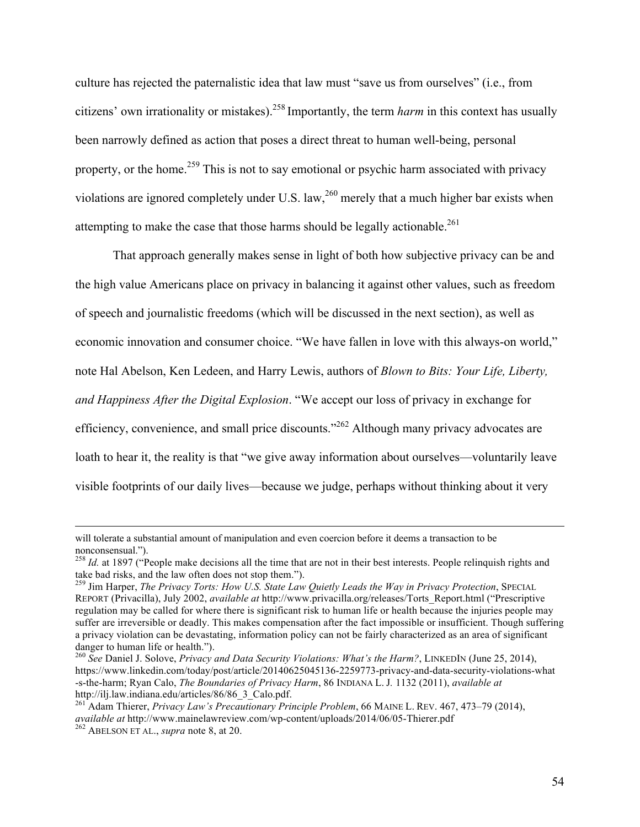culture has rejected the paternalistic idea that law must "save us from ourselves" (i.e., from citizens' own irrationality or mistakes).258 Importantly, the term *harm* in this context has usually been narrowly defined as action that poses a direct threat to human well-being, personal property, or the home.<sup>259</sup> This is not to say emotional or psychic harm associated with privacy violations are ignored completely under U.S. law,  $^{260}$  merely that a much higher bar exists when attempting to make the case that those harms should be legally actionable.<sup>261</sup>

That approach generally makes sense in light of both how subjective privacy can be and the high value Americans place on privacy in balancing it against other values, such as freedom of speech and journalistic freedoms (which will be discussed in the next section), as well as economic innovation and consumer choice. "We have fallen in love with this always-on world," note Hal Abelson, Ken Ledeen, and Harry Lewis, authors of *Blown to Bits: Your Life, Liberty, and Happiness After the Digital Explosion*. "We accept our loss of privacy in exchange for efficiency, convenience, and small price discounts."262 Although many privacy advocates are loath to hear it, the reality is that "we give away information about ourselves—voluntarily leave visible footprints of our daily lives—because we judge, perhaps without thinking about it very

<u> Alexandro de la contrada de la contrada de la contrada de la contrada de la contrada de la contrada de la co</u>

will tolerate a substantial amount of manipulation and even coercion before it deems a transaction to be nonconsensual.").

<sup>&</sup>lt;sup>258</sup> *Id.* at 1897 ("People make decisions all the time that are not in their best interests. People relinquish rights and take bad risks, and the law often does not stop them.").

<sup>&</sup>lt;sup>259</sup> Jim Harper, *The Privacy Torts: How U.S. State Law Quietly Leads the Way in Privacy Protection*, SPECIAL REPORT (Privacilla), July 2002, *available at* http://www.privacilla.org/releases/Torts\_Report.html ("Prescriptive regulation may be called for where there is significant risk to human life or health because the injuries people may suffer are irreversible or deadly. This makes compensation after the fact impossible or insufficient. Though suffering a privacy violation can be devastating, information policy can not be fairly characterized as an area of significant

<sup>&</sup>lt;sup>260</sup> See Daniel J. Solove, *Privacy and Data Security Violations: What's the Harm?*, LINKEDIN (June 25, 2014), https://www.linkedin.com/today/post/article/20140625045136-2259773-privacy-and-data-security-violations-what -s-the-harm; Ryan Calo, *The Boundaries of Privacy Harm*, 86 INDIANA L. J*.* 1132 (2011), *available at* http://ilj.law.indiana.edu/articles/86/86\_3\_Calo.pdf. <sup>261</sup> Adam Thierer, *Privacy Law's Precautionary Principle Problem*, 66 MAINE L. REV. 467, 473–79 (2014),

*available at* http://www.mainelawreview.com/wp-content/uploads/2014/06/05-Thierer.pdf <sup>262</sup> ABELSON ET AL., *supra* note 8, at 20.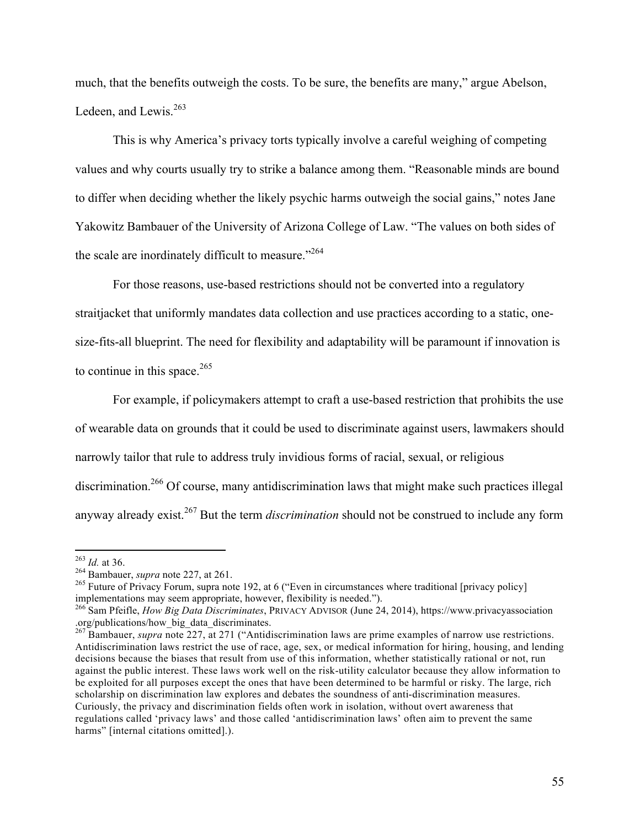much, that the benefits outweigh the costs. To be sure, the benefits are many," argue Abelson, Ledeen, and Lewis.<sup>263</sup>

This is why America's privacy torts typically involve a careful weighing of competing values and why courts usually try to strike a balance among them. "Reasonable minds are bound to differ when deciding whether the likely psychic harms outweigh the social gains," notes Jane Yakowitz Bambauer of the University of Arizona College of Law. "The values on both sides of the scale are inordinately difficult to measure."<sup>264</sup>

For those reasons, use-based restrictions should not be converted into a regulatory straitjacket that uniformly mandates data collection and use practices according to a static, onesize-fits-all blueprint. The need for flexibility and adaptability will be paramount if innovation is to continue in this space.<sup>265</sup>

For example, if policymakers attempt to craft a use-based restriction that prohibits the use of wearable data on grounds that it could be used to discriminate against users, lawmakers should narrowly tailor that rule to address truly invidious forms of racial, sexual, or religious discrimination.266 Of course, many antidiscrimination laws that might make such practices illegal anyway already exist. <sup>267</sup> But the term *discrimination* should not be construed to include any form

<sup>&</sup>lt;sup>263</sup> *Id.* at 36.<br><sup>264</sup> Bambauer, *supra* note 227, at 261.<br><sup>265</sup> Future of Privacy Forum, supra note 192, at 6 ("Even in circumstances where traditional [privacy policy]<br>implementations may seem appropriate, however, fle

<sup>&</sup>lt;sup>266</sup> Sam Pfeifle, *How Big Data Discriminates*, PRIVACY ADVISOR (June 24, 2014), https://www.privacyassociation .org/publications/how\_big\_data\_discriminates.

<sup>&</sup>lt;sup>267</sup> Bambauer, *supra* note 227, at 271 ("Antidiscrimination laws are prime examples of narrow use restrictions. Antidiscrimination laws restrict the use of race, age, sex, or medical information for hiring, housing, and lending decisions because the biases that result from use of this information, whether statistically rational or not, run against the public interest. These laws work well on the risk-utility calculator because they allow information to be exploited for all purposes except the ones that have been determined to be harmful or risky. The large, rich scholarship on discrimination law explores and debates the soundness of anti-discrimination measures. Curiously, the privacy and discrimination fields often work in isolation, without overt awareness that regulations called 'privacy laws' and those called 'antidiscrimination laws' often aim to prevent the same harms" [internal citations omitted].).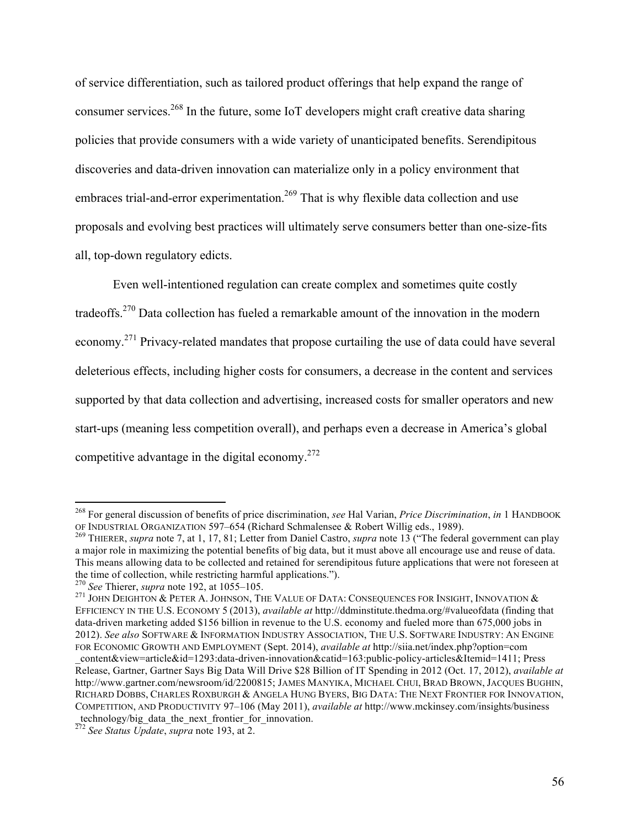of service differentiation, such as tailored product offerings that help expand the range of consumer services. <sup>268</sup> In the future, some IoT developers might craft creative data sharing policies that provide consumers with a wide variety of unanticipated benefits. Serendipitous discoveries and data-driven innovation can materialize only in a policy environment that embraces trial-and-error experimentation.<sup>269</sup> That is why flexible data collection and use proposals and evolving best practices will ultimately serve consumers better than one-size-fits all, top-down regulatory edicts.

Even well-intentioned regulation can create complex and sometimes quite costly tradeoffs.270 Data collection has fueled a remarkable amount of the innovation in the modern economy.<sup>271</sup> Privacy-related mandates that propose curtailing the use of data could have several deleterious effects, including higher costs for consumers, a decrease in the content and services supported by that data collection and advertising, increased costs for smaller operators and new start-ups (meaning less competition overall), and perhaps even a decrease in America's global competitive advantage in the digital economy.<sup>272</sup>

 <sup>268</sup> For general discussion of benefits of price discrimination, *see* Hal Varian, *Price Discrimination*, *in* 1 HANDBOOK OF INDUSTRIAL ORGANIZATION 597–654 (Richard Schmalensee & Robert Willig eds., 1989). <sup>269</sup> THIERER, *supra* note 7, at 1, 17, 81; Letter from Daniel Castro, *supra* note 13 ("The federal government can play

a major role in maximizing the potential benefits of big data, but it must above all encourage use and reuse of data. This means allowing data to be collected and retained for serendipitous future applications that were not foreseen at the time of collection, while restricting harmful applications.").<br> $^{270}$  See Thierer, supra note 192,

<sup>&</sup>lt;sup>271</sup> JOHN DEIGHTON & PETER A. JOHNSON, THE VALUE OF DATA: CONSEQUENCES FOR INSIGHT, INNOVATION & EFFICIENCY IN THE U.S. ECONOMY 5 (2013), *available at* http://ddminstitute.thedma.org/#valueofdata (finding that data-driven marketing added \$156 billion in revenue to the U.S. economy and fueled more than 675,000 jobs in 2012). *See also* SOFTWARE & INFORMATION INDUSTRY ASSOCIATION, THE U.S. SOFTWARE INDUSTRY: AN ENGINE FOR ECONOMIC GROWTH AND EMPLOYMENT (Sept. 2014), *available at* http://siia.net/index.php?option=com

\_content&view=article&id=1293:data-driven-innovation&catid=163:public-policy-articles&Itemid=1411; Press Release, Gartner, Gartner Says Big Data Will Drive \$28 Billion of IT Spending in 2012 (Oct. 17, 2012), *available at* http://www.gartner.com/newsroom/id/2200815; JAMES MANYIKA, MICHAEL CHUI, BRAD BROWN, JACQUES BUGHIN, RICHARD DOBBS, CHARLES ROXBURGH & ANGELA HUNG BYERS, BIG DATA: THE NEXT FRONTIER FOR INNOVATION, COMPETITION, AND PRODUCTIVITY 97–106 (May 2011), *available at* http://www.mckinsey.com/insights/business technology/big\_data\_the\_next\_frontier\_for\_innovation.

<sup>272</sup> *See Status Update*, *supra* note 193, at 2.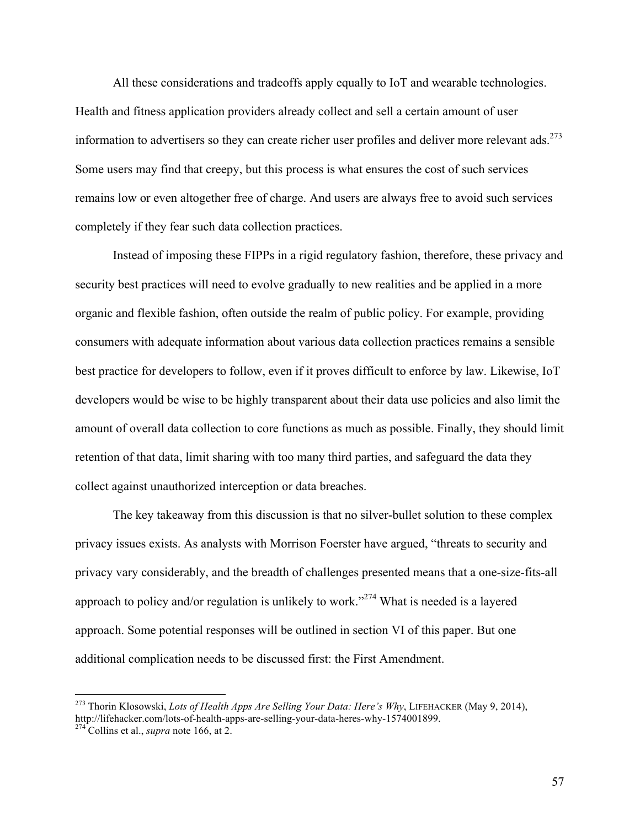All these considerations and tradeoffs apply equally to IoT and wearable technologies. Health and fitness application providers already collect and sell a certain amount of user information to advertisers so they can create richer user profiles and deliver more relevant ads.<sup>273</sup> Some users may find that creepy, but this process is what ensures the cost of such services remains low or even altogether free of charge. And users are always free to avoid such services completely if they fear such data collection practices.

Instead of imposing these FIPPs in a rigid regulatory fashion, therefore, these privacy and security best practices will need to evolve gradually to new realities and be applied in a more organic and flexible fashion, often outside the realm of public policy. For example, providing consumers with adequate information about various data collection practices remains a sensible best practice for developers to follow, even if it proves difficult to enforce by law. Likewise, IoT developers would be wise to be highly transparent about their data use policies and also limit the amount of overall data collection to core functions as much as possible. Finally, they should limit retention of that data, limit sharing with too many third parties, and safeguard the data they collect against unauthorized interception or data breaches.

The key takeaway from this discussion is that no silver-bullet solution to these complex privacy issues exists. As analysts with Morrison Foerster have argued, "threats to security and privacy vary considerably, and the breadth of challenges presented means that a one-size-fits-all approach to policy and/or regulation is unlikely to work."274 What is needed is a layered approach. Some potential responses will be outlined in section VI of this paper. But one additional complication needs to be discussed first: the First Amendment.

 <sup>273</sup> Thorin Klosowski, *Lots of Health Apps Are Selling Your Data: Here's Why*, LIFEHACKER (May 9, 2014), http://lifehacker.com/lots-of-health-apps-are-selling-your-data-heres-why-1574001899. <sup>274</sup> Collins et al., *supra* note 166, at 2.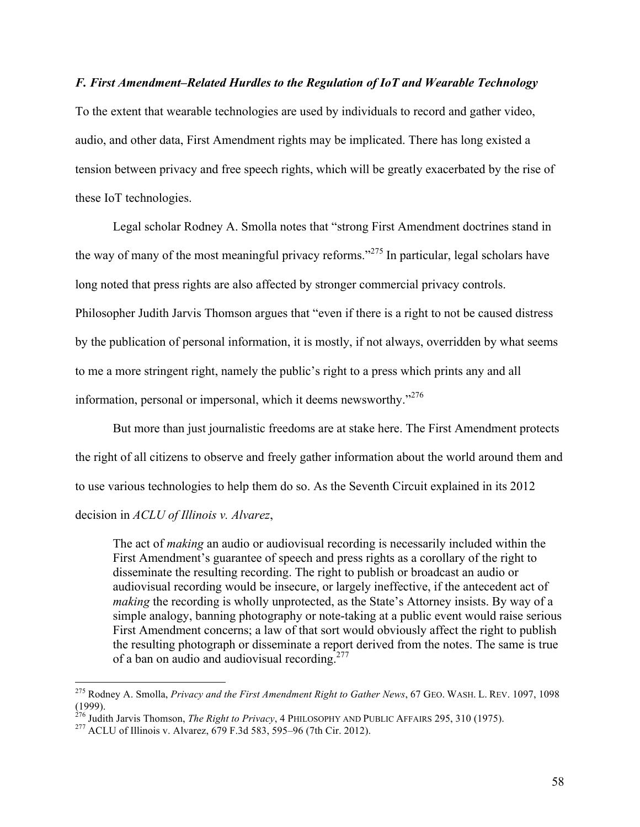## *F. First Amendment–Related Hurdles to the Regulation of IoT and Wearable Technology*

To the extent that wearable technologies are used by individuals to record and gather video, audio, and other data, First Amendment rights may be implicated. There has long existed a tension between privacy and free speech rights, which will be greatly exacerbated by the rise of these IoT technologies.

Legal scholar Rodney A. Smolla notes that "strong First Amendment doctrines stand in the way of many of the most meaningful privacy reforms."<sup>275</sup> In particular, legal scholars have long noted that press rights are also affected by stronger commercial privacy controls. Philosopher Judith Jarvis Thomson argues that "even if there is a right to not be caused distress by the publication of personal information, it is mostly, if not always, overridden by what seems to me a more stringent right, namely the public's right to a press which prints any and all information, personal or impersonal, which it deems newsworthy."<sup>276</sup>

But more than just journalistic freedoms are at stake here. The First Amendment protects the right of all citizens to observe and freely gather information about the world around them and to use various technologies to help them do so. As the Seventh Circuit explained in its 2012 decision in *ACLU of Illinois v. Alvarez*,

The act of *making* an audio or audiovisual recording is necessarily included within the First Amendment's guarantee of speech and press rights as a corollary of the right to disseminate the resulting recording. The right to publish or broadcast an audio or audiovisual recording would be insecure, or largely ineffective, if the antecedent act of *making* the recording is wholly unprotected, as the State's Attorney insists. By way of a simple analogy, banning photography or note-taking at a public event would raise serious First Amendment concerns; a law of that sort would obviously affect the right to publish the resulting photograph or disseminate a report derived from the notes. The same is true of a ban on audio and audiovisual recording.<sup>277</sup>

 <sup>275</sup> Rodney A. Smolla, *Privacy and the First Amendment Right to Gather News*, 67 GEO. WASH. L. REV. 1097, 1098 (1999).

<sup>&</sup>lt;sup>276</sup> Judith Jarvis Thomson, *The Right to Privacy*, 4 PHILOSOPHY AND PUBLIC AFFAIRS 295, 310 (1975).<br><sup>277</sup> ACLU of Illinois v. Alvarez, 679 F.3d 583, 595–96 (7th Cir. 2012).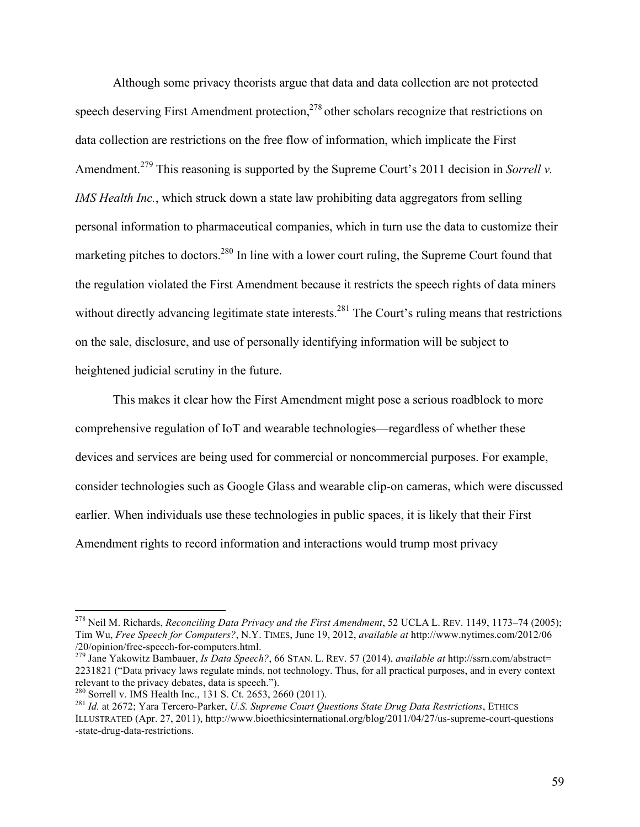Although some privacy theorists argue that data and data collection are not protected speech deserving First Amendment protection, $278$  other scholars recognize that restrictions on data collection are restrictions on the free flow of information, which implicate the First Amendment.<sup>279</sup> This reasoning is supported by the Supreme Court's 2011 decision in *Sorrell v*. *IMS Health Inc.*, which struck down a state law prohibiting data aggregators from selling personal information to pharmaceutical companies, which in turn use the data to customize their marketing pitches to doctors.<sup>280</sup> In line with a lower court ruling, the Supreme Court found that the regulation violated the First Amendment because it restricts the speech rights of data miners without directly advancing legitimate state interests.<sup>281</sup> The Court's ruling means that restrictions on the sale, disclosure, and use of personally identifying information will be subject to heightened judicial scrutiny in the future.

This makes it clear how the First Amendment might pose a serious roadblock to more comprehensive regulation of IoT and wearable technologies—regardless of whether these devices and services are being used for commercial or noncommercial purposes. For example, consider technologies such as Google Glass and wearable clip-on cameras, which were discussed earlier. When individuals use these technologies in public spaces, it is likely that their First Amendment rights to record information and interactions would trump most privacy

 <sup>278</sup> Neil M. Richards, *Reconciling Data Privacy and the First Amendment*, 52 UCLA L. REV. 1149, 1173–74 (2005); Tim Wu, *Free Speech for Computers?*, N.Y. TIMES, June 19, 2012, *available at* http://www.nytimes.com/2012/06 /20/opinion/free-speech-for-computers.html. <sup>279</sup> Jane Yakowitz Bambauer, *Is Data Speech?*, 66 STAN. L. REV. 57 (2014), *available at* http://ssrn.com/abstract=

<sup>2231821 (&</sup>quot;Data privacy laws regulate minds, not technology. Thus, for all practical purposes, and in every context

<sup>&</sup>lt;sup>280</sup> Sorrell v. IMS Health Inc., 131 S. Ct. 2653, 2660 (2011).<br><sup>281</sup> Id. at 2672; Yara Tercero-Parker, *U.S. Supreme Court Questions State Drug Data Restrictions*, ETHICS ILLUSTRATED (Apr. 27, 2011), http://www.bioethicsinternational.org/blog/2011/04/27/us-supreme-court-questions -state-drug-data-restrictions.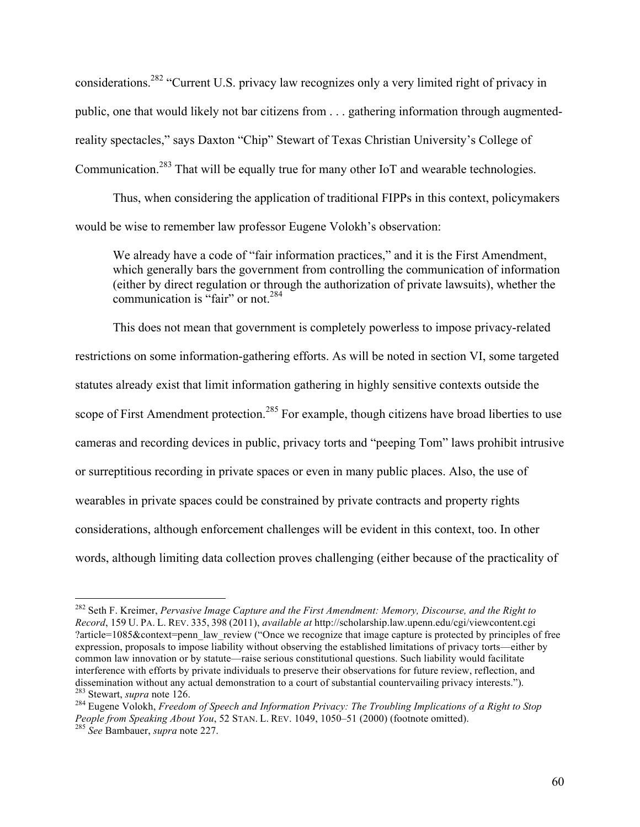considerations.282 "Current U.S. privacy law recognizes only a very limited right of privacy in public, one that would likely not bar citizens from . . . gathering information through augmentedreality spectacles," says Daxton "Chip" Stewart of Texas Christian University's College of Communication.<sup>283</sup> That will be equally true for many other IoT and wearable technologies.

Thus, when considering the application of traditional FIPPs in this context, policymakers would be wise to remember law professor Eugene Volokh's observation:

We already have a code of "fair information practices," and it is the First Amendment, which generally bars the government from controlling the communication of information (either by direct regulation or through the authorization of private lawsuits), whether the communication is "fair" or not.<sup>284</sup>

This does not mean that government is completely powerless to impose privacy-related restrictions on some information-gathering efforts. As will be noted in section VI, some targeted statutes already exist that limit information gathering in highly sensitive contexts outside the scope of First Amendment protection.<sup>285</sup> For example, though citizens have broad liberties to use cameras and recording devices in public, privacy torts and "peeping Tom" laws prohibit intrusive or surreptitious recording in private spaces or even in many public places. Also, the use of wearables in private spaces could be constrained by private contracts and property rights considerations, although enforcement challenges will be evident in this context, too. In other words, although limiting data collection proves challenging (either because of the practicality of

 <sup>282</sup> Seth F. Kreimer, *Pervasive Image Capture and the First Amendment: Memory, Discourse, and the Right to Record*, 159 U. PA. L. REV. 335, 398 (2011), *available at* http://scholarship.law.upenn.edu/cgi/viewcontent.cgi ?article=1085&context=penn\_law\_review ("Once we recognize that image capture is protected by principles of free expression, proposals to impose liability without observing the established limitations of privacy torts—either by common law innovation or by statute—raise serious constitutional questions. Such liability would facilitate interference with efforts by private individuals to preserve their observations for future review, reflection, and dissemination without any actual demonstration to a court of substantial countervailing privacy interests."

<sup>&</sup>lt;sup>283</sup> Stewart, *supra* note 126.<br><sup>284</sup> Eugene Volokh, *Freedom of Speech and Information Privacy: The Troubling Implications of a Right to Stop People from Speaking About You*, 52 STAN. L. REV. 1049, 1050–51 (2000) (footnote omitted). <sup>285</sup> *See* Bambauer, *supra* note 227.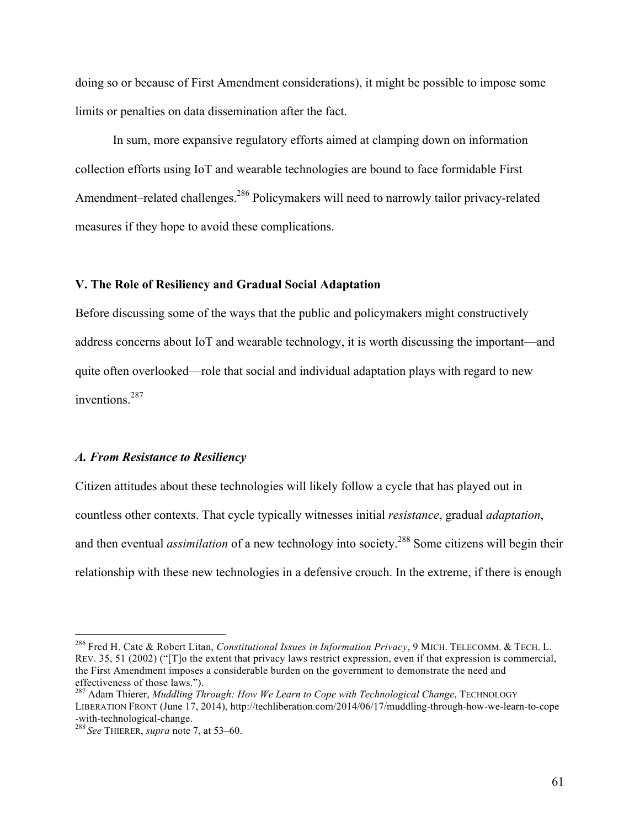doing so or because of First Amendment considerations), it might be possible to impose some limits or penalties on data dissemination after the fact.

In sum, more expansive regulatory efforts aimed at clamping down on information collection efforts using IoT and wearable technologies are bound to face formidable First Amendment–related challenges.<sup>286</sup> Policymakers will need to narrowly tailor privacy-related measures if they hope to avoid these complications.

## **V. The Role of Resiliency and Gradual Social Adaptation**

Before discussing some of the ways that the public and policymakers might constructively address concerns about IoT and wearable technology, it is worth discussing the important—and quite often overlooked—role that social and individual adaptation plays with regard to new inventions.<sup>287</sup>

#### *A. From Resistance to Resiliency*

Citizen attitudes about these technologies will likely follow a cycle that has played out in countless other contexts. That cycle typically witnesses initial *resistance*, gradual *adaptation*, and then eventual *assimilation* of a new technology into society.<sup>288</sup> Some citizens will begin their relationship with these new technologies in a defensive crouch. In the extreme, if there is enough

 <sup>286</sup> Fred H. Cate & Robert Litan, *Constitutional Issues in Information Privacy*, 9 MICH. TELECOMM. & TECH. L. REV. 35, 51 (2002) ("[T]o the extent that privacy laws restrict expression, even if that expression is commercial, the First Amendment imposes a considerable burden on the government to demonstrate the need and effectiveness of those laws.").

<sup>287</sup> Adam Thierer, *Muddling Through: How We Learn to Cope with Technological Change*, TECHNOLOGY LIBERATION FRONT (June 17, 2014), http://techliberation.com/2014/06/17/muddling-through-how-we-learn-to-cope

 $\frac{288}{\text{See ThIERER, supra note 7, at 53–60.}}$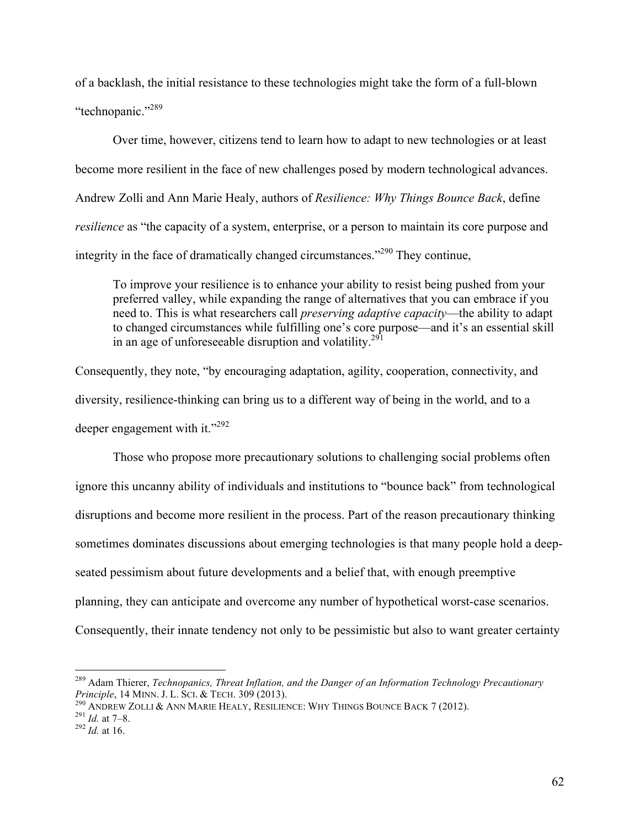of a backlash, the initial resistance to these technologies might take the form of a full-blown "technopanic."<sup>289</sup>

Over time, however, citizens tend to learn how to adapt to new technologies or at least become more resilient in the face of new challenges posed by modern technological advances. Andrew Zolli and Ann Marie Healy, authors of *Resilience: Why Things Bounce Back*, define *resilience* as "the capacity of a system, enterprise, or a person to maintain its core purpose and integrity in the face of dramatically changed circumstances."290 They continue,

To improve your resilience is to enhance your ability to resist being pushed from your preferred valley, while expanding the range of alternatives that you can embrace if you need to. This is what researchers call *preserving adaptive capacity*—the ability to adapt to changed circumstances while fulfilling one's core purpose—and it's an essential skill in an age of unforeseeable disruption and volatility.<sup>291</sup>

Consequently, they note, "by encouraging adaptation, agility, cooperation, connectivity, and diversity, resilience-thinking can bring us to a different way of being in the world, and to a deeper engagement with it."<sup>292</sup>

Those who propose more precautionary solutions to challenging social problems often ignore this uncanny ability of individuals and institutions to "bounce back" from technological disruptions and become more resilient in the process. Part of the reason precautionary thinking sometimes dominates discussions about emerging technologies is that many people hold a deepseated pessimism about future developments and a belief that, with enough preemptive planning, they can anticipate and overcome any number of hypothetical worst-case scenarios. Consequently, their innate tendency not only to be pessimistic but also to want greater certainty

<sup>&</sup>lt;sup>289</sup> Adam Thierer, *Technopanics, Threat Inflation, and the Danger of an Information Technology Precautionary Principle, 14 MINN. J. L. SCI. & TECH. 309 (2013).* 

<sup>&</sup>lt;sup>290</sup> ANDREW ZOLLI & ANN MARIE HEALY, RESILIENCE: WHY THINGS BOUNCE BACK 7 (2012).<br><sup>291</sup> *Id.* at 7–8. <sup>292</sup> *Id.* at 16.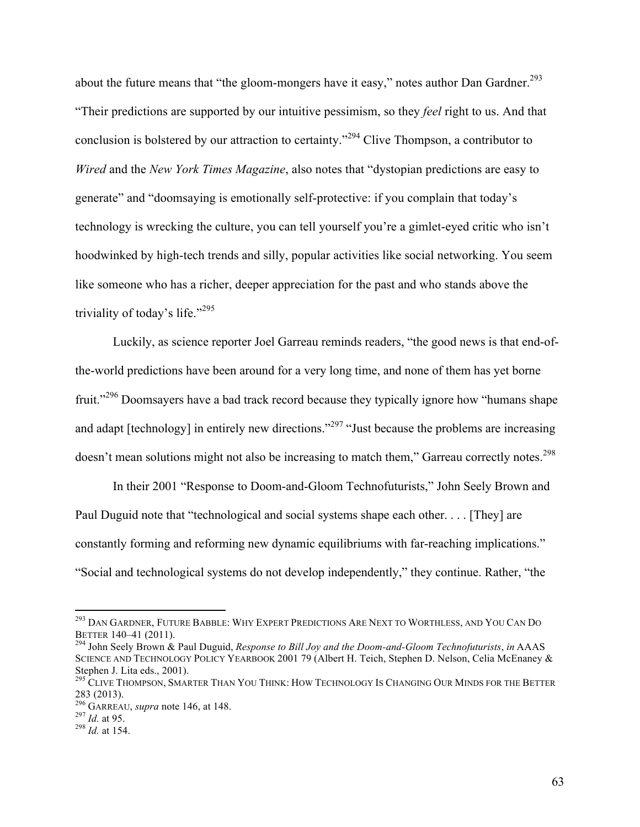about the future means that "the gloom-mongers have it easy," notes author Dan Gardner.<sup>293</sup> "Their predictions are supported by our intuitive pessimism, so they *feel* right to us. And that conclusion is bolstered by our attraction to certainty."<sup>294</sup> Clive Thompson, a contributor to *Wired* and the *New York Times Magazine*, also notes that "dystopian predictions are easy to generate" and "doomsaying is emotionally self-protective: if you complain that today's technology is wrecking the culture, you can tell yourself you're a gimlet-eyed critic who isn't hoodwinked by high-tech trends and silly, popular activities like social networking. You seem like someone who has a richer, deeper appreciation for the past and who stands above the triviality of today's life."<sup>295</sup>

Luckily, as science reporter Joel Garreau reminds readers, "the good news is that end-ofthe-world predictions have been around for a very long time, and none of them has yet borne fruit."<sup>296</sup> Doomsayers have a bad track record because they typically ignore how "humans shape and adapt [technology] in entirely new directions.<sup>297</sup> "Just because the problems are increasing doesn't mean solutions might not also be increasing to match them," Garreau correctly notes.<sup>298</sup>

In their 2001 "Response to Doom-and-Gloom Technofuturists," John Seely Brown and Paul Duguid note that "technological and social systems shape each other. . . . [They] are constantly forming and reforming new dynamic equilibriums with far-reaching implications." "Social and technological systems do not develop independently," they continue. Rather, "the

 $^{293}$  Dan Gardner, Future Babble: Why Expert Predictions Are Next to Worthless, and You Can Do Better 140–41 (2011).

<sup>&</sup>lt;sup>294</sup> John Seely Brown & Paul Duguid, *Response to Bill Joy and the Doom-and-Gloom Technofuturists*, *in* AAAS SCIENCE AND TECHNOLOGY POLICY YEARBOOK 2001 79 (Albert H. Teich, Stephen D. Nelson, Celia McEnaney & Stephen J. Lita eds., 2001).

<sup>&</sup>lt;sup>295</sup> CLIVE THOMPSON, SMARTER THAN YOU THINK: HOW TECHNOLOGY IS CHANGING OUR MINDS FOR THE BETTER 283 (2013).

<sup>296</sup> GARREAU, *supra* note 146, at 148. <sup>297</sup> *Id.* at 95. <sup>298</sup> *Id.* at 154.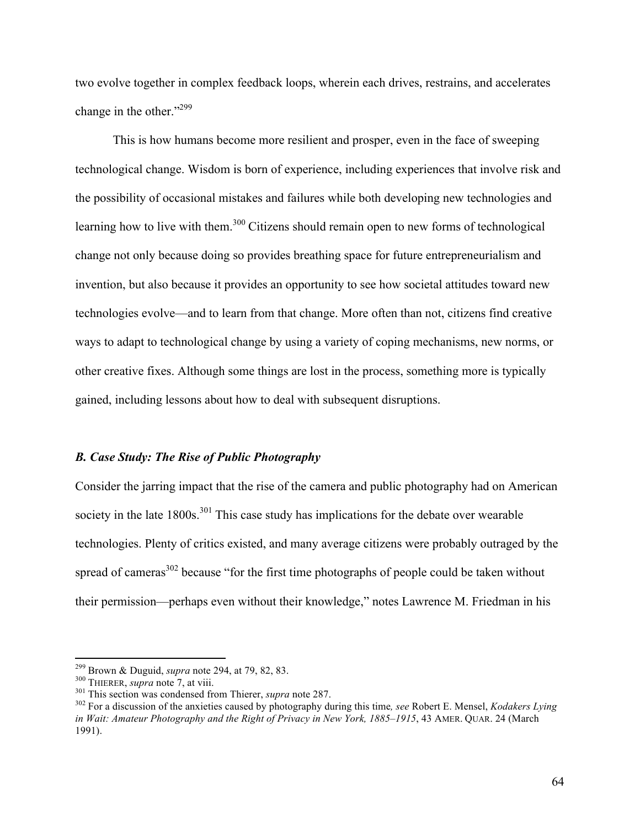two evolve together in complex feedback loops, wherein each drives, restrains, and accelerates change in the other."<sup>299</sup>

This is how humans become more resilient and prosper, even in the face of sweeping technological change. Wisdom is born of experience, including experiences that involve risk and the possibility of occasional mistakes and failures while both developing new technologies and learning how to live with them.<sup>300</sup> Citizens should remain open to new forms of technological change not only because doing so provides breathing space for future entrepreneurialism and invention, but also because it provides an opportunity to see how societal attitudes toward new technologies evolve—and to learn from that change. More often than not, citizens find creative ways to adapt to technological change by using a variety of coping mechanisms, new norms, or other creative fixes. Although some things are lost in the process, something more is typically gained, including lessons about how to deal with subsequent disruptions.

#### *B. Case Study: The Rise of Public Photography*

Consider the jarring impact that the rise of the camera and public photography had on American society in the late 1800s.<sup>301</sup> This case study has implications for the debate over wearable technologies. Plenty of critics existed, and many average citizens were probably outraged by the spread of cameras $302$  because "for the first time photographs of people could be taken without their permission—perhaps even without their knowledge," notes Lawrence M. Friedman in his

<sup>&</sup>lt;sup>299</sup> Brown & Duguid, *supra* note 294, at 79, 82, 83.<br><sup>300</sup> THIERER, *supra* note 7, at viii.<br><sup>301</sup> This section was condensed from Thierer, *supra* note 287.<br><sup>302</sup> For a discussion of the anxieties caused by photography *in Wait: Amateur Photography and the Right of Privacy in New York, 1885–1915*, 43 AMER. QUAR. 24 (March 1991).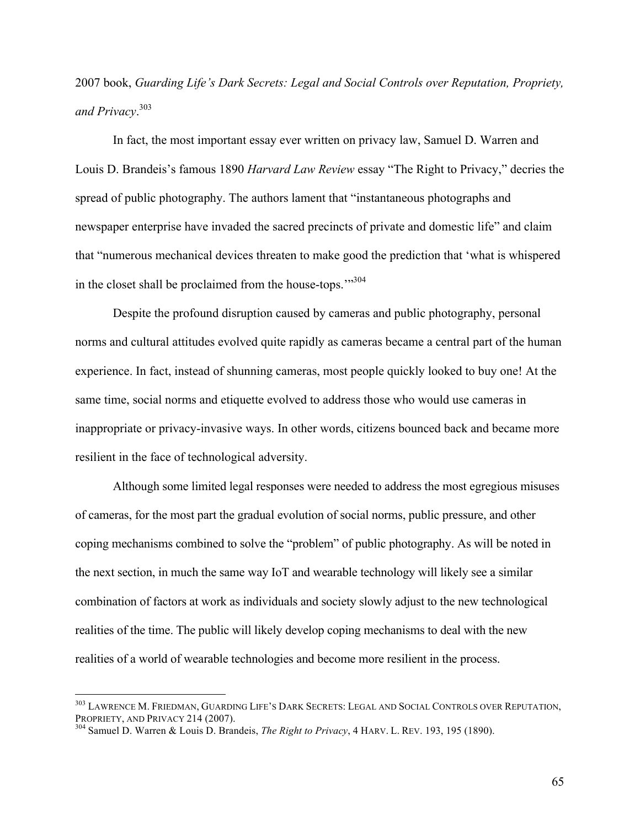2007 book, *Guarding Life's Dark Secrets: Legal and Social Controls over Reputation, Propriety, and Privacy*. 303

In fact, the most important essay ever written on privacy law, Samuel D. Warren and Louis D. Brandeis's famous 1890 *Harvard Law Review* essay "The Right to Privacy," decries the spread of public photography. The authors lament that "instantaneous photographs and newspaper enterprise have invaded the sacred precincts of private and domestic life" and claim that "numerous mechanical devices threaten to make good the prediction that 'what is whispered in the closet shall be proclaimed from the house-tops.'"304

Despite the profound disruption caused by cameras and public photography, personal norms and cultural attitudes evolved quite rapidly as cameras became a central part of the human experience. In fact, instead of shunning cameras, most people quickly looked to buy one! At the same time, social norms and etiquette evolved to address those who would use cameras in inappropriate or privacy-invasive ways. In other words, citizens bounced back and became more resilient in the face of technological adversity.

Although some limited legal responses were needed to address the most egregious misuses of cameras, for the most part the gradual evolution of social norms, public pressure, and other coping mechanisms combined to solve the "problem" of public photography. As will be noted in the next section, in much the same way IoT and wearable technology will likely see a similar combination of factors at work as individuals and society slowly adjust to the new technological realities of the time. The public will likely develop coping mechanisms to deal with the new realities of a world of wearable technologies and become more resilient in the process.

65

<sup>&</sup>lt;sup>303</sup> LAWRENCE M. FRIEDMAN, GUARDING LIFE'S DARK SECRETS: LEGAL AND SOCIAL CONTROLS OVER REPUTATION, PROPRIETY, AND PRIVACY 214 (2007).

<sup>&</sup>lt;sup>304</sup> Samuel D. Warren & Louis D. Brandeis, *The Right to Privacy*, 4 HARV. L. REV. 193, 195 (1890).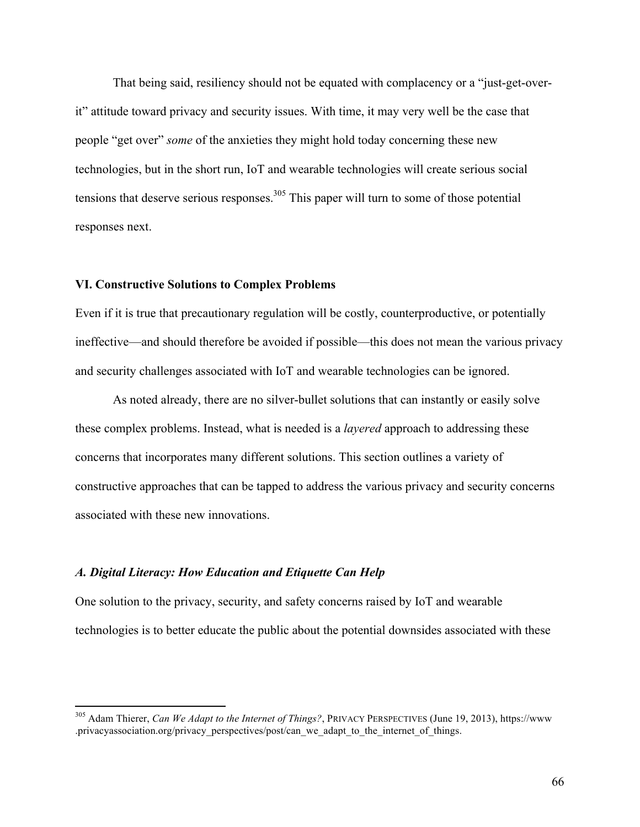That being said, resiliency should not be equated with complacency or a "just-get-overit" attitude toward privacy and security issues. With time, it may very well be the case that people "get over" *some* of the anxieties they might hold today concerning these new technologies, but in the short run, IoT and wearable technologies will create serious social tensions that deserve serious responses.<sup>305</sup> This paper will turn to some of those potential responses next.

## **VI. Constructive Solutions to Complex Problems**

Even if it is true that precautionary regulation will be costly, counterproductive, or potentially ineffective—and should therefore be avoided if possible—this does not mean the various privacy and security challenges associated with IoT and wearable technologies can be ignored.

As noted already, there are no silver-bullet solutions that can instantly or easily solve these complex problems. Instead, what is needed is a *layered* approach to addressing these concerns that incorporates many different solutions. This section outlines a variety of constructive approaches that can be tapped to address the various privacy and security concerns associated with these new innovations.

#### *A. Digital Literacy: How Education and Etiquette Can Help*

One solution to the privacy, security, and safety concerns raised by IoT and wearable technologies is to better educate the public about the potential downsides associated with these

 <sup>305</sup> Adam Thierer, *Can We Adapt to the Internet of Things?*, PRIVACY PERSPECTIVES (June 19, 2013), https://www .privacyassociation.org/privacy\_perspectives/post/can\_we\_adapt\_to\_the\_internet\_of\_things.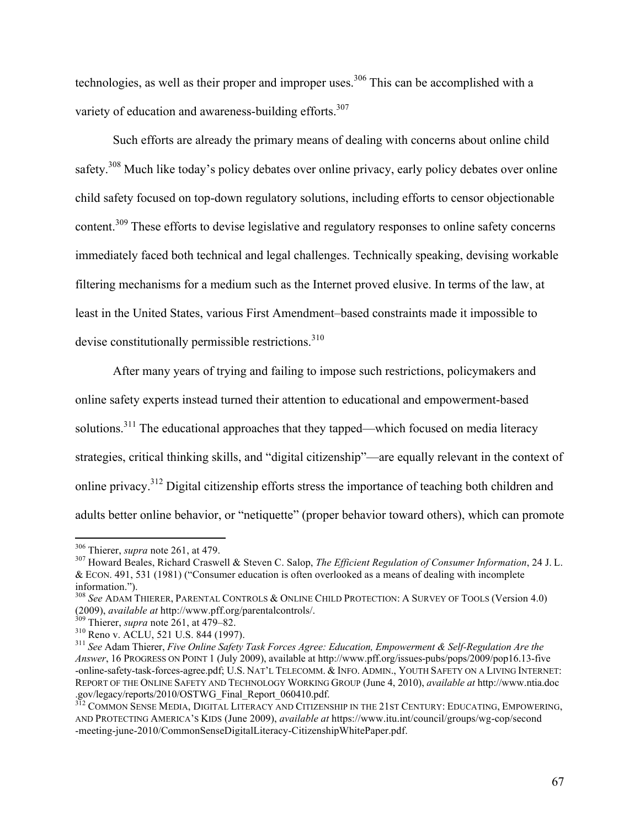technologies, as well as their proper and improper uses.<sup>306</sup> This can be accomplished with a variety of education and awareness-building efforts.<sup>307</sup>

Such efforts are already the primary means of dealing with concerns about online child safety.<sup>308</sup> Much like today's policy debates over online privacy, early policy debates over online child safety focused on top-down regulatory solutions, including efforts to censor objectionable content.<sup>309</sup> These efforts to devise legislative and regulatory responses to online safety concerns immediately faced both technical and legal challenges. Technically speaking, devising workable filtering mechanisms for a medium such as the Internet proved elusive. In terms of the law, at least in the United States, various First Amendment–based constraints made it impossible to devise constitutionally permissible restrictions. $310$ 

After many years of trying and failing to impose such restrictions, policymakers and online safety experts instead turned their attention to educational and empowerment-based solutions.<sup>311</sup> The educational approaches that they tapped—which focused on media literacy strategies, critical thinking skills, and "digital citizenship"—are equally relevant in the context of online privacy.<sup>312</sup> Digital citizenship efforts stress the importance of teaching both children and adults better online behavior, or "netiquette" (proper behavior toward others), which can promote

<sup>&</sup>lt;sup>306</sup> Thierer, *supra* note 261, at 479.<br><sup>307</sup> Howard Beales, Richard Craswell & Steven C. Salop, *The Efficient Regulation of Consumer Information*, 24 J. L. & ECON. 491, 531 (1981) ("Consumer education is often overlooked as a means of dealing with incomplete

information.").<br><sup>308</sup> *See* ADAM THIERER, PARENTAL CONTROLS & ONLINE CHILD PROTECTION: A SURVEY OF TOOLS (Version 4.0)<br>(2009), *available at http://www.pff.org/parentalcontrols/.*<br><sup>309</sup> Thierer, *supra* note 261, at 479–82

<sup>&</sup>lt;sup>310</sup> Reno v. ACLU, 521 U.S. 844 (1997).<br><sup>311</sup> See Adam Thierer, *Five Online Safety Task Forces Agree: Education, Empowerment & Self-Regulation Are the Answer*, 16 PROGRESS ON POINT 1 (July 2009), available at http://www.pff.org/issues-pubs/pops/2009/pop16.13-five -online-safety-task-forces-agree.pdf; U.S. NAT'L TELECOMM. & INFO. ADMIN., YOUTH SAFETY ON A LIVING INTERNET: REPORT OF THE ONLINE SAFETY AND TECHNOLOGY WORKING GROUP (June 4, 2010), *available at* http://www.ntia.doc .gov/legacy/reports/2010/OSTWG\_Final\_Report\_060410.pdf.

<sup>&</sup>lt;sup>312</sup> COMMON SENSE MEDIA, DIGITAL LITERACY AND CITIZENSHIP IN THE 21ST CENTURY: EDUCATING, EMPOWERING, AND PROTECTING AMERICA'S KIDS (June 2009), *available at* https://www.itu.int/council/groups/wg-cop/second -meeting-june-2010/CommonSenseDigitalLiteracy-CitizenshipWhitePaper.pdf.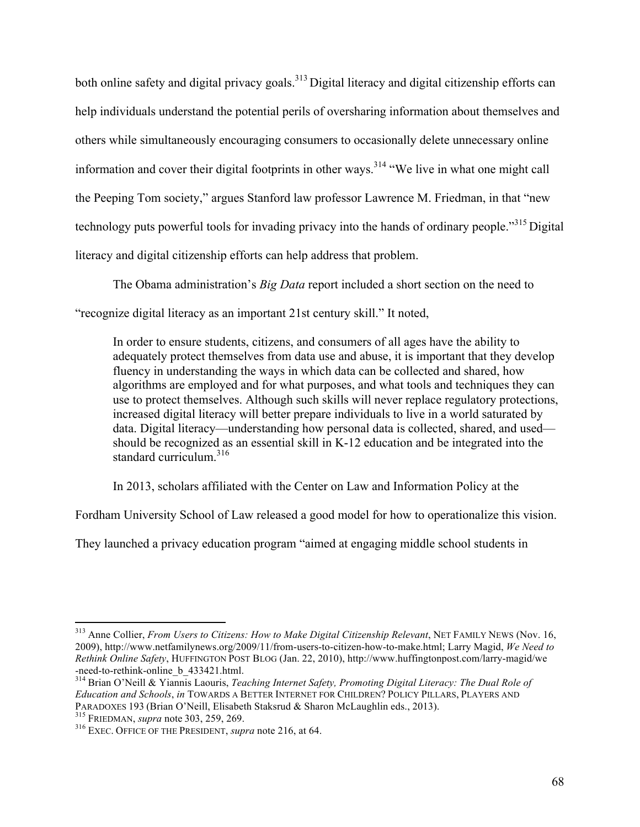both online safety and digital privacy goals.<sup>313</sup> Digital literacy and digital citizenship efforts can help individuals understand the potential perils of oversharing information about themselves and others while simultaneously encouraging consumers to occasionally delete unnecessary online information and cover their digital footprints in other ways.<sup>314</sup> "We live in what one might call the Peeping Tom society," argues Stanford law professor Lawrence M. Friedman, in that "new technology puts powerful tools for invading privacy into the hands of ordinary people."315 Digital literacy and digital citizenship efforts can help address that problem.

The Obama administration's *Big Data* report included a short section on the need to "recognize digital literacy as an important 21st century skill." It noted,

In order to ensure students, citizens, and consumers of all ages have the ability to adequately protect themselves from data use and abuse, it is important that they develop fluency in understanding the ways in which data can be collected and shared, how algorithms are employed and for what purposes, and what tools and techniques they can use to protect themselves. Although such skills will never replace regulatory protections, increased digital literacy will better prepare individuals to live in a world saturated by data. Digital literacy—understanding how personal data is collected, shared, and used should be recognized as an essential skill in K-12 education and be integrated into the standard curriculum. $316$ 

In 2013, scholars affiliated with the Center on Law and Information Policy at the

Fordham University School of Law released a good model for how to operationalize this vision.

They launched a privacy education program "aimed at engaging middle school students in

<sup>&</sup>lt;sup>313</sup> Anne Collier, *From Users to Citizens: How to Make Digital Citizenship Relevant*, NET FAMILY NEWS (Nov. 16, 2009), http://www.netfamilynews.org/2009/11/from-users-to-citizen-how-to-make.html; Larry Magid, *We Need to Rethink Online Safety*, HUFFINGTON POST BLOG (Jan. 22, 2010), http://www.huffingtonpost.com/larry-magid/we

<sup>&</sup>lt;sup>314</sup> Brian O'Neill & Yiannis Laouris, *Teaching Internet Safety, Promoting Digital Literacy: The Dual Role of Education and Schools*, *in* TOWARDS A BETTER INTERNET FOR CHILDREN? POLICY PILLARS, PLAYERS AND PARADOXES <sup>193</sup> (Brian O'Neill, Elisabeth Staksrud & Sharon McLaughlin eds., 2013). <sup>315</sup> FRIEDMAN, *supra* note 303, 259, 269. <sup>316</sup> EXEC. OFFICE OF THE PRESIDENT, *supra* note 216, at 64.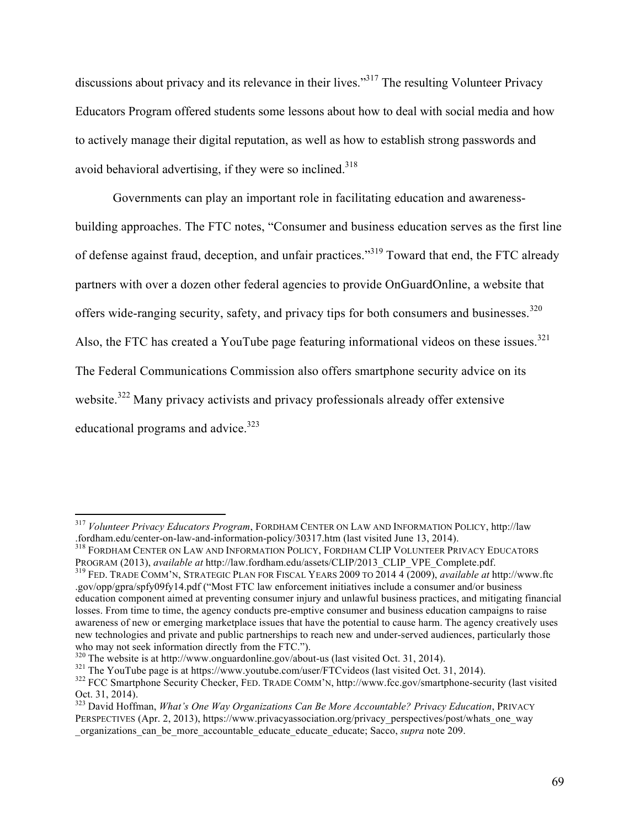discussions about privacy and its relevance in their lives."<sup>317</sup> The resulting Volunteer Privacy Educators Program offered students some lessons about how to deal with social media and how to actively manage their digital reputation, as well as how to establish strong passwords and avoid behavioral advertising, if they were so inclined. $318$ 

Governments can play an important role in facilitating education and awarenessbuilding approaches. The FTC notes, "Consumer and business education serves as the first line of defense against fraud, deception, and unfair practices."<sup>319</sup> Toward that end, the FTC already partners with over a dozen other federal agencies to provide OnGuardOnline, a website that offers wide-ranging security, safety, and privacy tips for both consumers and businesses.<sup>320</sup> Also, the FTC has created a YouTube page featuring informational videos on these issues.<sup>321</sup> The Federal Communications Commission also offers smartphone security advice on its website.<sup>322</sup> Many privacy activists and privacy professionals already offer extensive educational programs and advice. $323$ 

 <sup>317</sup> *Volunteer Privacy Educators Program*, FORDHAM CENTER ON LAW AND INFORMATION POLICY, http://law

<sup>.</sup>fordham.edu/center-on-law-and-information-policy/30317.htm (last visited June 13, 2014).<br><sup>318</sup> FORDHAM CENTER ON LAW AND INFORMATION POLICY, FORDHAM CLIP VOLUNTEER PRIVACY EDUCATORS<br>PROGRAM (2013), *available at http://la* 

<sup>&</sup>lt;sup>319</sup> FED. TRADE COMM'N, STRATEGIC PLAN FOR FISCAL YEARS 2009 TO 2014 4 (2009), *available at* http://www.ftc .gov/opp/gpra/spfy09fy14.pdf ("Most FTC law enforcement initiatives include a consumer and/or business education component aimed at preventing consumer injury and unlawful business practices, and mitigating financial losses. From time to time, the agency conducts pre-emptive consumer and business education campaigns to raise awareness of new or emerging marketplace issues that have the potential to cause harm. The agency creatively uses new technologies and private and public partnerships to reach new and under-served audiences, particularly those who may not seek information directly from the FTC.").

<sup>&</sup>lt;sup>320</sup> The website is at http://www.onguardonline.gov/about-us (last visited Oct. 31, 2014).<br><sup>321</sup> The YouTube page is at https://www.youtube.com/user/FTCvideos (last visited Oct. 31, 2014).<br><sup>322</sup> FCC Smartphone Security C

<sup>&</sup>lt;sup>323</sup> David Hoffman, *What's One Way Organizations Can Be More Accountable? Privacy Education*, PRIVACY PERSPECTIVES (Apr. 2, 2013), https://www.privacyassociation.org/privacy\_perspectives/post/whats\_one\_way \_organizations\_can\_be\_more\_accountable\_educate\_educate\_educate; Sacco, *supra* note 209.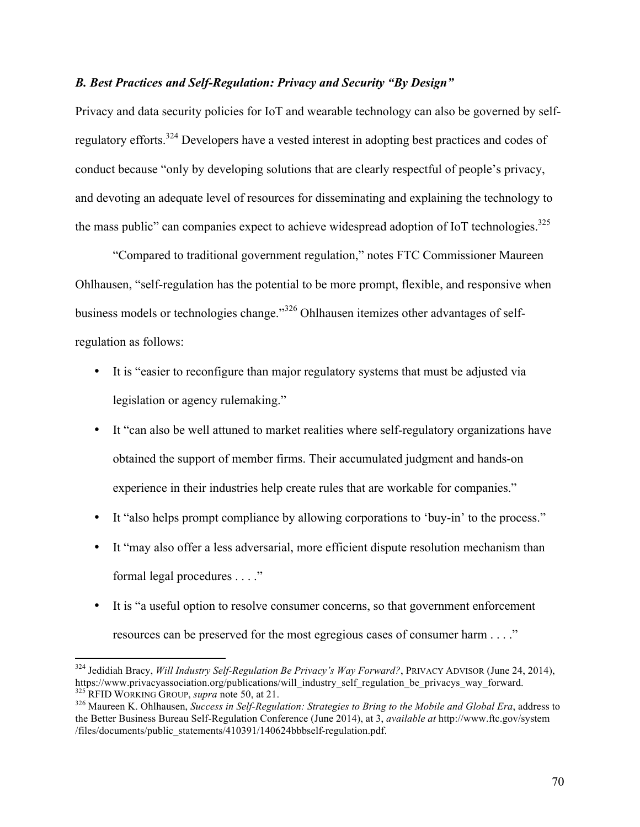# *B. Best Practices and Self-Regulation: Privacy and Security "By Design"*

Privacy and data security policies for IoT and wearable technology can also be governed by selfregulatory efforts.324 Developers have a vested interest in adopting best practices and codes of conduct because "only by developing solutions that are clearly respectful of people's privacy, and devoting an adequate level of resources for disseminating and explaining the technology to the mass public" can companies expect to achieve widespread adoption of IoT technologies.<sup>325</sup>

"Compared to traditional government regulation," notes FTC Commissioner Maureen Ohlhausen, "self-regulation has the potential to be more prompt, flexible, and responsive when business models or technologies change."<sup>326</sup> Ohlhausen itemizes other advantages of selfregulation as follows:

- It is "easier to reconfigure than major regulatory systems that must be adjusted via legislation or agency rulemaking."
- It "can also be well attuned to market realities where self-regulatory organizations have obtained the support of member firms. Their accumulated judgment and hands-on experience in their industries help create rules that are workable for companies."
- It "also helps prompt compliance by allowing corporations to 'buy-in' to the process."
- It "may also offer a less adversarial, more efficient dispute resolution mechanism than formal legal procedures . . . ."
- It is "a useful option to resolve consumer concerns, so that government enforcement resources can be preserved for the most egregious cases of consumer harm . . . ."

<sup>&</sup>lt;sup>324</sup> Jedidiah Bracy, *Will Industry Self-Regulation Be Privacy's Way Forward?*, PRIVACY ADVISOR (June 24, 2014), https://www.privacyassociation.org/publications/will industry self regulation be privacys way forward.

<sup>&</sup>lt;sup>325</sup> RFID WORKING GROUP, *supra* note 50, at 21.<br><sup>326</sup> Maureen K. Ohlhausen, *Success in Self-Regulation: Strategies to Bring to the Mobile and Global Era*, address to the Better Business Bureau Self-Regulation Conference (June 2014), at 3, *available at* http://www.ftc.gov/system /files/documents/public\_statements/410391/140624bbbself-regulation.pdf.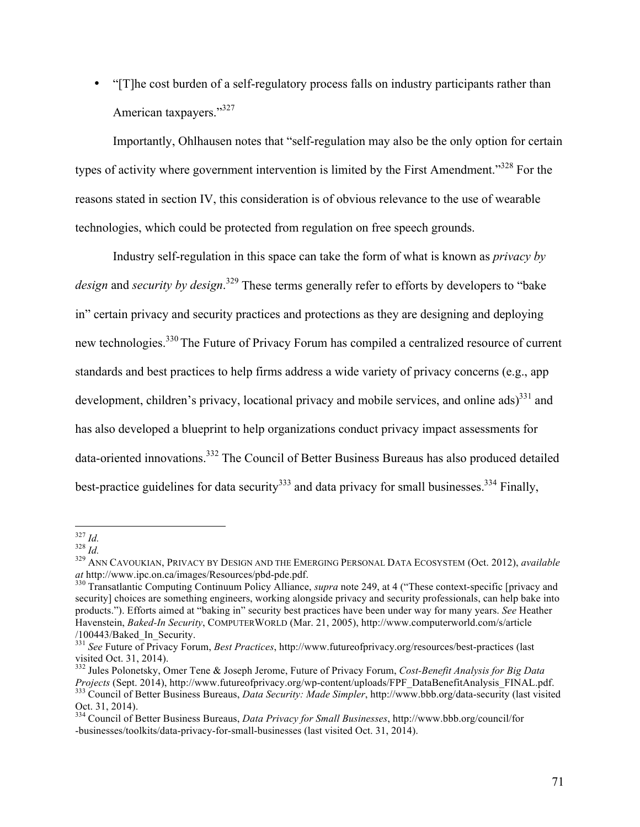• "[T]he cost burden of a self-regulatory process falls on industry participants rather than American taxpayers."<sup>327</sup>

Importantly, Ohlhausen notes that "self-regulation may also be the only option for certain types of activity where government intervention is limited by the First Amendment."<sup>328</sup> For the reasons stated in section IV, this consideration is of obvious relevance to the use of wearable technologies, which could be protected from regulation on free speech grounds.

Industry self-regulation in this space can take the form of what is known as *privacy by design* and *security by design*. <sup>329</sup> These terms generally refer to efforts by developers to "bake in" certain privacy and security practices and protections as they are designing and deploying new technologies.330 The Future of Privacy Forum has compiled a centralized resource of current standards and best practices to help firms address a wide variety of privacy concerns (e.g., app development, children's privacy, locational privacy and mobile services, and online  $\text{ads}$ <sup>331</sup> and has also developed a blueprint to help organizations conduct privacy impact assessments for data-oriented innovations.<sup>332</sup> The Council of Better Business Bureaus has also produced detailed best-practice guidelines for data security<sup>333</sup> and data privacy for small businesses.<sup>334</sup> Finally,

<sup>&</sup>lt;sup>327</sup> *Id.*<br><sup>328</sup> *Id.*<br><sup>329</sup> ANN CAVOUKIAN, PRIVACY BY DESIGN AND THE EMERGING PERSONAL DATA ECOSYSTEM (Oct. 2012), *available at* http://www.ipc.on.ca/images/Resources/pbd-pde.pdf.

<sup>&</sup>lt;sup>330</sup> Transatlantic Computing Continuum Policy Alliance, *supra* note 249, at 4 ("These context-specific [privacy and security] choices are something engineers, working alongside privacy and security professionals, can help bake into products."). Efforts aimed at "baking in" security best practices have been under way for many years. *See* Heather Havenstein, *Baked-In Security*, COMPUTERWORLD (Mar. 21, 2005), http://www.computerworld.com/s/article

<sup>&</sup>lt;sup>331</sup> *See* Future of Privacy Forum, *Best Practices*, http://www.futureofprivacy.org/resources/best-practices (last visited Oct. 31, 2014).

<sup>&</sup>lt;sup>332</sup> Jules Polonetsky, Omer Tene & Joseph Jerome, Future of Privacy Forum, *Cost-Benefit Analysis for Big Data Projects* (Sept. 2014), http://www.futureofprivacy.org/wp-content/uploads/FPF DataBenefitAnalysis FINAL.pdf. 333 Council of Better Business Bureaus, *Data Security: Made Simpler*, http://www.bbb.org/data-security (last visited Oct. 31, 2014). <sup>334</sup> Council of Better Business Bureaus, *Data Privacy for Small Businesses*, http://www.bbb.org/council/for

<sup>-</sup>businesses/toolkits/data-privacy-for-small-businesses (last visited Oct. 31, 2014).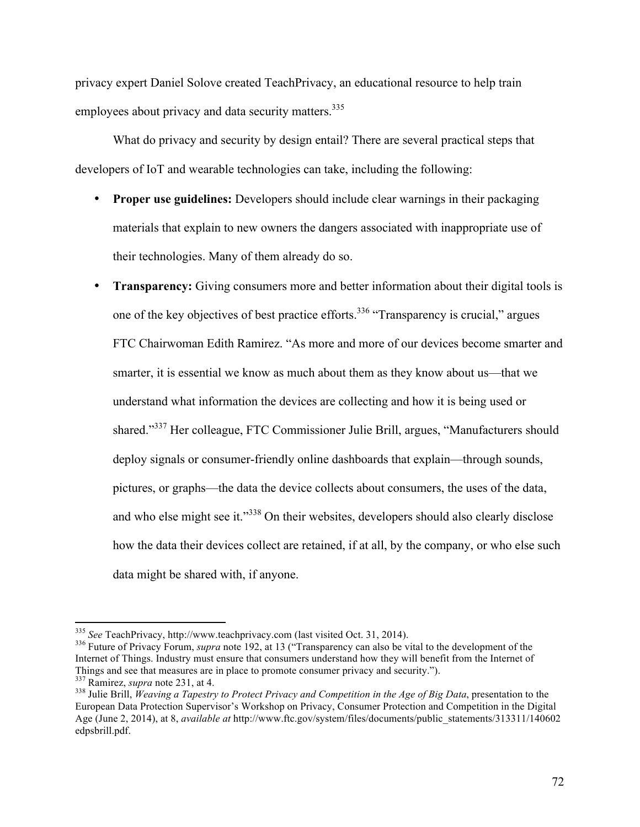privacy expert Daniel Solove created TeachPrivacy, an educational resource to help train employees about privacy and data security matters.<sup>335</sup>

What do privacy and security by design entail? There are several practical steps that developers of IoT and wearable technologies can take, including the following:

- **Proper use guidelines:** Developers should include clear warnings in their packaging materials that explain to new owners the dangers associated with inappropriate use of their technologies. Many of them already do so.
- **Transparency:** Giving consumers more and better information about their digital tools is one of the key objectives of best practice efforts.<sup>336</sup> "Transparency is crucial," argues FTC Chairwoman Edith Ramirez. "As more and more of our devices become smarter and smarter, it is essential we know as much about them as they know about us—that we understand what information the devices are collecting and how it is being used or shared."337 Her colleague, FTC Commissioner Julie Brill, argues, "Manufacturers should deploy signals or consumer-friendly online dashboards that explain—through sounds, pictures, or graphs—the data the device collects about consumers, the uses of the data, and who else might see it."<sup>338</sup> On their websites, developers should also clearly disclose how the data their devices collect are retained, if at all, by the company, or who else such data might be shared with, if anyone.

 <sup>335</sup> *See* TeachPrivacy, http://www.teachprivacy.com (last visited Oct. 31, 2014). <sup>336</sup> Future of Privacy Forum, *supra* note 192, at 13 ("Transparency can also be vital to the development of the Internet of Things. Industry must ensure that consumers understand how they will benefit from the Internet of Things and see that measures are in place to promote consumer privacy and security.").<br><sup>337</sup> Ramirez, *supra* note 231, at 4.<br><sup>338</sup> Julie Brill, *Weaving a Tapestry to Protect Privacy and Competition in the Age of Big Data* 

European Data Protection Supervisor's Workshop on Privacy, Consumer Protection and Competition in the Digital Age (June 2, 2014), at 8, *available at* http://www.ftc.gov/system/files/documents/public\_statements/313311/140602 edpsbrill.pdf.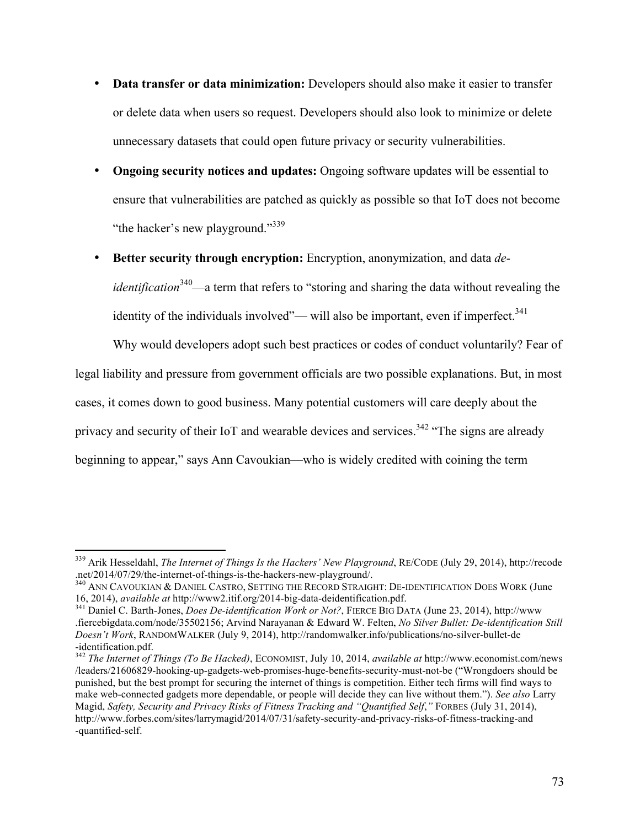- **Data transfer or data minimization:** Developers should also make it easier to transfer or delete data when users so request. Developers should also look to minimize or delete unnecessary datasets that could open future privacy or security vulnerabilities.
- **Ongoing security notices and updates:** Ongoing software updates will be essential to ensure that vulnerabilities are patched as quickly as possible so that IoT does not become "the hacker's new playground."<sup>339</sup>
- **Better security through encryption:** Encryption, anonymization, and data *deidentification*<sup>340</sup>—a term that refers to "storing and sharing the data without revealing the identity of the individuals involved"— will also be important, even if imperfect.<sup>341</sup>

Why would developers adopt such best practices or codes of conduct voluntarily? Fear of legal liability and pressure from government officials are two possible explanations. But, in most cases, it comes down to good business. Many potential customers will care deeply about the privacy and security of their IoT and wearable devices and services.<sup>342</sup> "The signs are already beginning to appear," says Ann Cavoukian—who is widely credited with coining the term

<sup>&</sup>lt;sup>339</sup> Arik Hesseldahl, *The Internet of Things Is the Hackers' New Playground*, RE/CODE (July 29, 2014), http://recode<br>.net/2014/07/29/the-internet-of-things-is-the-hackers-new-playground/.

<sup>&</sup>lt;sup>340</sup> ANN CAVOUKIAN & DANIEL CASTRO, SETTING THE RECORD STRAIGHT: DE-IDENTIFICATION DOES WORK (June 16, 2014), *available at* http://www2.itif.org/2014-big-data-deidentification.pdf. <sup>341</sup> Daniel C. Barth-Jones, *Does De-identification Work or Not?*, FIERCE BIG DATA (June 23, 2014), http://www

<sup>.</sup>fiercebigdata.com/node/35502156; Arvind Narayanan & Edward W. Felten, *No Silver Bullet: De-identification Still Doesn't Work*, RANDOMWALKER (July 9, 2014), http://randomwalker.info/publications/no-silver-bullet-de -identification.pdf.

<sup>342</sup> *The Internet of Things (To Be Hacked)*, ECONOMIST, July 10, 2014, *available at* http://www.economist.com/news /leaders/21606829-hooking-up-gadgets-web-promises-huge-benefits-security-must-not-be ("Wrongdoers should be punished, but the best prompt for securing the internet of things is competition. Either tech firms will find ways to make web-connected gadgets more dependable, or people will decide they can live without them."). *See also* Larry Magid, *Safety, Security and Privacy Risks of Fitness Tracking and "Quantified Self*,*"* FORBES (July 31, 2014), http://www.forbes.com/sites/larrymagid/2014/07/31/safety-security-and-privacy-risks-of-fitness-tracking-and -quantified-self.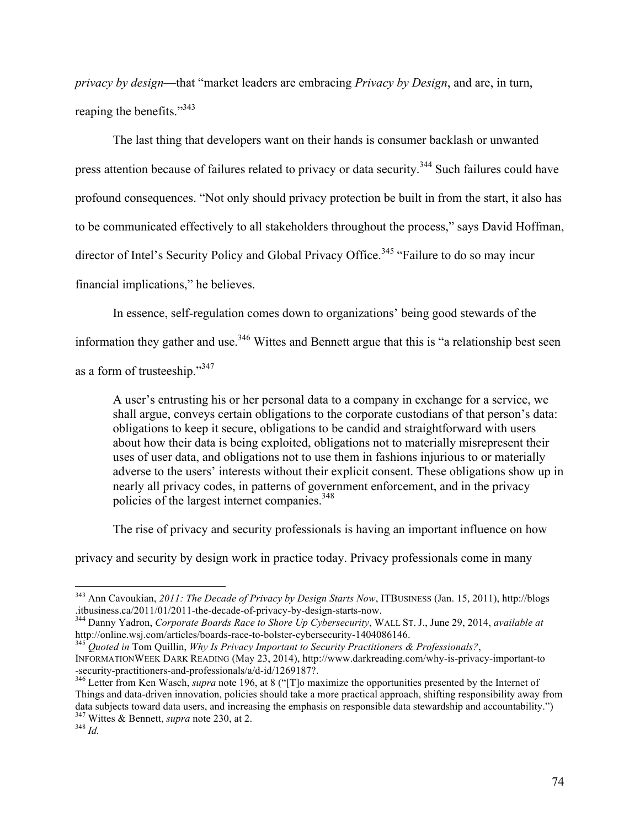*privacy by design*—that "market leaders are embracing *Privacy by Design*, and are, in turn, reaping the benefits."<sup>343</sup>

The last thing that developers want on their hands is consumer backlash or unwanted press attention because of failures related to privacy or data security.<sup>344</sup> Such failures could have profound consequences. "Not only should privacy protection be built in from the start, it also has to be communicated effectively to all stakeholders throughout the process," says David Hoffman, director of Intel's Security Policy and Global Privacy Office.<sup>345</sup> "Failure to do so may incur financial implications," he believes.

In essence, self-regulation comes down to organizations' being good stewards of the

information they gather and use.<sup>346</sup> Wittes and Bennett argue that this is "a relationship best seen as a form of trusteeship."347

A user's entrusting his or her personal data to a company in exchange for a service, we shall argue, conveys certain obligations to the corporate custodians of that person's data: obligations to keep it secure, obligations to be candid and straightforward with users about how their data is being exploited, obligations not to materially misrepresent their uses of user data, and obligations not to use them in fashions injurious to or materially adverse to the users' interests without their explicit consent. These obligations show up in nearly all privacy codes, in patterns of government enforcement, and in the privacy policies of the largest internet companies.<sup>348</sup>

The rise of privacy and security professionals is having an important influence on how

privacy and security by design work in practice today. Privacy professionals come in many

 <sup>343</sup> Ann Cavoukian, *2011: The Decade of Privacy by Design Starts Now*, ITBUSINESS (Jan. 15, 2011), http://blogs .itbusiness.ca/2011/01/2011-the-decade-of-privacy-by-design-starts-now. <sup>344</sup> Danny Yadron, *Corporate Boards Race to Shore Up Cybersecurity*, WALL ST. J., June 29, 2014, *available at*

http://online.wsj.com/articles/boards-race-to-bolster-cybersecurity-1404086146. <sup>345</sup> *Quoted in* Tom Quillin, *Why Is Privacy Important to Security Practitioners & Professionals?*,

INFORMATIONWEEK DARK READING (May 23, 2014), http://www.darkreading.com/why-is-privacy-important-to -security-practitioners-and-professionals/a/d-id/1269187?. <sup>346</sup> Letter from Ken Wasch, *supra* note 196, at 8 ("[T]o maximize the opportunities presented by the Internet of

Things and data-driven innovation, policies should take a more practical approach, shifting responsibility away from data subjects toward data users, and increasing the emphasis on responsible data stewardship and accountability.") <sup>347</sup> Wittes & Bennett, *supra* note 230, at 2. <sup>348</sup> *Id.*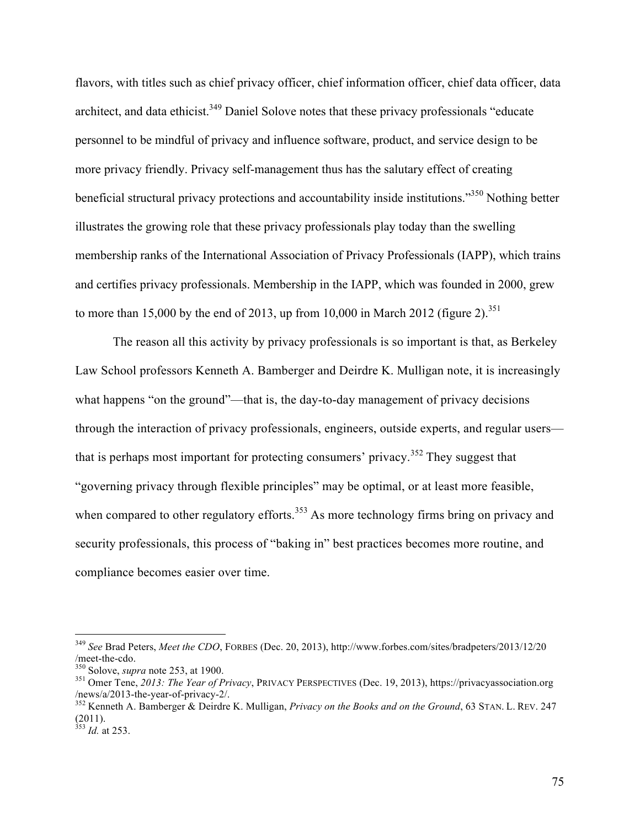flavors, with titles such as chief privacy officer, chief information officer, chief data officer, data architect, and data ethicist.<sup>349</sup> Daniel Solove notes that these privacy professionals "educate" personnel to be mindful of privacy and influence software, product, and service design to be more privacy friendly. Privacy self-management thus has the salutary effect of creating beneficial structural privacy protections and accountability inside institutions."350 Nothing better illustrates the growing role that these privacy professionals play today than the swelling membership ranks of the International Association of Privacy Professionals (IAPP), which trains and certifies privacy professionals. Membership in the IAPP, which was founded in 2000, grew to more than 15,000 by the end of 2013, up from 10,000 in March 2012 (figure 2).<sup>351</sup>

The reason all this activity by privacy professionals is so important is that, as Berkeley Law School professors Kenneth A. Bamberger and Deirdre K. Mulligan note, it is increasingly what happens "on the ground"—that is, the day-to-day management of privacy decisions through the interaction of privacy professionals, engineers, outside experts, and regular users that is perhaps most important for protecting consumers' privacy.<sup>352</sup> They suggest that "governing privacy through flexible principles" may be optimal, or at least more feasible, when compared to other regulatory efforts.<sup>353</sup> As more technology firms bring on privacy and security professionals, this process of "baking in" best practices becomes more routine, and compliance becomes easier over time.

 <sup>349</sup> *See* Brad Peters, *Meet the CDO*, FORBES (Dec. 20, 2013), http://www.forbes.com/sites/bradpeters/2013/12/20

<sup>&</sup>lt;sup>350</sup> Solove, *supra* note 253, at 1900.<br><sup>351</sup> Omer Tene, *2013: The Year of Privacy*, PRIVACY PERSPECTIVES (Dec. 19, 2013), https://privacyassociation.org /news/a/2013-the-year-of-privacy-2/. <sup>352</sup> Kenneth A. Bamberger & Deirdre K. Mulligan, *Privacy on the Books and on the Ground*, 63 STAN. L. REV. <sup>247</sup>

<sup>(2011).</sup>

<sup>353</sup> *Id.* at 253.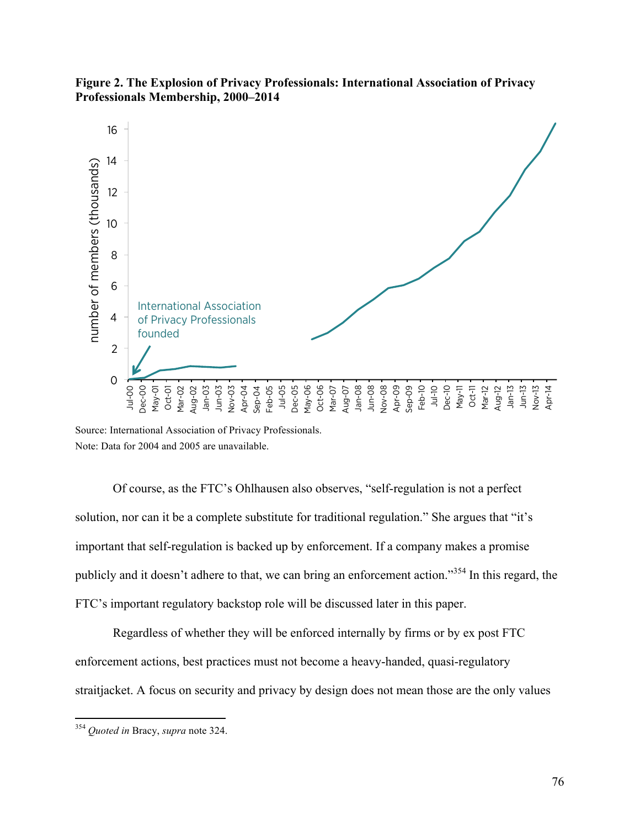

**Figure 2. The Explosion of Privacy Professionals: International Association of Privacy Professionals Membership, 2000–2014**

Source: International Association of Privacy Professionals. Note: Data for 2004 and 2005 are unavailable.

Of course, as the FTC's Ohlhausen also observes, "self-regulation is not a perfect solution, nor can it be a complete substitute for traditional regulation." She argues that "it's important that self-regulation is backed up by enforcement. If a company makes a promise publicly and it doesn't adhere to that, we can bring an enforcement action."354 In this regard, the FTC's important regulatory backstop role will be discussed later in this paper.

Regardless of whether they will be enforced internally by firms or by ex post FTC enforcement actions, best practices must not become a heavy-handed, quasi-regulatory straitjacket. A focus on security and privacy by design does not mean those are the only values

 <sup>354</sup> *Quoted in* Bracy, *supra* note 324.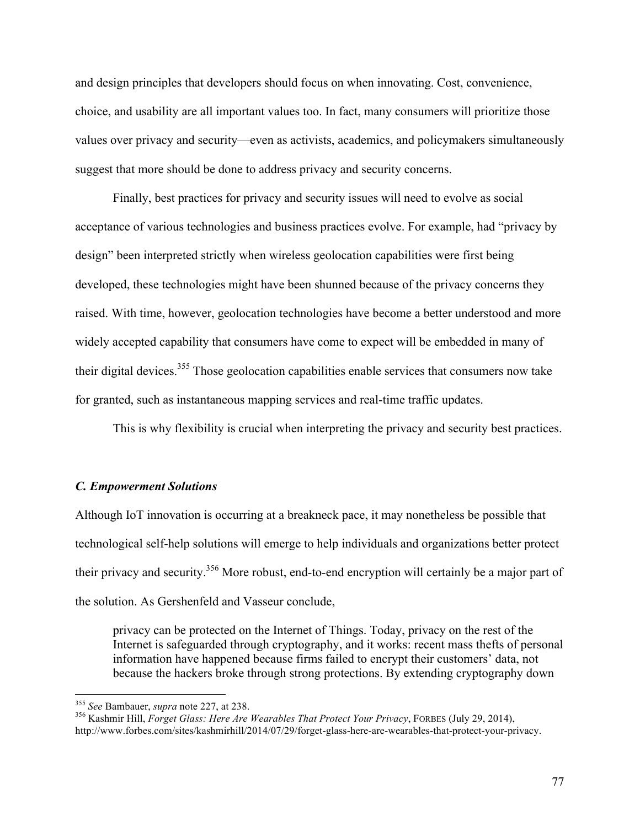and design principles that developers should focus on when innovating. Cost, convenience, choice, and usability are all important values too. In fact, many consumers will prioritize those values over privacy and security—even as activists, academics, and policymakers simultaneously suggest that more should be done to address privacy and security concerns.

Finally, best practices for privacy and security issues will need to evolve as social acceptance of various technologies and business practices evolve. For example, had "privacy by design" been interpreted strictly when wireless geolocation capabilities were first being developed, these technologies might have been shunned because of the privacy concerns they raised. With time, however, geolocation technologies have become a better understood and more widely accepted capability that consumers have come to expect will be embedded in many of their digital devices.<sup>355</sup> Those geolocation capabilities enable services that consumers now take for granted, such as instantaneous mapping services and real-time traffic updates.

This is why flexibility is crucial when interpreting the privacy and security best practices.

### *C. Empowerment Solutions*

Although IoT innovation is occurring at a breakneck pace, it may nonetheless be possible that technological self-help solutions will emerge to help individuals and organizations better protect their privacy and security.<sup>356</sup> More robust, end-to-end encryption will certainly be a major part of the solution. As Gershenfeld and Vasseur conclude,

privacy can be protected on the Internet of Things. Today, privacy on the rest of the Internet is safeguarded through cryptography, and it works: recent mass thefts of personal information have happened because firms failed to encrypt their customers' data, not because the hackers broke through strong protections. By extending cryptography down

 <sup>355</sup> *See* Bambauer, *supra* note 227, at 238. <sup>356</sup> Kashmir Hill, *Forget Glass: Here Are Wearables That Protect Your Privacy*, FORBES (July 29, 2014), http://www.forbes.com/sites/kashmirhill/2014/07/29/forget-glass-here-are-wearables-that-protect-your-privacy.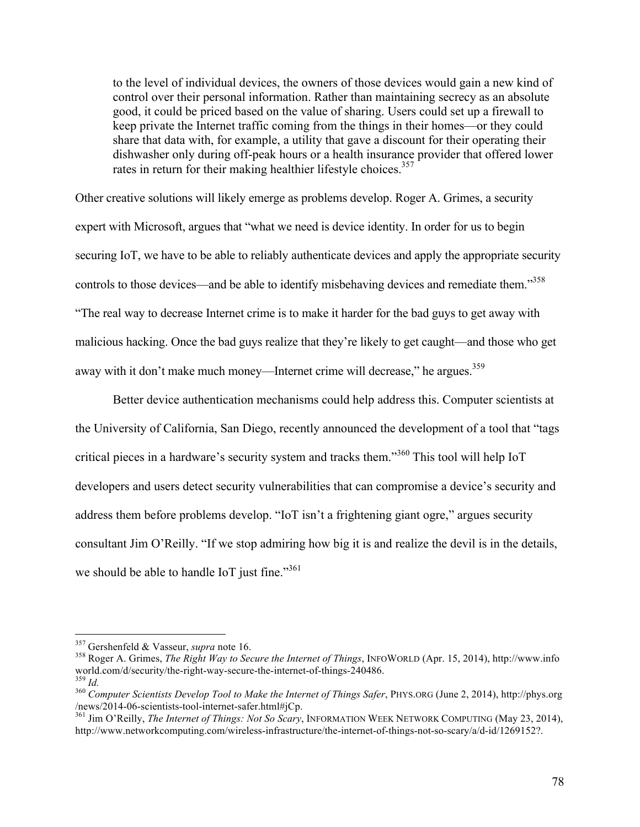to the level of individual devices, the owners of those devices would gain a new kind of control over their personal information. Rather than maintaining secrecy as an absolute good, it could be priced based on the value of sharing. Users could set up a firewall to keep private the Internet traffic coming from the things in their homes—or they could share that data with, for example, a utility that gave a discount for their operating their dishwasher only during off-peak hours or a health insurance provider that offered lower rates in return for their making healthier lifestyle choices.<sup>357</sup>

Other creative solutions will likely emerge as problems develop. Roger A. Grimes, a security expert with Microsoft, argues that "what we need is device identity. In order for us to begin securing IoT, we have to be able to reliably authenticate devices and apply the appropriate security controls to those devices—and be able to identify misbehaving devices and remediate them.<sup>358</sup> "The real way to decrease Internet crime is to make it harder for the bad guys to get away with malicious hacking. Once the bad guys realize that they're likely to get caught—and those who get away with it don't make much money—Internet crime will decrease," he argues.<sup>359</sup>

Better device authentication mechanisms could help address this. Computer scientists at the University of California, San Diego, recently announced the development of a tool that "tags critical pieces in a hardware's security system and tracks them."<sup>360</sup> This tool will help IoT developers and users detect security vulnerabilities that can compromise a device's security and address them before problems develop. "IoT isn't a frightening giant ogre," argues security consultant Jim O'Reilly. "If we stop admiring how big it is and realize the devil is in the details, we should be able to handle IoT just fine."<sup>361</sup>

<sup>&</sup>lt;sup>357</sup> Gershenfeld & Vasseur, *supra* note 16.<br><sup>358</sup> Roger A. Grimes, *The Right Way to Secure the Internet of Things*, INFOWORLD (Apr. 15, 2014), http://www.info<br>world.com/d/security/the-right-way-secure-the-internet-of-th

world.com/d/secure-the-internethe-internet-of-things-240486. 359 *Id.* 359 *Id.* 360 *Computer Scientists Develop Tool to Make the Internet of Things Safer*, PHYS.ORG (June 2, 2014), http://phys.org /news/2014-06-scientists-tool-internet-safer.html#jCp. <sup>361</sup> Jim O'Reilly, *The Internet of Things: Not So Scary*, INFORMATION WEEK NETWORK COMPUTING (May 23, 2014),

http://www.networkcomputing.com/wireless-infrastructure/the-internet-of-things-not-so-scary/a/d-id/1269152?.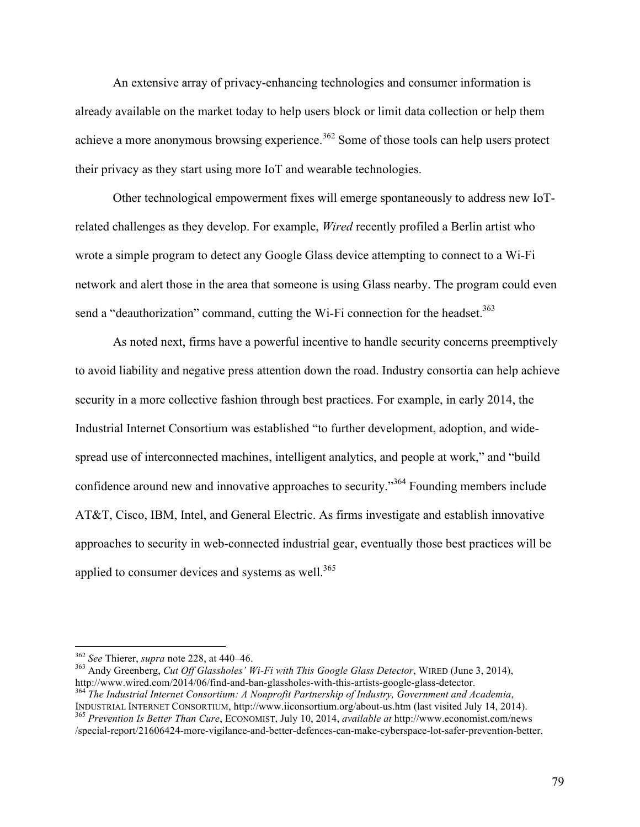An extensive array of privacy-enhancing technologies and consumer information is already available on the market today to help users block or limit data collection or help them achieve a more anonymous browsing experience.<sup>362</sup> Some of those tools can help users protect their privacy as they start using more IoT and wearable technologies.

Other technological empowerment fixes will emerge spontaneously to address new IoTrelated challenges as they develop. For example, *Wired* recently profiled a Berlin artist who wrote a simple program to detect any Google Glass device attempting to connect to a Wi-Fi network and alert those in the area that someone is using Glass nearby. The program could even send a "deauthorization" command, cutting the Wi-Fi connection for the headset.<sup>363</sup>

As noted next, firms have a powerful incentive to handle security concerns preemptively to avoid liability and negative press attention down the road. Industry consortia can help achieve security in a more collective fashion through best practices. For example, in early 2014, the Industrial Internet Consortium was established "to further development, adoption, and widespread use of interconnected machines, intelligent analytics, and people at work," and "build confidence around new and innovative approaches to security."364 Founding members include AT&T, Cisco, IBM, Intel, and General Electric. As firms investigate and establish innovative approaches to security in web-connected industrial gear, eventually those best practices will be applied to consumer devices and systems as well. $365$ 

<sup>&</sup>lt;sup>362</sup> *See* Thierer, *supra* note 228, at 440–46.<br><sup>363</sup> Andy Greenberg, *Cut Off Glassholes' Wi-Fi with This Google Glass Detector*, WIRED (June 3, 2014),<br>http://www.wired.com/2014/06/find-and-ban-glassholes-with-this-arti <sup>364</sup> The Industrial Internet Consortium: A Nonprofit Partnership of Industry, Government and Academia,

INDUSTRIAL INTERNET CONSORTIUM, http://www.iiconsortium.org/about-us.htm (last visited July 14, 2014). <sup>365</sup> *Prevention Is Better Than Cure*, ECONOMIST, July 10, 2014, *available at* http://www.economist.com/news

<sup>/</sup>special-report/21606424-more-vigilance-and-better-defences-can-make-cyberspace-lot-safer-prevention-better.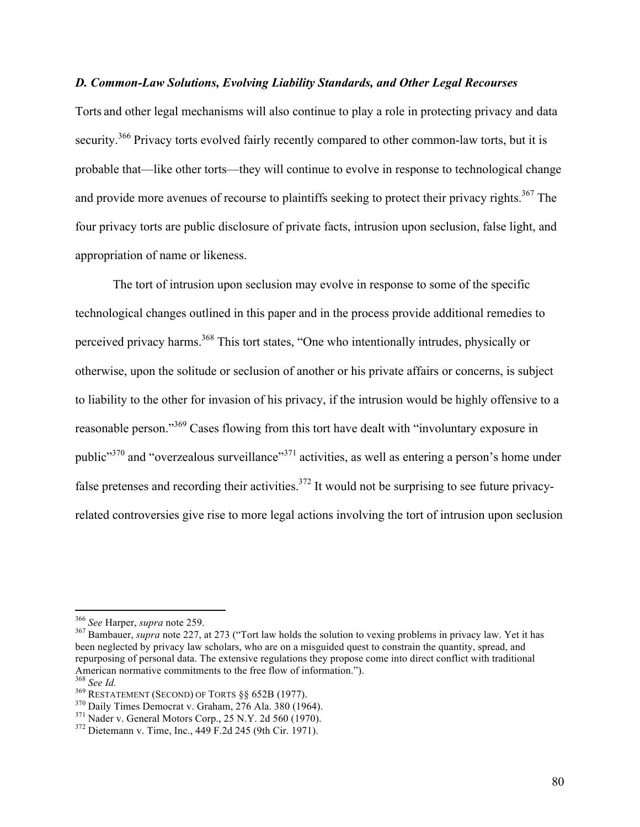# *D. Common-Law Solutions, Evolving Liability Standards, and Other Legal Recourses*

Torts and other legal mechanisms will also continue to play a role in protecting privacy and data security.<sup>366</sup> Privacy torts evolved fairly recently compared to other common-law torts, but it is probable that—like other torts—they will continue to evolve in response to technological change and provide more avenues of recourse to plaintiffs seeking to protect their privacy rights.<sup>367</sup> The four privacy torts are public disclosure of private facts, intrusion upon seclusion, false light, and appropriation of name or likeness.

The tort of intrusion upon seclusion may evolve in response to some of the specific technological changes outlined in this paper and in the process provide additional remedies to perceived privacy harms.<sup>368</sup> This tort states, "One who intentionally intrudes, physically or otherwise, upon the solitude or seclusion of another or his private affairs or concerns, is subject to liability to the other for invasion of his privacy, if the intrusion would be highly offensive to a reasonable person."369 Cases flowing from this tort have dealt with "involuntary exposure in public"<sup>370</sup> and "overzealous surveillance"<sup>371</sup> activities, as well as entering a person's home under false pretenses and recording their activities.<sup>372</sup> It would not be surprising to see future privacyrelated controversies give rise to more legal actions involving the tort of intrusion upon seclusion

<sup>&</sup>lt;sup>366</sup> See Harper, *supra* note 259.<br><sup>367</sup> Bambauer, *supra* note 227, at 273 ("Tort law holds the solution to vexing problems in privacy law. Yet it has been neglected by privacy law scholars, who are on a misguided quest to constrain the quantity, spread, and repurposing of personal data. The extensive regulations they propose come into direct conflict with traditional American normative commitments to the free flow of information.").

<sup>&</sup>lt;sup>368</sup> See Id.<br><sup>369</sup> RESTATEMENT (SECOND) OF TORTS §§ 652B (1977).<br><sup>370</sup> Daily Times Democrat v. Graham, 276 Ala. 380 (1964).<br><sup>371</sup> Nader v. General Motors Corp., 25 N.Y. 2d 560 (1970).<br><sup>372</sup> Dietemann v. Time, Inc., 449 F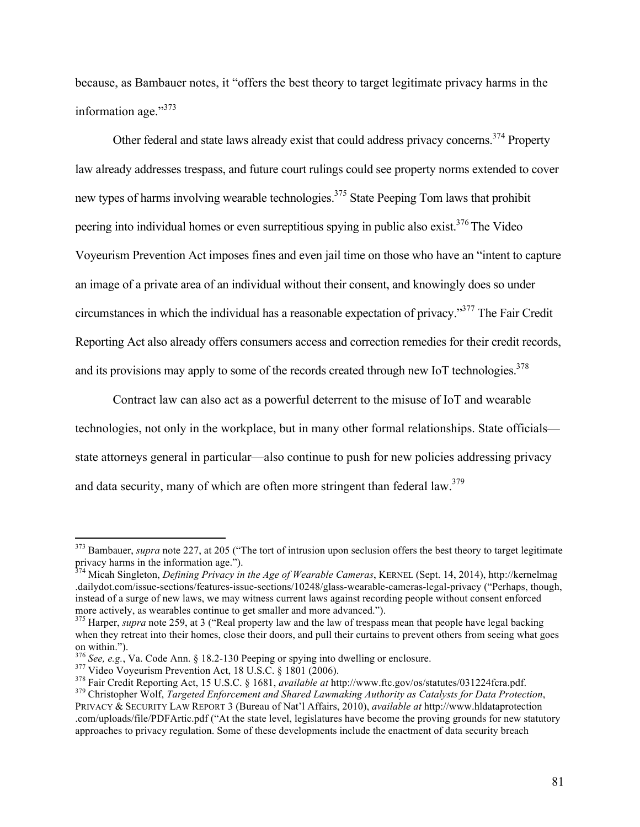because, as Bambauer notes, it "offers the best theory to target legitimate privacy harms in the information age."373

Other federal and state laws already exist that could address privacy concerns.<sup>374</sup> Property law already addresses trespass, and future court rulings could see property norms extended to cover new types of harms involving wearable technologies.<sup>375</sup> State Peeping Tom laws that prohibit peering into individual homes or even surreptitious spying in public also exist.<sup>376</sup> The Video Voyeurism Prevention Act imposes fines and even jail time on those who have an "intent to capture an image of a private area of an individual without their consent, and knowingly does so under circumstances in which the individual has a reasonable expectation of privacy."377 The Fair Credit Reporting Act also already offers consumers access and correction remedies for their credit records, and its provisions may apply to some of the records created through new IoT technologies.<sup>378</sup>

Contract law can also act as a powerful deterrent to the misuse of IoT and wearable technologies, not only in the workplace, but in many other formal relationships. State officials state attorneys general in particular—also continue to push for new policies addressing privacy and data security, many of which are often more stringent than federal law.<sup>379</sup>

<sup>&</sup>lt;sup>373</sup> Bambauer, *supra* note 227, at 205 ("The tort of intrusion upon seclusion offers the best theory to target legitimate privacy harms in the information age.").<br><sup>374</sup> Micah Singleton, *Defining Privacy in the Age of Wearable Cameras*, KERNEL (Sept. 14, 2014), http://kernelmag

<sup>.</sup>dailydot.com/issue-sections/features-issue-sections/10248/glass-wearable-cameras-legal-privacy ("Perhaps, though, instead of a surge of new laws, we may witness current laws against recording people without consent enforced more actively, as wearables continue to get smaller and more advanced."). <sup>375</sup> Harper, *supra* note 259, at 3 ("Real property law and the law of trespass mean that people have legal backing

when they retreat into their homes, close their doors, and pull their curtains to prevent others from seeing what goes

on within.").<br>
<sup>376</sup> See, e.g., Va. Code Ann. § 18.2-130 Peeping or spying into dwelling or enclosure.<br>
<sup>377</sup> Video Voyeurism Prevention Act, 18 U.S.C. § 1801 (2006).<br>
<sup>378</sup> Fair Credit Reporting Act, 15 U.S.C. § 1681, *a* PRIVACY & SECURITY LAW REPORT 3 (Bureau of Nat'l Affairs, 2010), *available at* http://www.hldataprotection .com/uploads/file/PDFArtic.pdf ("At the state level, legislatures have become the proving grounds for new statutory approaches to privacy regulation. Some of these developments include the enactment of data security breach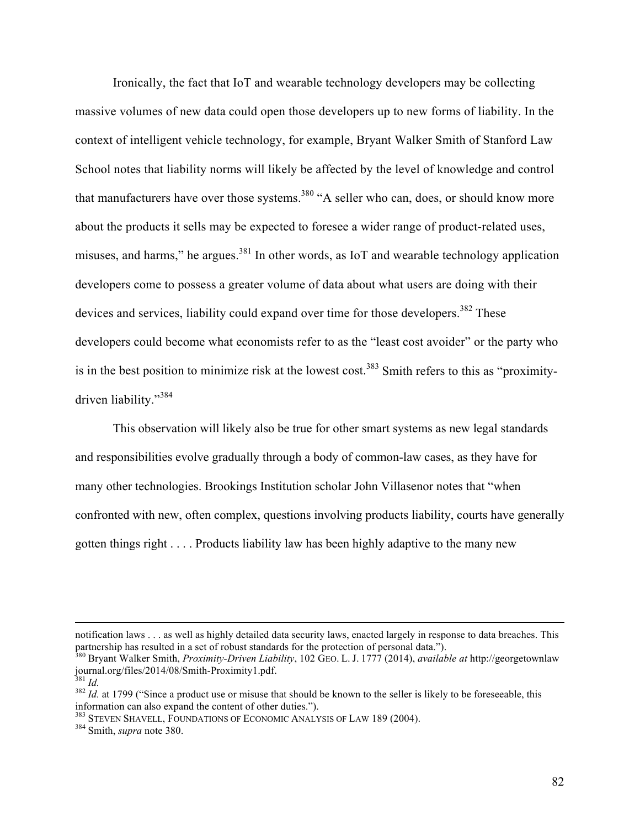Ironically, the fact that IoT and wearable technology developers may be collecting massive volumes of new data could open those developers up to new forms of liability. In the context of intelligent vehicle technology, for example, Bryant Walker Smith of Stanford Law School notes that liability norms will likely be affected by the level of knowledge and control that manufacturers have over those systems.<sup>380</sup> "A seller who can, does, or should know more about the products it sells may be expected to foresee a wider range of product-related uses, misuses, and harms," he argues. $381$  In other words, as IoT and wearable technology application developers come to possess a greater volume of data about what users are doing with their devices and services, liability could expand over time for those developers.<sup>382</sup> These developers could become what economists refer to as the "least cost avoider" or the party who is in the best position to minimize risk at the lowest cost.<sup>383</sup> Smith refers to this as "proximitydriven liability."<sup>384</sup>

This observation will likely also be true for other smart systems as new legal standards and responsibilities evolve gradually through a body of common-law cases, as they have for many other technologies. Brookings Institution scholar John Villasenor notes that "when confronted with new, often complex, questions involving products liability, courts have generally gotten things right . . . . Products liability law has been highly adaptive to the many new

<u> Alexandro de la contrada de la contrada de la contrada de la contrada de la contrada de la contrada de la co</u>

notification laws . . . as well as highly detailed data security laws, enacted largely in response to data breaches. This

partnership has resulted in a set of robust standards for the protection of personal data.").<br><sup>380</sup> Bryant Walker Smith, *Proximity-Driven Liability*, 102 GEO. L. J. 1777 (2014), *available at* http://georgetownlaw<br>journal

<sup>&</sup>lt;sup>381</sup> *Id.* at 1799 ("Since a product use or misuse that should be known to the seller is likely to be foreseeable, this  $\frac{382 \text{ } Id.}{382 \text{ } Id.}$ information can also expand the content of other duties."). <sup>383</sup> STEVEN SHAVELL, FOUNDATIONS OF ECONOMIC ANALYSIS OF LAW 189 (2004). <sup>384</sup> Smith, *supra* note 380.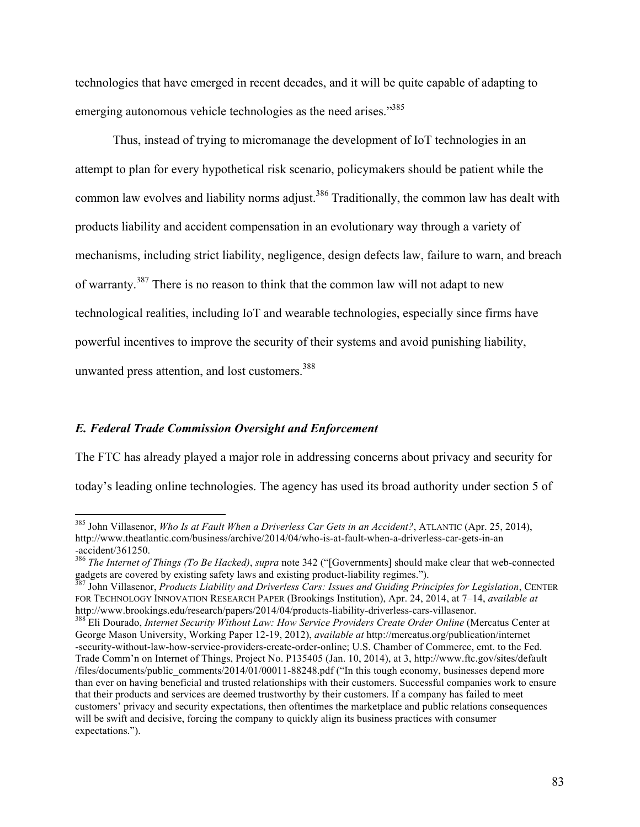technologies that have emerged in recent decades, and it will be quite capable of adapting to emerging autonomous vehicle technologies as the need arises."<sup>385</sup>

Thus, instead of trying to micromanage the development of IoT technologies in an attempt to plan for every hypothetical risk scenario, policymakers should be patient while the common law evolves and liability norms adjust.<sup>386</sup> Traditionally, the common law has dealt with products liability and accident compensation in an evolutionary way through a variety of mechanisms, including strict liability, negligence, design defects law, failure to warn, and breach of warranty.387 There is no reason to think that the common law will not adapt to new technological realities, including IoT and wearable technologies, especially since firms have powerful incentives to improve the security of their systems and avoid punishing liability, unwanted press attention, and lost customers. 388

#### *E. Federal Trade Commission Oversight and Enforcement*

The FTC has already played a major role in addressing concerns about privacy and security for today's leading online technologies. The agency has used its broad authority under section 5 of

 <sup>385</sup> John Villasenor, *Who Is at Fault When a Driverless Car Gets in an Accident?*, ATLANTIC (Apr. 25, 2014), http://www.theatlantic.com/business/archive/2014/04/who-is-at-fault-when-a-driverless-car-gets-in-an -accident/361250.

<sup>386</sup> *The Internet of Things (To Be Hacked)*, *supra* note 342 ("[Governments] should make clear that web-connected gadgets are covered by existing safety laws and existing product-liability regimes."). <sup>387</sup> John Villasenor, *Products Liability and Driverless Cars: Issues and Guiding Principles for Legislation*, CENTER

FOR TECHNOLOGY INNOVATION RESEARCH PAPER (Brookings Institution), Apr. 24, 2014, at 7–14, *available at*

<sup>&</sup>lt;sup>388</sup> Eli Dourado, *Internet Security Without Law: How Service Providers Create Order Online* (Mercatus Center at George Mason University, Working Paper 12-19, 2012), *available at* http://mercatus.org/publication/internet -security-without-law-how-service-providers-create-order-online; U.S. Chamber of Commerce, cmt. to the Fed. Trade Comm'n on Internet of Things, Project No. P135405 (Jan. 10, 2014), at 3, http://www.ftc.gov/sites/default /files/documents/public\_comments/2014/01/00011-88248.pdf ("In this tough economy, businesses depend more than ever on having beneficial and trusted relationships with their customers. Successful companies work to ensure that their products and services are deemed trustworthy by their customers. If a company has failed to meet customers' privacy and security expectations, then oftentimes the marketplace and public relations consequences will be swift and decisive, forcing the company to quickly align its business practices with consumer expectations.").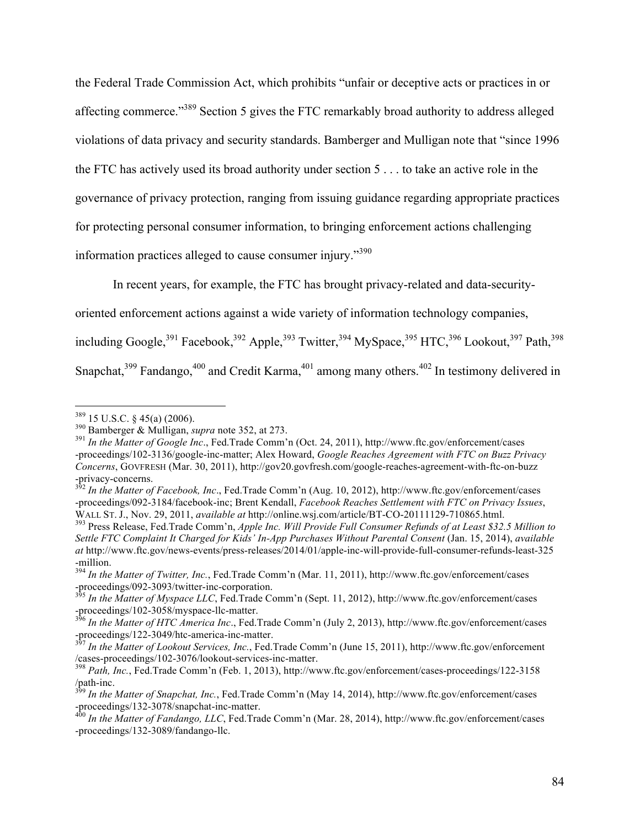the Federal Trade Commission Act, which prohibits "unfair or deceptive acts or practices in or affecting commerce."389 Section 5 gives the FTC remarkably broad authority to address alleged violations of data privacy and security standards. Bamberger and Mulligan note that "since 1996 the FTC has actively used its broad authority under section 5 . . . to take an active role in the governance of privacy protection, ranging from issuing guidance regarding appropriate practices for protecting personal consumer information, to bringing enforcement actions challenging information practices alleged to cause consumer injury."<sup>390</sup>

In recent years, for example, the FTC has brought privacy-related and data-security-

oriented enforcement actions against a wide variety of information technology companies,

including Google,<sup>391</sup> Facebook,<sup>392</sup> Apple,<sup>393</sup> Twitter,<sup>394</sup> MySpace,<sup>395</sup> HTC,<sup>396</sup> Lookout,<sup>397</sup> Path,<sup>398</sup>

Snapchat,<sup>399</sup> Fandango,<sup>400</sup> and Credit Karma,<sup>401</sup> among many others.<sup>402</sup> In testimony delivered in

 <sup>389</sup> 15 U.S.C. § 45(a) (2006). <sup>390</sup> Bamberger & Mulligan, *supra* note 352, at 273. <sup>391</sup> *In the Matter of Google Inc*., Fed.Trade Comm'n (Oct. 24, 2011), http://www.ftc.gov/enforcement/cases -proceedings/102-3136/google-inc-matter; Alex Howard, *Google Reaches Agreement with FTC on Buzz Privacy Concerns*, GOVFRESH (Mar. 30, 2011), http://gov20.govfresh.com/google-reaches-agreement-with-ftc-on-buzz -privacy-concerns. <sup>392</sup> *In the Matter of Facebook, Inc*., Fed.Trade Comm'n (Aug. 10, 2012), http://www.ftc.gov/enforcement/cases

<sup>-</sup>proceedings/092-3184/facebook-inc; Brent Kendall, *Facebook Reaches Settlement with FTC on Privacy Issues*, WALL ST. J., Nov. 29, 2011, available at http://online.wsj.com/article/BT-CO-20111129-710865.html.<br><sup>393</sup> Press Release, Fed.Trade Comm'n, *Apple Inc. Will Provide Full Consumer Refunds of at Least \$32.5 Million to* 

*Settle FTC Complaint It Charged for Kids' In-App Purchases Without Parental Consent* (Jan. 15, 2014), *available at* http://www.ftc.gov/news-events/press-releases/2014/01/apple-inc-will-provide-full-consumer-refunds-least-325 -million.

<sup>394</sup> *In the Matter of Twitter, Inc.*, Fed.Trade Comm'n (Mar. 11, 2011), http://www.ftc.gov/enforcement/cases -proceedings/092-3093/twitter-inc-corporation. <sup>395</sup> *In the Matter of Myspace LLC*, Fed.Trade Comm'n (Sept. 11, 2012), http://www.ftc.gov/enforcement/cases

<sup>-</sup>proceedings/102-3058/myspace-llc-matter. <sup>396</sup> *In the Matter of HTC America Inc*., Fed.Trade Comm'n (July 2, 2013), http://www.ftc.gov/enforcement/cases

<sup>-</sup>proceedings/122-3049/htc-america-inc-matter.<br><sup>397</sup> *In the Matter of Lookout Services, Inc.*, Fed.Trade Comm'n (June 15, 2011), http://www.ftc.gov/enforcement<br>/cases-proceedings/102-3076/lookout-services-inc-matter.

<sup>&</sup>lt;sup>398</sup> Path, Inc., Fed.Trade Comm'n (Feb. 1, 2013), http://www.ftc.gov/enforcement/cases-proceedings/122-3158 /path-inc.

<sup>&</sup>lt;sup>399</sup> *In the Matter of Snapchat, Inc.*, Fed.Trade Comm'n (May 14, 2014), http://www.ftc.gov/enforcement/cases -proceedings/132-3078/snapchat-inc-matter. <sup>400</sup> *In the Matter of Fandango, LLC*, Fed.Trade Comm'n (Mar. 28, 2014), http://www.ftc.gov/enforcement/cases

<sup>-</sup>proceedings/132-3089/fandango-llc.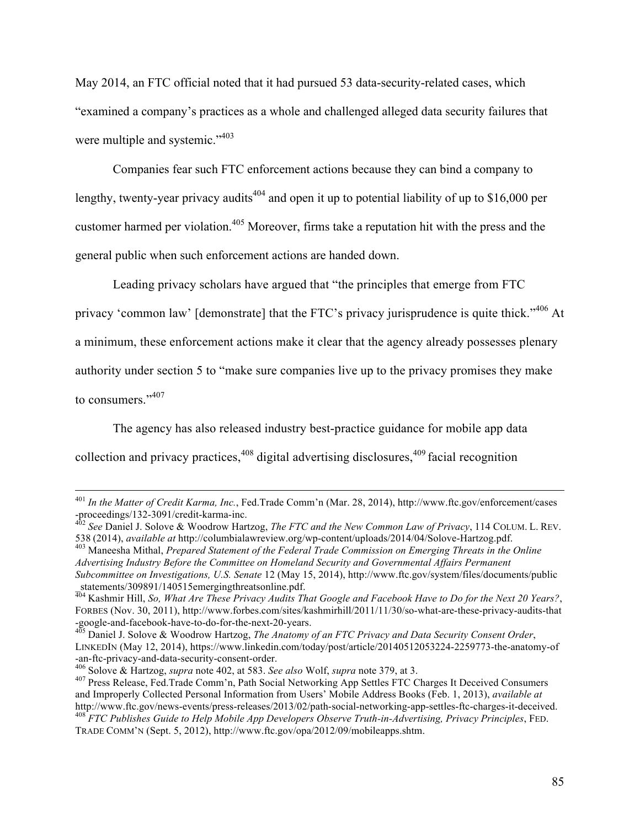May 2014, an FTC official noted that it had pursued 53 data-security-related cases, which "examined a company's practices as a whole and challenged alleged data security failures that were multiple and systemic."<sup>403</sup>

Companies fear such FTC enforcement actions because they can bind a company to lengthy, twenty-year privacy audits<sup>404</sup> and open it up to potential liability of up to \$16,000 per customer harmed per violation.<sup>405</sup> Moreover, firms take a reputation hit with the press and the general public when such enforcement actions are handed down.

Leading privacy scholars have argued that "the principles that emerge from FTC privacy 'common law' [demonstrate] that the FTC's privacy jurisprudence is quite thick."<sup>406</sup> At

a minimum, these enforcement actions make it clear that the agency already possesses plenary

authority under section 5 to "make sure companies live up to the privacy promises they make

to consumers."<sup>407</sup>

The agency has also released industry best-practice guidance for mobile app data collection and privacy practices,  $408$  digital advertising disclosures,  $409$  facial recognition

 <sup>401</sup> *In the Matter of Credit Karma, Inc.*, Fed.Trade Comm'n (Mar. 28, 2014), http://www.ftc.gov/enforcement/cases

<sup>-</sup>proceedings/132-3091/credit-karma-inc.<br><sup>402</sup> *See* Daniel J. Solove & Woodrow Hartzog, *The FTC and the New Common Law of Privacy*, 114 COLUM. L. REV.<br>538 (2014), *available at http://columbialawreview.org/wp-content/uplo* 

<sup>&</sup>lt;sup>403</sup> Maneesha Mithal, *Prepared Statement of the Federal Trade Commission on Emerging Threats in the Online Advertising Industry Before the Committee on Homeland Security and Governmental Affairs Permanent* 

*Subcommittee on Investigations, U.S. Senate* 12 (May 15, 2014), http://www.ftc.gov/system/files/documents/public statements/309891/140515emergingthreatsonline.pdf.

<sup>404</sup> Kashmir Hill, *So, What Are These Privacy Audits That Google and Facebook Have to Do for the Next 20 Years?*, FORBES (Nov. 30, 2011), http://www.forbes.com/sites/kashmirhill/2011/11/30/so-what-are-these-privacy-audits-that -google-and-facebook-have-to-do-for-the-next-20-years. <sup>405</sup> Daniel J. Solove & Woodrow Hartzog, *The Anatomy of an FTC Privacy and Data Security Consent Order*,

LINKEDIN (May 12, 2014), https://www.linkedin.com/today/post/article/20140512053224-2259773-the-anatomy-of -an-ftc-privacy-and-data-security-consent-order.<br>
<sup>406</sup> Solove & Hartzog, *supra* note 402, at 583. See also Wolf, *supra* note 379, at 3.<br>
<sup>407</sup> Press Release, Fed.Trade Comm'n, Path Social Networking App Settles FTC Char

and Improperly Collected Personal Information from Users' Mobile Address Books (Feb. 1, 2013), *available at* http://www.ftc.gov/news-events/press-releases/2013/02/path-social-networking-app-settles-ftc-charges-it-deceived.<br><sup>408</sup> FTC Publishes Guide to Help Mobile App Developers Observe Truth-in-Advertising, Privacy Principles, FE

TRADE COMM'N (Sept. 5, 2012), http://www.ftc.gov/opa/2012/09/mobileapps.shtm.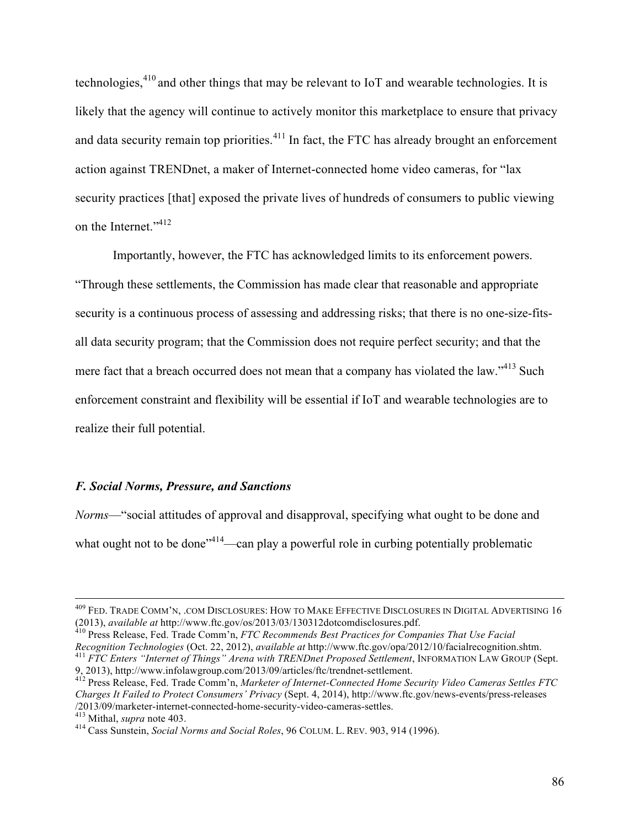technologies,<sup>410</sup> and other things that may be relevant to IoT and wearable technologies. It is likely that the agency will continue to actively monitor this marketplace to ensure that privacy and data security remain top priorities. $411$  In fact, the FTC has already brought an enforcement action against TRENDnet, a maker of Internet-connected home video cameras, for "lax security practices [that] exposed the private lives of hundreds of consumers to public viewing on the Internet."<sup>412</sup>

Importantly, however, the FTC has acknowledged limits to its enforcement powers. "Through these settlements, the Commission has made clear that reasonable and appropriate security is a continuous process of assessing and addressing risks; that there is no one-size-fitsall data security program; that the Commission does not require perfect security; and that the mere fact that a breach occurred does not mean that a company has violated the law."<sup>413</sup> Such enforcement constraint and flexibility will be essential if IoT and wearable technologies are to realize their full potential.

# *F. Social Norms, Pressure, and Sanctions*

*Norms*—"social attitudes of approval and disapproval, specifying what ought to be done and what ought not to be done<sup>"414</sup>—can play a powerful role in curbing potentially problematic

Recognition Technologies (Oct. 22, 2012), available at http://www.ftc.gov/opa/2012/10/facialrecognition.shtm.<br><sup>411</sup> FTC Enters "Internet of Things" Arena with TRENDnet Proposed Settlement, INFORMATION LAW GROUP (Sept.<br>9. 2

 <sup>409</sup> FED. TRADE COMM'N, .COM DISCLOSURES: HOW TO MAKE EFFECTIVE DISCLOSURES IN DIGITAL ADVERTISING <sup>16</sup> (2013), *available at* http://www.ftc.gov/os/2013/03/130312dotcomdisclosures.pdf. <sup>410</sup> Press Release, Fed. Trade Comm'n, *FTC Recommends Best Practices for Companies That Use Facial* 

<sup>&</sup>lt;sup>412</sup> Press Release, Fed. Trade Comm'n, *Marketer of Internet-Connected Home Security Video Cameras Settles FTC Charges It Failed to Protect Consumers' Privacy* (Sept. 4, 2014), http://www.ftc.gov/news-events/press-releases

<sup>&</sup>lt;sup>413</sup> Mithal, *supra* note 403.<br><sup>414</sup> Cass Sunstein, *Social Norms and Social Roles*, 96 COLUM. L. REV. 903, 914 (1996).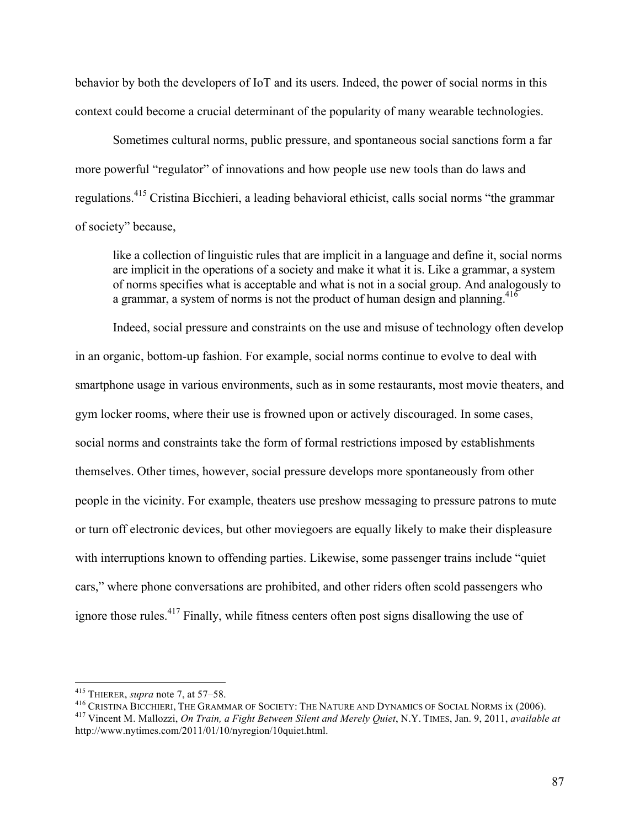behavior by both the developers of IoT and its users. Indeed, the power of social norms in this context could become a crucial determinant of the popularity of many wearable technologies.

Sometimes cultural norms, public pressure, and spontaneous social sanctions form a far more powerful "regulator" of innovations and how people use new tools than do laws and regulations.<sup>415</sup> Cristina Bicchieri, a leading behavioral ethicist, calls social norms "the grammar of society" because,

like a collection of linguistic rules that are implicit in a language and define it, social norms are implicit in the operations of a society and make it what it is. Like a grammar, a system of norms specifies what is acceptable and what is not in a social group. And analogously to a grammar, a system of norms is not the product of human design and planning.<sup>416</sup>

Indeed, social pressure and constraints on the use and misuse of technology often develop in an organic, bottom-up fashion. For example, social norms continue to evolve to deal with smartphone usage in various environments, such as in some restaurants, most movie theaters, and gym locker rooms, where their use is frowned upon or actively discouraged. In some cases, social norms and constraints take the form of formal restrictions imposed by establishments themselves. Other times, however, social pressure develops more spontaneously from other people in the vicinity. For example, theaters use preshow messaging to pressure patrons to mute or turn off electronic devices, but other moviegoers are equally likely to make their displeasure with interruptions known to offending parties. Likewise, some passenger trains include "quiet" cars," where phone conversations are prohibited, and other riders often scold passengers who ignore those rules.<sup>417</sup> Finally, while fitness centers often post signs disallowing the use of

<sup>&</sup>lt;sup>415</sup> THIERER, *supra* note 7, at 57–58.<br><sup>416</sup> CRISTINA BICCHIERI, THE GRAMMAR OF SOCIETY: THE NATURE AND DYNAMICS OF SOCIAL NORMS ix (2006).<br><sup>417</sup> Vincent M. Mallozzi, *On Train, a Fight Between Silent and Merely Quiet*,

http://www.nytimes.com/2011/01/10/nyregion/10quiet.html.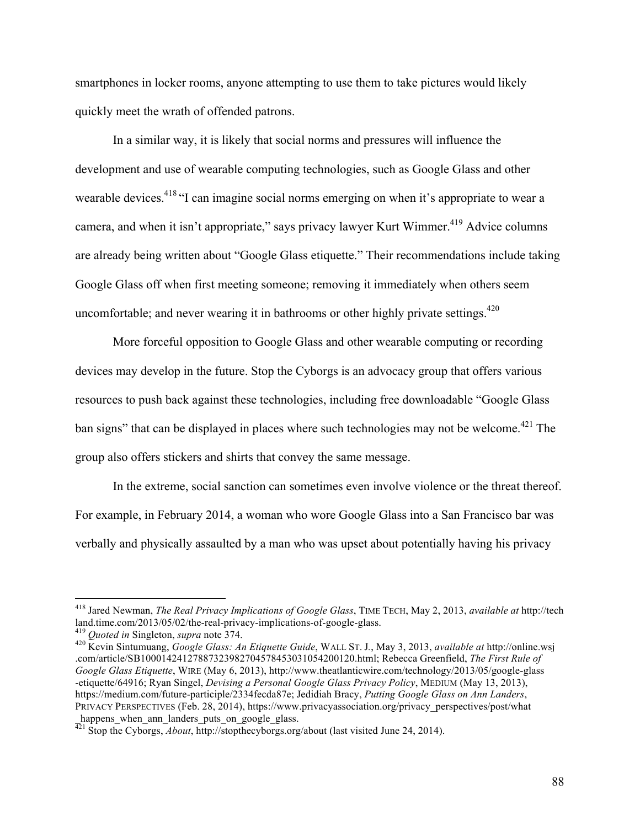smartphones in locker rooms, anyone attempting to use them to take pictures would likely quickly meet the wrath of offended patrons.

In a similar way, it is likely that social norms and pressures will influence the development and use of wearable computing technologies, such as Google Glass and other wearable devices.<sup>418</sup> "I can imagine social norms emerging on when it's appropriate to wear a camera, and when it isn't appropriate," says privacy lawyer Kurt Wimmer.<sup>419</sup> Advice columns are already being written about "Google Glass etiquette." Their recommendations include taking Google Glass off when first meeting someone; removing it immediately when others seem uncomfortable; and never wearing it in bathrooms or other highly private settings. $420$ 

More forceful opposition to Google Glass and other wearable computing or recording devices may develop in the future. Stop the Cyborgs is an advocacy group that offers various resources to push back against these technologies, including free downloadable "Google Glass ban signs" that can be displayed in places where such technologies may not be welcome.<sup>421</sup> The group also offers stickers and shirts that convey the same message.

In the extreme, social sanction can sometimes even involve violence or the threat thereof. For example, in February 2014, a woman who wore Google Glass into a San Francisco bar was verbally and physically assaulted by a man who was upset about potentially having his privacy

 <sup>418</sup> Jared Newman, *The Real Privacy Implications of Google Glass*, TIME TECH, May 2, 2013, *available at* http://tech

<sup>&</sup>lt;sup>419</sup> Quoted in Singleton, *supra* note 374.<br><sup>420</sup> Kevin Sintumuang, *Google Glass: An Etiquette Guide*, WALL ST. J., May 3, 2013, *available at http://online.wsj* .com/article/SB10001424127887323982704578453031054200120.html; Rebecca Greenfield, *The First Rule of Google Glass Etiquette*, WIRE (May 6, 2013), http://www.theatlanticwire.com/technology/2013/05/google-glass -etiquette/64916; Ryan Singel, *Devising a Personal Google Glass Privacy Policy*, MEDIUM (May 13, 2013), https://medium.com/future-participle/2334fecda87e; Jedidiah Bracy, *Putting Google Glass on Ann Landers*, PRIVACY PERSPECTIVES (Feb. 28, 2014), https://www.privacyassociation.org/privacy\_perspectives/post/what happens when ann landers puts on google glass.

<sup>&</sup>lt;sup>11</sup> Stop the Cyborgs, *About*, http://stopthecyborgs.org/about (last visited June 24, 2014).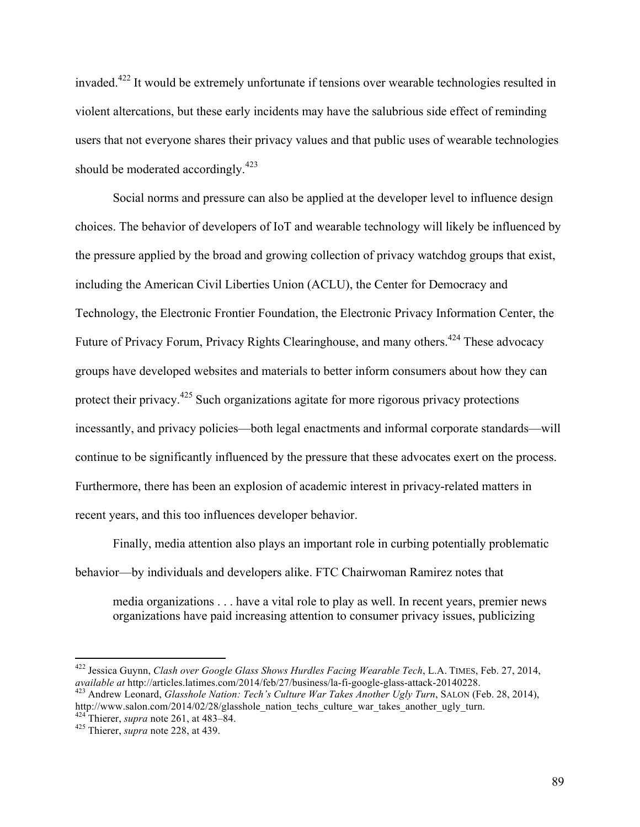invaded.<sup>422</sup> It would be extremely unfortunate if tensions over wearable technologies resulted in violent altercations, but these early incidents may have the salubrious side effect of reminding users that not everyone shares their privacy values and that public uses of wearable technologies should be moderated accordingly.<sup>423</sup>

Social norms and pressure can also be applied at the developer level to influence design choices. The behavior of developers of IoT and wearable technology will likely be influenced by the pressure applied by the broad and growing collection of privacy watchdog groups that exist, including the American Civil Liberties Union (ACLU), the Center for Democracy and Technology, the Electronic Frontier Foundation, the Electronic Privacy Information Center, the Future of Privacy Forum, Privacy Rights Clearinghouse, and many others.<sup>424</sup> These advocacy groups have developed websites and materials to better inform consumers about how they can protect their privacy.<sup>425</sup> Such organizations agitate for more rigorous privacy protections incessantly, and privacy policies—both legal enactments and informal corporate standards—will continue to be significantly influenced by the pressure that these advocates exert on the process. Furthermore, there has been an explosion of academic interest in privacy-related matters in recent years, and this too influences developer behavior.

Finally, media attention also plays an important role in curbing potentially problematic behavior—by individuals and developers alike. FTC Chairwoman Ramirez notes that

media organizations . . . have a vital role to play as well. In recent years, premier news organizations have paid increasing attention to consumer privacy issues, publicizing

<sup>&</sup>lt;sup>422</sup> Jessica Guynn, *Clash over Google Glass Shows Hurdles Facing Wearable Tech*, L.A. TIMES, Feb. 27, 2014, *available at http://articles.latimes.com/2014/feb/27/business/la-fi-google-glass-attack-20140228.* <sup>423</sup> Andrew Leonard, *Glasshole Nation: Tech's Culture War Takes Another Ugly Turn*, SALON (Feb. 28, 2014),

http://www.salon.com/2014/02/28/glasshole\_nation\_techs\_culture\_war\_takes\_another\_ugly\_turn. <sup>424</sup> Thierer, *supra* note 261, at 483–84. <sup>425</sup> Thierer, *supra* note 228, at 439.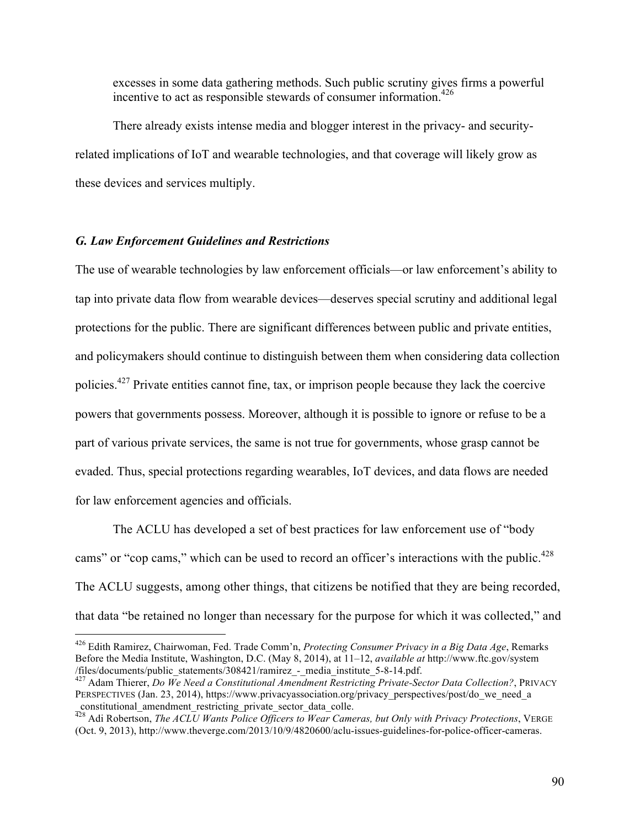excesses in some data gathering methods. Such public scrutiny gives firms a powerful incentive to act as responsible stewards of consumer information.<sup>426</sup>

There already exists intense media and blogger interest in the privacy- and securityrelated implications of IoT and wearable technologies, and that coverage will likely grow as these devices and services multiply.

# *G. Law Enforcement Guidelines and Restrictions*

The use of wearable technologies by law enforcement officials—or law enforcement's ability to tap into private data flow from wearable devices—deserves special scrutiny and additional legal protections for the public. There are significant differences between public and private entities, and policymakers should continue to distinguish between them when considering data collection policies.427 Private entities cannot fine, tax, or imprison people because they lack the coercive powers that governments possess. Moreover, although it is possible to ignore or refuse to be a part of various private services, the same is not true for governments, whose grasp cannot be evaded. Thus, special protections regarding wearables, IoT devices, and data flows are needed for law enforcement agencies and officials.

The ACLU has developed a set of best practices for law enforcement use of "body cams" or "cop cams," which can be used to record an officer's interactions with the public.<sup>428</sup> The ACLU suggests, among other things, that citizens be notified that they are being recorded, that data "be retained no longer than necessary for the purpose for which it was collected," and

 <sup>426</sup> Edith Ramirez, Chairwoman, Fed. Trade Comm'n, *Protecting Consumer Privacy in a Big Data Age*, Remarks Before the Media Institute, Washington, D.C. (May 8, 2014), at 11–12, *available at* http://www.ftc.gov/system

<sup>&</sup>lt;sup>427</sup> Adam Thierer, *Do We Need a Constitutional Amendment Restricting Private-Sector Data Collection?*, PRIVACY PERSPECTIVES (Jan. 23, 2014), https://www.privacyassociation.org/privacy\_perspectives/post/do\_we\_need\_a \_constitutional\_amendment\_restricting\_private\_sector\_data\_colle.

 $\frac{428}{428}$  Adi Robertson, *The ACLU Wants Police Officers to Wear Cameras, but Only with Privacy Protections*, VERGE (Oct. 9, 2013), http://www.theverge.com/2013/10/9/4820600/aclu-issues-guidelines-for-police-officer-cameras.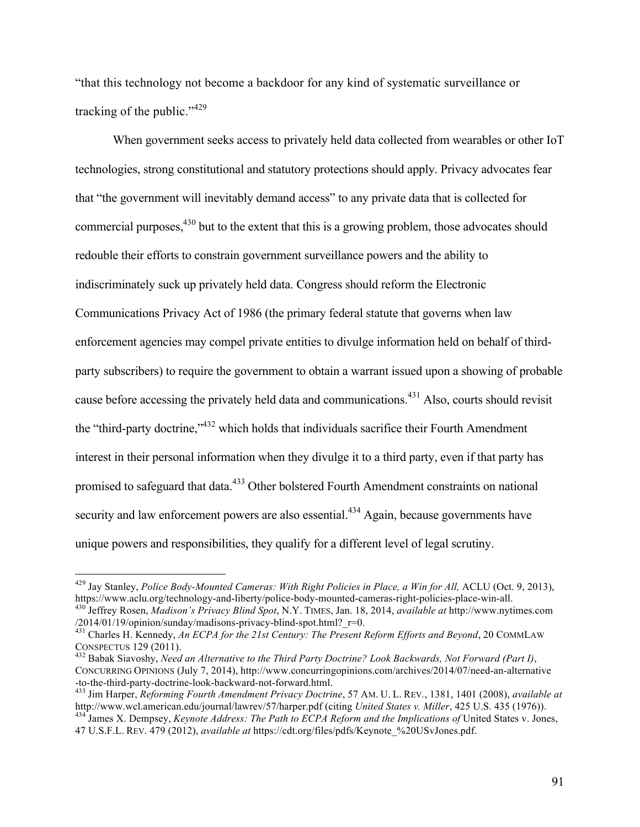"that this technology not become a backdoor for any kind of systematic surveillance or tracking of the public."<sup>429</sup>

When government seeks access to privately held data collected from wearables or other IoT technologies, strong constitutional and statutory protections should apply. Privacy advocates fear that "the government will inevitably demand access" to any private data that is collected for commercial purposes, <sup>430</sup> but to the extent that this is a growing problem, those advocates should redouble their efforts to constrain government surveillance powers and the ability to indiscriminately suck up privately held data. Congress should reform the Electronic Communications Privacy Act of 1986 (the primary federal statute that governs when law enforcement agencies may compel private entities to divulge information held on behalf of thirdparty subscribers) to require the government to obtain a warrant issued upon a showing of probable cause before accessing the privately held data and communications.431 Also, courts should revisit the "third-party doctrine,"<sup>432</sup> which holds that individuals sacrifice their Fourth Amendment interest in their personal information when they divulge it to a third party, even if that party has promised to safeguard that data.<sup>433</sup> Other bolstered Fourth Amendment constraints on national security and law enforcement powers are also essential.<sup>434</sup> Again, because governments have unique powers and responsibilities, they qualify for a different level of legal scrutiny.

<sup>&</sup>lt;sup>429</sup> Jav Stanley, *Police Body-Mounted Cameras: With Right Policies in Place, a Win for All, ACLU* (Oct. 9, 2013), https://www.aclu.org/technology-and-liberty/police-body-mounted-cameras-right-policies-place-win-all.<br><sup>430</sup> Jeffrey Rosen, *Madison's Privacy Blind Spot*, N.Y. TIMES, Jan. 18, 2014, *available at* http://www.nytimes.com<br>/2

<sup>&</sup>lt;sup>431</sup> Charles H. Kennedy, *An ECPA for the 21st Century: The Present Reform Efforts and Beyond*, 20 COMMLAW

CONSPECTUS 129 (2011). <sup>432</sup> Babak Siavoshy, *Need an Alternative to the Third Party Doctrine? Look Backwards, Not Forward (Part I)*, CONCURRING OPINIONS (July 7, 2014), http://www.concurringopinions.com/archives/2014/07/need-an-alternative -to-the-third-party-doctrine-look-backward-not-forward.html. <sup>433</sup> Jim Harper, *Reforming Fourth Amendment Privacy Doctrine*, 57 AM. U. L. REV*.*, 1381, 1401 (2008), *available at*

http://www.wcl.american.edu/journal/lawrev/57/harper.pdf (citing United States v. Miller, 425 U.S. 435 (1976)).<br><sup>434</sup> James X. Dempsey, *Keynote Address: The Path to ECPA Reform and the Implications of* United States v. Jo

<sup>47</sup> U.S.F.L. REV. 479 (2012), *available at* https://cdt.org/files/pdfs/Keynote\_%20USvJones.pdf.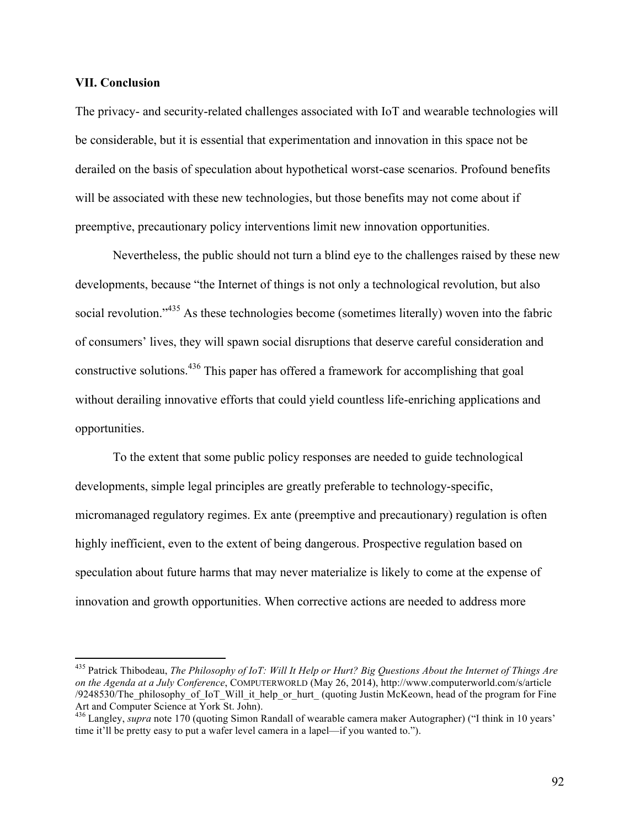### **VII. Conclusion**

The privacy- and security-related challenges associated with IoT and wearable technologies will be considerable, but it is essential that experimentation and innovation in this space not be derailed on the basis of speculation about hypothetical worst-case scenarios. Profound benefits will be associated with these new technologies, but those benefits may not come about if preemptive, precautionary policy interventions limit new innovation opportunities.

Nevertheless, the public should not turn a blind eye to the challenges raised by these new developments, because "the Internet of things is not only a technological revolution, but also social revolution."<sup>435</sup> As these technologies become (sometimes literally) woven into the fabric of consumers' lives, they will spawn social disruptions that deserve careful consideration and constructive solutions.<sup>436</sup> This paper has offered a framework for accomplishing that goal without derailing innovative efforts that could yield countless life-enriching applications and opportunities.

To the extent that some public policy responses are needed to guide technological developments, simple legal principles are greatly preferable to technology-specific, micromanaged regulatory regimes. Ex ante (preemptive and precautionary) regulation is often highly inefficient, even to the extent of being dangerous. Prospective regulation based on speculation about future harms that may never materialize is likely to come at the expense of innovation and growth opportunities. When corrective actions are needed to address more

 <sup>435</sup> Patrick Thibodeau, *The Philosophy of IoT: Will It Help or Hurt? Big Questions About the Internet of Things Are on the Agenda at a July Conference*, COMPUTERWORLD (May 26, 2014), http://www.computerworld.com/s/article /9248530/The\_philosophy\_of\_IoT\_Will\_it\_help\_or\_hurt\_ (quoting Justin McKeown, head of the program for Fine

<sup>&</sup>lt;sup>436</sup> Langley, *supra* note 170 (quoting Simon Randall of wearable camera maker Autographer) ("I think in 10 years' time it'll be pretty easy to put a wafer level camera in a lapel—if you wanted to.").